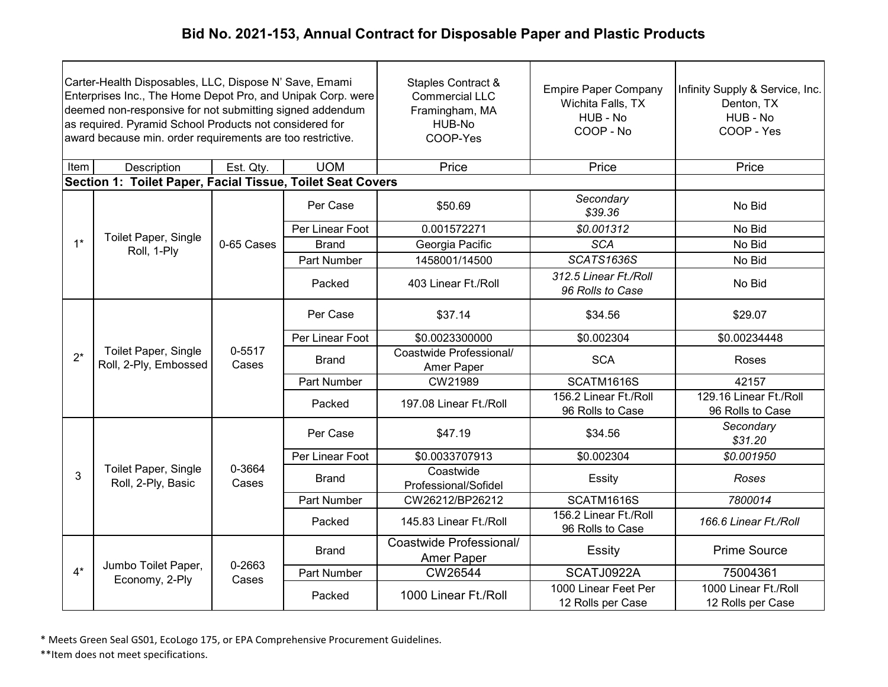|       | Carter-Health Disposables, LLC, Dispose N' Save, Emami<br>Enterprises Inc., The Home Depot Pro, and Unipak Corp. were<br>deemed non-responsive for not submitting signed addendum<br>as required. Pyramid School Products not considered for<br>award because min. order requirements are too restrictive. |                 |                 | Staples Contract &<br><b>Commercial LLC</b><br>Framingham, MA<br>HUB-No<br>COOP-Yes | <b>Empire Paper Company</b><br>Wichita Falls, TX<br>HUB - No<br>COOP - No | Infinity Supply & Service, Inc.<br>Denton, TX<br>HUB - No<br>COOP - Yes |       |
|-------|------------------------------------------------------------------------------------------------------------------------------------------------------------------------------------------------------------------------------------------------------------------------------------------------------------|-----------------|-----------------|-------------------------------------------------------------------------------------|---------------------------------------------------------------------------|-------------------------------------------------------------------------|-------|
| Item  | Description                                                                                                                                                                                                                                                                                                | Est. Qty.       | <b>UOM</b>      | Price                                                                               | Price                                                                     | Price                                                                   |       |
|       | Section 1: Toilet Paper, Facial Tissue, Toilet Seat Covers                                                                                                                                                                                                                                                 |                 |                 |                                                                                     |                                                                           |                                                                         |       |
|       |                                                                                                                                                                                                                                                                                                            |                 | Per Case        | \$50.69                                                                             | Secondary<br>\$39.36                                                      | No Bid                                                                  |       |
|       |                                                                                                                                                                                                                                                                                                            |                 | Per Linear Foot | 0.001572271                                                                         | \$0.001312                                                                | No Bid                                                                  |       |
| $1*$  | Toilet Paper, Single<br>Roll, 1-Ply                                                                                                                                                                                                                                                                        | 0-65 Cases      | <b>Brand</b>    | Georgia Pacific                                                                     | <b>SCA</b>                                                                | No Bid                                                                  |       |
|       |                                                                                                                                                                                                                                                                                                            |                 | Part Number     | 1458001/14500                                                                       | <b>SCATS1636S</b>                                                         | No Bid                                                                  |       |
|       |                                                                                                                                                                                                                                                                                                            |                 | Packed          | 403 Linear Ft./Roll                                                                 | 312.5 Linear Ft./Roll<br>96 Rolls to Case                                 | No Bid                                                                  |       |
|       | Toilet Paper, Single<br>Roll, 2-Ply, Embossed                                                                                                                                                                                                                                                              |                 | Per Case        | \$37.14                                                                             | \$34.56                                                                   | \$29.07                                                                 |       |
|       |                                                                                                                                                                                                                                                                                                            |                 | Per Linear Foot | \$0.0023300000                                                                      | \$0.002304                                                                | \$0.00234448                                                            |       |
| $2^*$ |                                                                                                                                                                                                                                                                                                            | 0-5517<br>Cases |                 | <b>Brand</b>                                                                        | Coastwide Professional/<br>Amer Paper                                     | <b>SCA</b>                                                              | Roses |
|       |                                                                                                                                                                                                                                                                                                            |                 | Part Number     | CW21989                                                                             | SCATM1616S                                                                | 42157                                                                   |       |
|       |                                                                                                                                                                                                                                                                                                            |                 | Packed          | 197.08 Linear Ft./Roll                                                              | 156.2 Linear Ft./Roll<br>96 Rolls to Case                                 | 129.16 Linear Ft./Roll<br>96 Rolls to Case                              |       |
|       |                                                                                                                                                                                                                                                                                                            |                 | Per Case        | \$47.19                                                                             | \$34.56                                                                   | Secondary<br>\$31.20                                                    |       |
|       |                                                                                                                                                                                                                                                                                                            |                 | Per Linear Foot | \$0.0033707913                                                                      | \$0.002304                                                                | \$0.001950                                                              |       |
| 3     | Toilet Paper, Single<br>Roll, 2-Ply, Basic                                                                                                                                                                                                                                                                 | 0-3664<br>Cases | <b>Brand</b>    | Coastwide<br>Professional/Sofidel                                                   | Essity                                                                    | Roses                                                                   |       |
|       |                                                                                                                                                                                                                                                                                                            |                 | Part Number     | CW26212/BP26212                                                                     | SCATM1616S                                                                | 7800014                                                                 |       |
|       |                                                                                                                                                                                                                                                                                                            |                 | Packed          | 145.83 Linear Ft./Roll                                                              | 156.2 Linear Ft./Roll<br>96 Rolls to Case                                 | 166.6 Linear Ft./Roll                                                   |       |
|       |                                                                                                                                                                                                                                                                                                            |                 | <b>Brand</b>    | Coastwide Professional/<br>Amer Paper                                               | Essity                                                                    | <b>Prime Source</b>                                                     |       |
| $4*$  | Jumbo Toilet Paper,                                                                                                                                                                                                                                                                                        | 0-2663          | Part Number     | CW26544                                                                             | SCATJ0922A                                                                | 75004361                                                                |       |
|       | Economy, 2-Ply                                                                                                                                                                                                                                                                                             | Cases           | Packed          | 1000 Linear Ft./Roll                                                                | 1000 Linear Feet Per<br>12 Rolls per Case                                 | 1000 Linear Ft./Roll<br>12 Rolls per Case                               |       |

\* Meets Green Seal GS01, EcoLogo 175, or EPA Comprehensive Procurement Guidelines.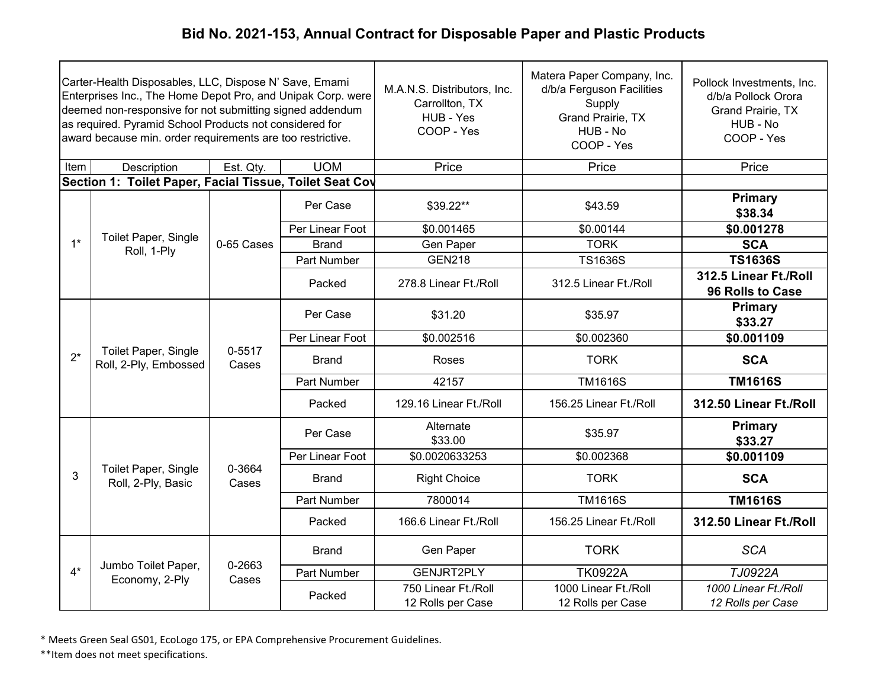|       | Carter-Health Disposables, LLC, Dispose N' Save, Emami<br>Enterprises Inc., The Home Depot Pro, and Unipak Corp. were<br>deemed non-responsive for not submitting signed addendum<br>as required. Pyramid School Products not considered for<br>award because min. order requirements are too restrictive. |                 |                 | M.A.N.S. Distributors, Inc.<br>Carrollton, TX<br>HUB - Yes<br>COOP - Yes | Matera Paper Company, Inc.<br>d/b/a Ferguson Facilities<br>Supply<br>Grand Prairie, TX<br>HUB - No<br>COOP - Yes | Pollock Investments, Inc.<br>d/b/a Pollock Orora<br><b>Grand Prairie, TX</b><br>HUB - No<br>COOP - Yes |                    |
|-------|------------------------------------------------------------------------------------------------------------------------------------------------------------------------------------------------------------------------------------------------------------------------------------------------------------|-----------------|-----------------|--------------------------------------------------------------------------|------------------------------------------------------------------------------------------------------------------|--------------------------------------------------------------------------------------------------------|--------------------|
| Item  | Description                                                                                                                                                                                                                                                                                                | Est. Qty.       | <b>UOM</b>      | Price                                                                    | Price                                                                                                            | Price                                                                                                  |                    |
|       | Section 1: Toilet Paper, Facial Tissue, Toilet Seat Cov                                                                                                                                                                                                                                                    |                 |                 |                                                                          |                                                                                                                  |                                                                                                        |                    |
|       |                                                                                                                                                                                                                                                                                                            |                 | Per Case        | \$39.22**                                                                | \$43.59                                                                                                          | Primary<br>\$38.34                                                                                     |                    |
|       |                                                                                                                                                                                                                                                                                                            |                 | Per Linear Foot | \$0.001465                                                               | \$0.00144                                                                                                        | \$0.001278                                                                                             |                    |
| $1^*$ | Toilet Paper, Single<br>Roll, 1-Ply                                                                                                                                                                                                                                                                        | 0-65 Cases      | <b>Brand</b>    | Gen Paper                                                                | <b>TORK</b>                                                                                                      | <b>SCA</b>                                                                                             |                    |
|       |                                                                                                                                                                                                                                                                                                            |                 | Part Number     | <b>GEN218</b>                                                            | <b>TS1636S</b>                                                                                                   | <b>TS1636S</b>                                                                                         |                    |
|       |                                                                                                                                                                                                                                                                                                            |                 | Packed          | 278.8 Linear Ft./Roll                                                    | 312.5 Linear Ft./Roll                                                                                            | 312.5 Linear Ft./Roll<br>96 Rolls to Case                                                              |                    |
|       | <b>Toilet Paper, Single</b><br>Roll, 2-Ply, Embossed                                                                                                                                                                                                                                                       |                 |                 | Per Case                                                                 | \$31.20                                                                                                          | \$35.97                                                                                                | Primary<br>\$33.27 |
|       |                                                                                                                                                                                                                                                                                                            | 0-5517<br>Cases | Per Linear Foot | \$0.002516                                                               | \$0.002360                                                                                                       | $\overline{$0.001109}$                                                                                 |                    |
| $2^*$ |                                                                                                                                                                                                                                                                                                            |                 | <b>Brand</b>    | Roses                                                                    | <b>TORK</b>                                                                                                      | <b>SCA</b>                                                                                             |                    |
|       |                                                                                                                                                                                                                                                                                                            |                 |                 | Part Number                                                              | 42157                                                                                                            | <b>TM1616S</b>                                                                                         | <b>TM1616S</b>     |
|       |                                                                                                                                                                                                                                                                                                            |                 | Packed          | 129.16 Linear Ft./Roll                                                   | 156.25 Linear Ft./Roll                                                                                           | 312.50 Linear Ft./Roll                                                                                 |                    |
|       |                                                                                                                                                                                                                                                                                                            |                 | Per Case        | Alternate<br>\$33.00                                                     | \$35.97                                                                                                          | <b>Primary</b><br>\$33.27                                                                              |                    |
|       |                                                                                                                                                                                                                                                                                                            |                 | Per Linear Foot | \$0.0020633253                                                           | \$0.002368                                                                                                       | \$0.001109                                                                                             |                    |
| 3     | Toilet Paper, Single<br>Roll, 2-Ply, Basic                                                                                                                                                                                                                                                                 | 0-3664<br>Cases | <b>Brand</b>    | <b>Right Choice</b>                                                      | <b>TORK</b>                                                                                                      | <b>SCA</b>                                                                                             |                    |
|       |                                                                                                                                                                                                                                                                                                            |                 | Part Number     | 7800014                                                                  | <b>TM1616S</b>                                                                                                   | <b>TM1616S</b>                                                                                         |                    |
|       |                                                                                                                                                                                                                                                                                                            |                 | Packed          | 166.6 Linear Ft./Roll                                                    | 156.25 Linear Ft./Roll                                                                                           | 312.50 Linear Ft./Roll                                                                                 |                    |
|       |                                                                                                                                                                                                                                                                                                            |                 | <b>Brand</b>    | Gen Paper                                                                | <b>TORK</b>                                                                                                      | <b>SCA</b>                                                                                             |                    |
| $4^*$ | Jumbo Toilet Paper,                                                                                                                                                                                                                                                                                        | 0-2663<br>Cases | Part Number     | <b>GENJRT2PLY</b>                                                        | <b>TK0922A</b>                                                                                                   | TJ0922A                                                                                                |                    |
|       | Economy, 2-Ply                                                                                                                                                                                                                                                                                             |                 | Packed          | 750 Linear Ft./Roll<br>12 Rolls per Case                                 | 1000 Linear Ft./Roll<br>12 Rolls per Case                                                                        | 1000 Linear Ft./Roll<br>12 Rolls per Case                                                              |                    |

\* Meets Green Seal GS01, EcoLogo 175, or EPA Comprehensive Procurement Guidelines.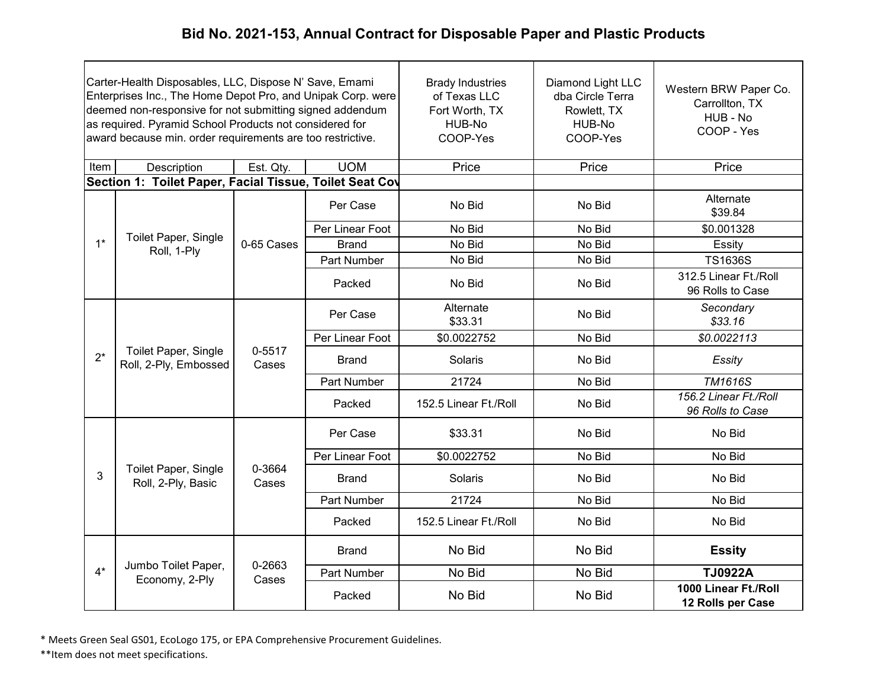|       | Carter-Health Disposables, LLC, Dispose N' Save, Emami<br>Enterprises Inc., The Home Depot Pro, and Unipak Corp. were<br>deemed non-responsive for not submitting signed addendum<br>as required. Pyramid School Products not considered for<br>award because min. order requirements are too restrictive. |                 |                    | <b>Brady Industries</b><br>of Texas LLC<br>Fort Worth, TX<br>HUB-No<br>COOP-Yes | Diamond Light LLC<br>dba Circle Terra<br>Rowlett, TX<br>HUB-No<br>COOP-Yes | Western BRW Paper Co.<br>Carrollton, TX<br>HUB - No<br>COOP - Yes |
|-------|------------------------------------------------------------------------------------------------------------------------------------------------------------------------------------------------------------------------------------------------------------------------------------------------------------|-----------------|--------------------|---------------------------------------------------------------------------------|----------------------------------------------------------------------------|-------------------------------------------------------------------|
| Item  | Description                                                                                                                                                                                                                                                                                                | Est. Qty.       | <b>UOM</b>         | Price                                                                           | Price                                                                      | Price                                                             |
|       | Section 1: Toilet Paper, Facial Tissue, Toilet Seat Cov                                                                                                                                                                                                                                                    |                 |                    |                                                                                 |                                                                            |                                                                   |
|       |                                                                                                                                                                                                                                                                                                            |                 | Per Case           | No Bid                                                                          | No Bid                                                                     | Alternate<br>\$39.84                                              |
|       | Toilet Paper, Single                                                                                                                                                                                                                                                                                       |                 | Per Linear Foot    | No Bid                                                                          | No Bid                                                                     | \$0.001328                                                        |
| $1^*$ | Roll, 1-Ply                                                                                                                                                                                                                                                                                                | 0-65 Cases      | <b>Brand</b>       | No Bid                                                                          | No Bid                                                                     | Essity                                                            |
|       |                                                                                                                                                                                                                                                                                                            |                 | Part Number        | No Bid                                                                          | No Bid                                                                     | <b>TS1636S</b>                                                    |
|       |                                                                                                                                                                                                                                                                                                            |                 | Packed             | No Bid                                                                          | No Bid                                                                     | 312.5 Linear Ft./Roll<br>96 Rolls to Case                         |
|       | Toilet Paper, Single<br>Roll, 2-Ply, Embossed                                                                                                                                                                                                                                                              | 0-5517<br>Cases | Per Case           | Alternate<br>\$33.31                                                            | No Bid                                                                     | Secondary<br>\$33.16                                              |
|       |                                                                                                                                                                                                                                                                                                            |                 | Per Linear Foot    | \$0.0022752                                                                     | No Bid                                                                     | \$0.0022113                                                       |
| $2^*$ |                                                                                                                                                                                                                                                                                                            |                 | Brand              | Solaris                                                                         | No Bid                                                                     | Essity                                                            |
|       |                                                                                                                                                                                                                                                                                                            |                 | <b>Part Number</b> | 21724                                                                           | No Bid                                                                     | <b>TM1616S</b>                                                    |
|       |                                                                                                                                                                                                                                                                                                            |                 | Packed             | 152.5 Linear Ft./Roll                                                           | No Bid                                                                     | 156.2 Linear Ft./Roll<br>96 Rolls to Case                         |
|       |                                                                                                                                                                                                                                                                                                            |                 | Per Case           | \$33.31                                                                         | No Bid                                                                     | No Bid                                                            |
|       |                                                                                                                                                                                                                                                                                                            |                 | Per Linear Foot    | \$0.0022752                                                                     | No Bid                                                                     | No Bid                                                            |
| 3     | Toilet Paper, Single<br>Roll, 2-Ply, Basic                                                                                                                                                                                                                                                                 | 0-3664<br>Cases | <b>Brand</b>       | Solaris                                                                         | No Bid                                                                     | No Bid                                                            |
|       |                                                                                                                                                                                                                                                                                                            |                 | Part Number        | 21724                                                                           | No Bid                                                                     | No Bid                                                            |
|       |                                                                                                                                                                                                                                                                                                            |                 | Packed             | 152.5 Linear Ft./Roll                                                           | No Bid                                                                     | No Bid                                                            |
|       |                                                                                                                                                                                                                                                                                                            |                 | <b>Brand</b>       | No Bid                                                                          | No Bid                                                                     | <b>Essity</b>                                                     |
| $4*$  | Jumbo Toilet Paper,                                                                                                                                                                                                                                                                                        | 0-2663          | Part Number        | No Bid                                                                          | No Bid                                                                     | <b>TJ0922A</b>                                                    |
|       | Economy, 2-Ply                                                                                                                                                                                                                                                                                             | Cases           | Packed             | No Bid                                                                          | No Bid                                                                     | 1000 Linear Ft./Roll<br>12 Rolls per Case                         |

\* Meets Green Seal GS01, EcoLogo 175, or EPA Comprehensive Procurement Guidelines.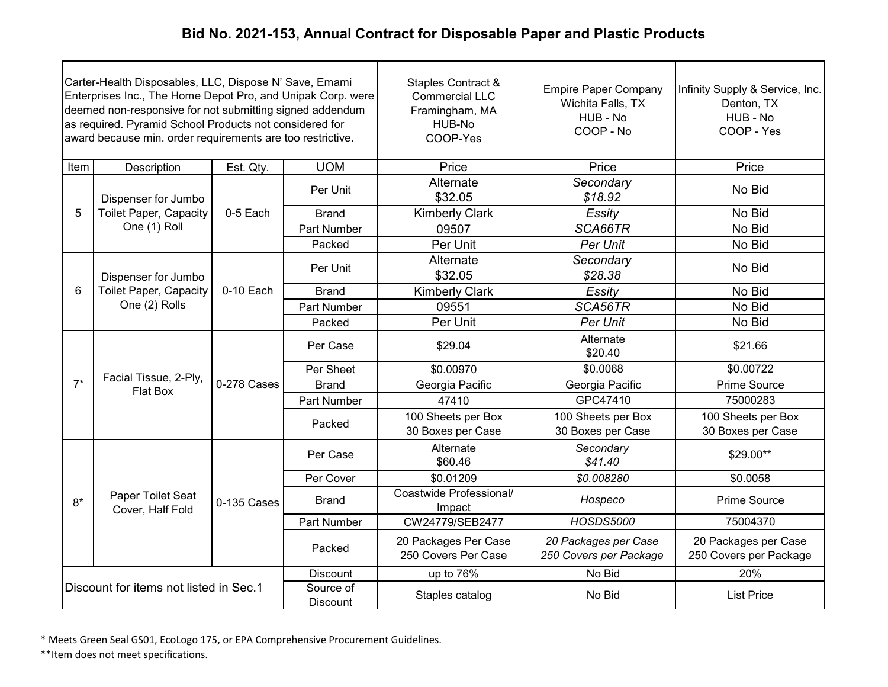| Carter-Health Disposables, LLC, Dispose N' Save, Emami<br>Enterprises Inc., The Home Depot Pro, and Unipak Corp. were<br>deemed non-responsive for not submitting signed addendum<br>as required. Pyramid School Products not considered for<br>award because min. order requirements are too restrictive. |                                                |             |                              | Staples Contract &<br><b>Commercial LLC</b><br>Framingham, MA<br>HUB-No<br>COOP-Yes | <b>Empire Paper Company</b><br>Wichita Falls, TX<br>HUB - No<br>COOP - No | Infinity Supply & Service, Inc.<br>Denton, TX<br>HUB - No<br>COOP - Yes |
|------------------------------------------------------------------------------------------------------------------------------------------------------------------------------------------------------------------------------------------------------------------------------------------------------------|------------------------------------------------|-------------|------------------------------|-------------------------------------------------------------------------------------|---------------------------------------------------------------------------|-------------------------------------------------------------------------|
| Item                                                                                                                                                                                                                                                                                                       | Description                                    | Est. Qty.   | <b>UOM</b>                   | Price                                                                               | Price                                                                     | Price                                                                   |
|                                                                                                                                                                                                                                                                                                            | Dispenser for Jumbo                            |             | Per Unit                     | Alternate<br>\$32.05                                                                | Secondary<br>\$18.92                                                      | No Bid                                                                  |
| 5                                                                                                                                                                                                                                                                                                          | <b>Toilet Paper, Capacity</b>                  | 0-5 Each    | <b>Brand</b>                 | <b>Kimberly Clark</b>                                                               | Essity                                                                    | No Bid                                                                  |
|                                                                                                                                                                                                                                                                                                            | One (1) Roll                                   |             | Part Number                  | 09507                                                                               | SCA66TR                                                                   | No Bid                                                                  |
|                                                                                                                                                                                                                                                                                                            |                                                |             | Packed                       | Per Unit                                                                            | Per Unit                                                                  | No Bid                                                                  |
|                                                                                                                                                                                                                                                                                                            | Dispenser for Jumbo                            |             | Per Unit                     | Alternate<br>\$32.05                                                                | Secondary<br>\$28.38                                                      | No Bid                                                                  |
| 6                                                                                                                                                                                                                                                                                                          | <b>Toilet Paper, Capacity</b><br>One (2) Rolls | 0-10 Each   | <b>Brand</b>                 | <b>Kimberly Clark</b>                                                               | Essity                                                                    | No Bid                                                                  |
|                                                                                                                                                                                                                                                                                                            |                                                |             | Part Number                  | 09551                                                                               | SCA56TR                                                                   | No Bid                                                                  |
|                                                                                                                                                                                                                                                                                                            |                                                |             | Packed                       | Per Unit                                                                            | Per Unit                                                                  | No Bid                                                                  |
|                                                                                                                                                                                                                                                                                                            | Facial Tissue, 2-Ply,<br>Flat Box              | 0-278 Cases | Per Case                     | \$29.04                                                                             | Alternate<br>\$20.40                                                      | \$21.66                                                                 |
|                                                                                                                                                                                                                                                                                                            |                                                |             | Per Sheet                    | \$0.00970                                                                           | \$0.0068                                                                  | \$0.00722                                                               |
| $7^*$                                                                                                                                                                                                                                                                                                      |                                                |             | <b>Brand</b>                 | Georgia Pacific                                                                     | Georgia Pacific                                                           | Prime Source                                                            |
|                                                                                                                                                                                                                                                                                                            |                                                |             | <b>Part Number</b>           | 47410                                                                               | GPC47410                                                                  | 75000283                                                                |
|                                                                                                                                                                                                                                                                                                            |                                                |             | Packed                       | 100 Sheets per Box<br>30 Boxes per Case                                             | 100 Sheets per Box<br>30 Boxes per Case                                   | 100 Sheets per Box<br>30 Boxes per Case                                 |
|                                                                                                                                                                                                                                                                                                            |                                                |             | Per Case                     | Alternate<br>\$60.46                                                                | Secondary<br>\$41.40                                                      | \$29.00**                                                               |
|                                                                                                                                                                                                                                                                                                            |                                                |             | Per Cover                    | \$0.01209                                                                           | \$0.008280                                                                | \$0.0058                                                                |
| $8*$                                                                                                                                                                                                                                                                                                       | Paper Toilet Seat<br>Cover, Half Fold          | 0-135 Cases | <b>Brand</b>                 | Coastwide Professional/<br>Impact                                                   | Hospeco                                                                   | Prime Source                                                            |
|                                                                                                                                                                                                                                                                                                            |                                                |             | Part Number                  | CW24779/SEB2477                                                                     | <b>HOSDS5000</b>                                                          | 75004370                                                                |
|                                                                                                                                                                                                                                                                                                            |                                                |             | Packed                       | 20 Packages Per Case<br>250 Covers Per Case                                         | 20 Packages per Case<br>250 Covers per Package                            | 20 Packages per Case<br>250 Covers per Package                          |
|                                                                                                                                                                                                                                                                                                            |                                                |             | <b>Discount</b>              | up to 76%                                                                           | No Bid                                                                    | 20%                                                                     |
|                                                                                                                                                                                                                                                                                                            | Discount for items not listed in Sec.1         |             | Source of<br><b>Discount</b> | Staples catalog                                                                     | No Bid                                                                    | <b>List Price</b>                                                       |

\* Meets Green Seal GS01, EcoLogo 175, or EPA Comprehensive Procurement Guidelines.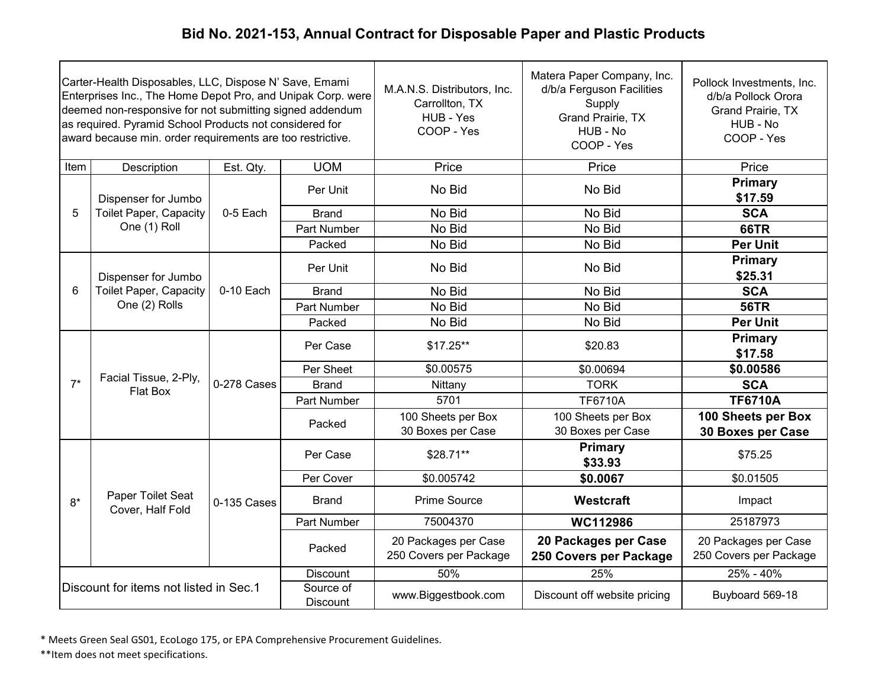| Carter-Health Disposables, LLC, Dispose N' Save, Emami<br>Enterprises Inc., The Home Depot Pro, and Unipak Corp. were<br>deemed non-responsive for not submitting signed addendum<br>as required. Pyramid School Products not considered for<br>award because min. order requirements are too restrictive. |                                        |             |                       | M.A.N.S. Distributors, Inc.<br>Carrollton, TX<br>HUB - Yes<br>COOP - Yes | Matera Paper Company, Inc.<br>d/b/a Ferguson Facilities<br>Supply<br>Grand Prairie, TX<br>HUB - No<br>COOP - Yes | Pollock Investments, Inc.<br>d/b/a Pollock Orora<br>Grand Prairie, TX<br>HUB - No<br>COOP - Yes |
|------------------------------------------------------------------------------------------------------------------------------------------------------------------------------------------------------------------------------------------------------------------------------------------------------------|----------------------------------------|-------------|-----------------------|--------------------------------------------------------------------------|------------------------------------------------------------------------------------------------------------------|-------------------------------------------------------------------------------------------------|
| Item                                                                                                                                                                                                                                                                                                       | Description                            | Est. Qty.   | <b>UOM</b>            | Price                                                                    | Price                                                                                                            | Price                                                                                           |
|                                                                                                                                                                                                                                                                                                            | Dispenser for Jumbo                    |             | Per Unit              | No Bid                                                                   | No Bid                                                                                                           | <b>Primary</b><br>\$17.59                                                                       |
| 5                                                                                                                                                                                                                                                                                                          | <b>Toilet Paper, Capacity</b>          | 0-5 Each    | <b>Brand</b>          | No Bid                                                                   | No Bid                                                                                                           | <b>SCA</b>                                                                                      |
|                                                                                                                                                                                                                                                                                                            | One (1) Roll                           |             | Part Number           | No Bid                                                                   | No Bid                                                                                                           | <b>66TR</b>                                                                                     |
|                                                                                                                                                                                                                                                                                                            |                                        |             | Packed                | No Bid                                                                   | No Bid                                                                                                           | <b>Per Unit</b>                                                                                 |
|                                                                                                                                                                                                                                                                                                            | Dispenser for Jumbo                    |             | Per Unit              | No Bid                                                                   | No Bid                                                                                                           | Primary<br>\$25.31                                                                              |
| 6                                                                                                                                                                                                                                                                                                          | <b>Toilet Paper, Capacity</b>          | 0-10 Each   | <b>Brand</b>          | No Bid                                                                   | No Bid                                                                                                           | <b>SCA</b>                                                                                      |
|                                                                                                                                                                                                                                                                                                            | One (2) Rolls                          |             | Part Number           | No Bid                                                                   | No Bid                                                                                                           | <b>56TR</b>                                                                                     |
|                                                                                                                                                                                                                                                                                                            |                                        |             | Packed                | No Bid                                                                   | No Bid                                                                                                           | <b>Per Unit</b>                                                                                 |
|                                                                                                                                                                                                                                                                                                            | Facial Tissue, 2-Ply,                  | 0-278 Cases | Per Case              | $$17.25**$                                                               | \$20.83                                                                                                          | <b>Primary</b><br>\$17.58                                                                       |
|                                                                                                                                                                                                                                                                                                            |                                        |             | Per Sheet             | \$0.00575                                                                | \$0.00694                                                                                                        | \$0.00586                                                                                       |
| $7^*$                                                                                                                                                                                                                                                                                                      |                                        |             | <b>Brand</b>          | Nittany                                                                  | <b>TORK</b>                                                                                                      | <b>SCA</b>                                                                                      |
|                                                                                                                                                                                                                                                                                                            | Flat Box                               |             | Part Number           | 5701                                                                     | <b>TF6710A</b>                                                                                                   | <b>TF6710A</b>                                                                                  |
|                                                                                                                                                                                                                                                                                                            |                                        |             | Packed                | 100 Sheets per Box<br>30 Boxes per Case                                  | 100 Sheets per Box<br>30 Boxes per Case                                                                          | 100 Sheets per Box<br>30 Boxes per Case                                                         |
|                                                                                                                                                                                                                                                                                                            |                                        |             | Per Case              | $$28.71**$                                                               | <b>Primary</b><br>\$33.93                                                                                        | \$75.25                                                                                         |
|                                                                                                                                                                                                                                                                                                            |                                        |             | Per Cover             | \$0.005742                                                               | \$0.0067                                                                                                         | \$0.01505                                                                                       |
| $8*$                                                                                                                                                                                                                                                                                                       | Paper Toilet Seat<br>Cover, Half Fold  | 0-135 Cases | <b>Brand</b>          | Prime Source                                                             | Westcraft                                                                                                        | Impact                                                                                          |
|                                                                                                                                                                                                                                                                                                            |                                        |             | Part Number           | 75004370                                                                 | WC112986                                                                                                         | 25187973                                                                                        |
|                                                                                                                                                                                                                                                                                                            |                                        |             | Packed                | 20 Packages per Case<br>250 Covers per Package                           | 20 Packages per Case<br>250 Covers per Package                                                                   | 20 Packages per Case<br>250 Covers per Package                                                  |
|                                                                                                                                                                                                                                                                                                            |                                        |             | <b>Discount</b>       | 50%                                                                      | 25%                                                                                                              | 25% - 40%                                                                                       |
|                                                                                                                                                                                                                                                                                                            | Discount for items not listed in Sec.1 |             | Source of<br>Discount | www.Biggestbook.com                                                      | Discount off website pricing                                                                                     | Buyboard 569-18                                                                                 |

\* Meets Green Seal GS01, EcoLogo 175, or EPA Comprehensive Procurement Guidelines.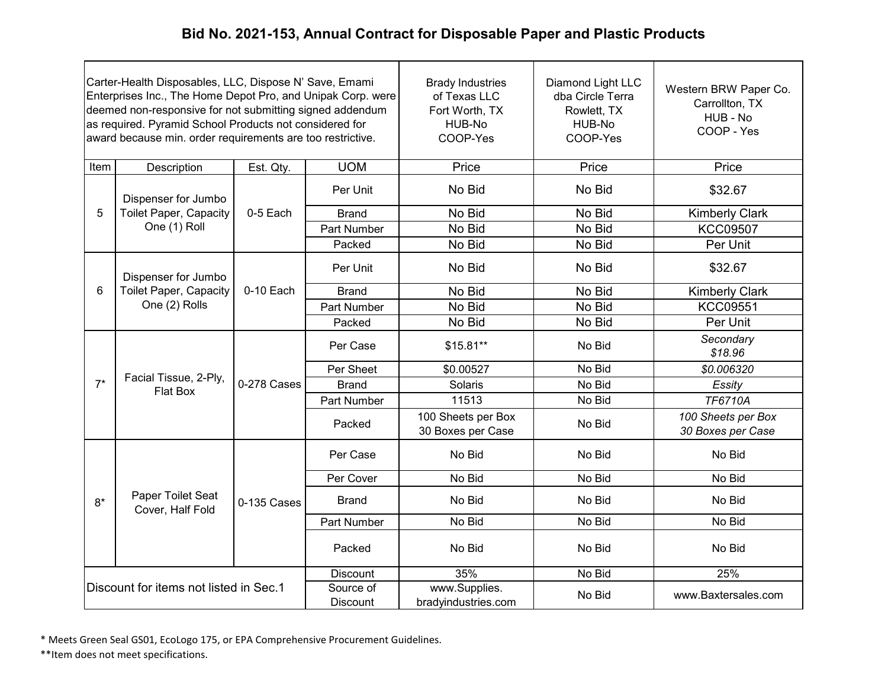|                                        | Carter-Health Disposables, LLC, Dispose N' Save, Emami<br>Enterprises Inc., The Home Depot Pro, and Unipak Corp. were<br>deemed non-responsive for not submitting signed addendum<br>as required. Pyramid School Products not considered for<br>award because min. order requirements are too restrictive. |             |                              | <b>Brady Industries</b><br>of Texas LLC<br>Fort Worth, TX<br>HUB-No<br>COOP-Yes | Diamond Light LLC<br>dba Circle Terra<br>Rowlett, TX<br>HUB-No<br>COOP-Yes | Western BRW Paper Co.<br>Carrollton, TX<br>HUB - No<br>COOP - Yes |
|----------------------------------------|------------------------------------------------------------------------------------------------------------------------------------------------------------------------------------------------------------------------------------------------------------------------------------------------------------|-------------|------------------------------|---------------------------------------------------------------------------------|----------------------------------------------------------------------------|-------------------------------------------------------------------|
| Item                                   | Description                                                                                                                                                                                                                                                                                                | Est. Qty.   | <b>UOM</b>                   | Price                                                                           | Price                                                                      | Price                                                             |
|                                        | Dispenser for Jumbo                                                                                                                                                                                                                                                                                        |             | Per Unit                     | No Bid                                                                          | No Bid                                                                     | \$32.67                                                           |
| 5                                      | <b>Toilet Paper, Capacity</b>                                                                                                                                                                                                                                                                              | 0-5 Each    | <b>Brand</b>                 | No Bid                                                                          | No Bid                                                                     | <b>Kimberly Clark</b>                                             |
|                                        | One (1) Roll                                                                                                                                                                                                                                                                                               |             | Part Number                  | No Bid                                                                          | No Bid                                                                     | <b>KCC09507</b>                                                   |
|                                        |                                                                                                                                                                                                                                                                                                            |             | Packed                       | No Bid                                                                          | No Bid                                                                     | Per Unit                                                          |
|                                        | Dispenser for Jumbo                                                                                                                                                                                                                                                                                        |             | Per Unit                     | No Bid                                                                          | No Bid                                                                     | \$32.67                                                           |
| 6                                      | <b>Toilet Paper, Capacity</b><br>One (2) Rolls                                                                                                                                                                                                                                                             | 0-10 Each   | <b>Brand</b>                 | No Bid                                                                          | No Bid                                                                     | <b>Kimberly Clark</b>                                             |
|                                        |                                                                                                                                                                                                                                                                                                            |             | Part Number                  | No Bid                                                                          | No Bid                                                                     | <b>KCC09551</b>                                                   |
|                                        |                                                                                                                                                                                                                                                                                                            |             | Packed                       | No Bid                                                                          | No Bid                                                                     | Per Unit                                                          |
|                                        | Facial Tissue, 2-Ply,<br>Flat Box                                                                                                                                                                                                                                                                          | 0-278 Cases | Per Case                     | $$15.81**$                                                                      | No Bid                                                                     | Secondary<br>\$18.96                                              |
|                                        |                                                                                                                                                                                                                                                                                                            |             | Per Sheet                    | \$0.00527                                                                       | No Bid                                                                     | \$0.006320                                                        |
| $7^*$                                  |                                                                                                                                                                                                                                                                                                            |             | <b>Brand</b>                 | Solaris                                                                         | No Bid                                                                     | Essity                                                            |
|                                        |                                                                                                                                                                                                                                                                                                            |             | Part Number                  | 11513                                                                           | No Bid                                                                     | <b>TF6710A</b>                                                    |
|                                        |                                                                                                                                                                                                                                                                                                            |             | Packed                       | 100 Sheets per Box<br>30 Boxes per Case                                         | No Bid                                                                     | 100 Sheets per Box<br>30 Boxes per Case                           |
|                                        |                                                                                                                                                                                                                                                                                                            |             | Per Case                     | No Bid                                                                          | No Bid                                                                     | No Bid                                                            |
|                                        |                                                                                                                                                                                                                                                                                                            |             | Per Cover                    | No Bid                                                                          | No Bid                                                                     | No Bid                                                            |
| $8*$                                   | Paper Toilet Seat<br>Cover, Half Fold                                                                                                                                                                                                                                                                      | 0-135 Cases | <b>Brand</b>                 | No Bid                                                                          | No Bid                                                                     | No Bid                                                            |
|                                        |                                                                                                                                                                                                                                                                                                            |             | Part Number                  | No Bid                                                                          | No Bid                                                                     | No Bid                                                            |
|                                        |                                                                                                                                                                                                                                                                                                            |             | Packed                       | No Bid                                                                          | No Bid                                                                     | No Bid                                                            |
|                                        |                                                                                                                                                                                                                                                                                                            |             | <b>Discount</b>              | 35%                                                                             | No Bid                                                                     | 25%                                                               |
| Discount for items not listed in Sec.1 |                                                                                                                                                                                                                                                                                                            |             | Source of<br><b>Discount</b> | www.Supplies.<br>bradyindustries.com                                            | No Bid                                                                     | www.Baxtersales.com                                               |

\* Meets Green Seal GS01, EcoLogo 175, or EPA Comprehensive Procurement Guidelines.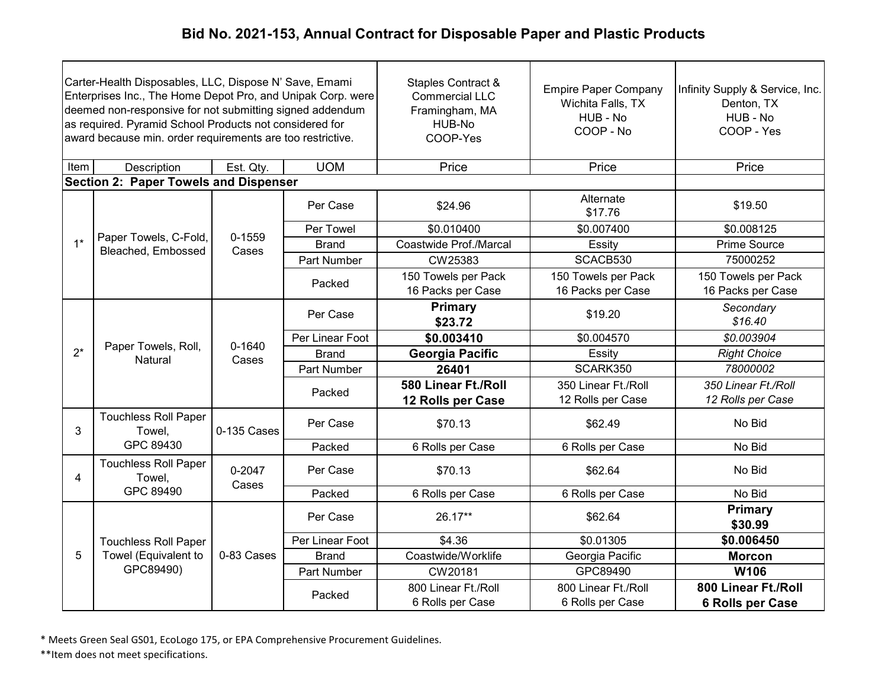| Carter-Health Disposables, LLC, Dispose N' Save, Emami<br>Enterprises Inc., The Home Depot Pro, and Unipak Corp. were<br>deemed non-responsive for not submitting signed addendum<br>as required. Pyramid School Products not considered for<br>award because min. order requirements are too restrictive. |                                              |                 |                 | Staples Contract &<br><b>Commercial LLC</b><br>Framingham, MA<br>HUB-No<br>COOP-Yes | <b>Empire Paper Company</b><br>Wichita Falls, TX<br>HUB - No<br>COOP - No | Infinity Supply & Service, Inc.<br>Denton, TX<br>HUB - No<br>COOP - Yes |
|------------------------------------------------------------------------------------------------------------------------------------------------------------------------------------------------------------------------------------------------------------------------------------------------------------|----------------------------------------------|-----------------|-----------------|-------------------------------------------------------------------------------------|---------------------------------------------------------------------------|-------------------------------------------------------------------------|
| Item                                                                                                                                                                                                                                                                                                       | Description                                  | Est. Qty.       | <b>UOM</b>      | Price                                                                               | Price                                                                     | Price                                                                   |
|                                                                                                                                                                                                                                                                                                            | <b>Section 2: Paper Towels and Dispenser</b> |                 |                 |                                                                                     |                                                                           |                                                                         |
|                                                                                                                                                                                                                                                                                                            |                                              |                 | Per Case        | \$24.96                                                                             | Alternate<br>\$17.76                                                      | \$19.50                                                                 |
|                                                                                                                                                                                                                                                                                                            |                                              | 0-1559          | Per Towel       | \$0.010400                                                                          | \$0.007400                                                                | \$0.008125                                                              |
| $1^*$                                                                                                                                                                                                                                                                                                      | Paper Towels, C-Fold,<br>Bleached, Embossed  | Cases           | <b>Brand</b>    | Coastwide Prof./Marcal                                                              | Essity                                                                    | <b>Prime Source</b>                                                     |
|                                                                                                                                                                                                                                                                                                            |                                              |                 | Part Number     | CW25383                                                                             | SCACB530                                                                  | 75000252                                                                |
|                                                                                                                                                                                                                                                                                                            |                                              |                 | Packed          | 150 Towels per Pack<br>16 Packs per Case                                            | 150 Towels per Pack<br>16 Packs per Case                                  | 150 Towels per Pack<br>16 Packs per Case                                |
|                                                                                                                                                                                                                                                                                                            | Paper Towels, Roll,<br><b>Natural</b>        | 0-1640<br>Cases | Per Case        | <b>Primary</b><br>\$23.72                                                           | \$19.20                                                                   | Secondary<br>\$16.40                                                    |
|                                                                                                                                                                                                                                                                                                            |                                              |                 | Per Linear Foot | \$0.003410                                                                          | \$0.004570                                                                | \$0.003904                                                              |
| $2^*$                                                                                                                                                                                                                                                                                                      |                                              |                 | <b>Brand</b>    | <b>Georgia Pacific</b>                                                              | Essity                                                                    | <b>Right Choice</b>                                                     |
|                                                                                                                                                                                                                                                                                                            |                                              |                 | Part Number     | 26401                                                                               | SCARK350                                                                  | 78000002                                                                |
|                                                                                                                                                                                                                                                                                                            |                                              |                 | Packed          | 580 Linear Ft./Roll<br>12 Rolls per Case                                            | 350 Linear Ft./Roll<br>12 Rolls per Case                                  | 350 Linear Ft./Roll<br>12 Rolls per Case                                |
| 3                                                                                                                                                                                                                                                                                                          | <b>Touchless Roll Paper</b><br>Towel,        | 0-135 Cases     | Per Case        | \$70.13                                                                             | \$62.49                                                                   | No Bid                                                                  |
|                                                                                                                                                                                                                                                                                                            | GPC 89430                                    |                 | Packed          | 6 Rolls per Case                                                                    | 6 Rolls per Case                                                          | No Bid                                                                  |
| 4                                                                                                                                                                                                                                                                                                          | <b>Touchless Roll Paper</b><br>Towel,        | 0-2047<br>Cases | Per Case        | \$70.13                                                                             | \$62.64                                                                   | No Bid                                                                  |
|                                                                                                                                                                                                                                                                                                            | GPC 89490                                    |                 | Packed          | 6 Rolls per Case                                                                    | 6 Rolls per Case                                                          | No Bid                                                                  |
|                                                                                                                                                                                                                                                                                                            |                                              |                 | Per Case        | 26.17**                                                                             | \$62.64                                                                   | Primary<br>\$30.99                                                      |
|                                                                                                                                                                                                                                                                                                            | <b>Touchless Roll Paper</b>                  |                 | Per Linear Foot | \$4.36                                                                              | \$0.01305                                                                 | \$0.006450                                                              |
| 5                                                                                                                                                                                                                                                                                                          | Towel (Equivalent to                         | 0-83 Cases      | <b>Brand</b>    | Coastwide/Worklife                                                                  | Georgia Pacific                                                           | <b>Morcon</b>                                                           |
|                                                                                                                                                                                                                                                                                                            | GPC89490)                                    |                 | Part Number     | CW20181                                                                             | GPC89490                                                                  | <b>W106</b>                                                             |
|                                                                                                                                                                                                                                                                                                            |                                              |                 | Packed          | 800 Linear Ft./Roll<br>6 Rolls per Case                                             | 800 Linear Ft./Roll<br>6 Rolls per Case                                   | 800 Linear Ft./Roll<br>6 Rolls per Case                                 |

\* Meets Green Seal GS01, EcoLogo 175, or EPA Comprehensive Procurement Guidelines.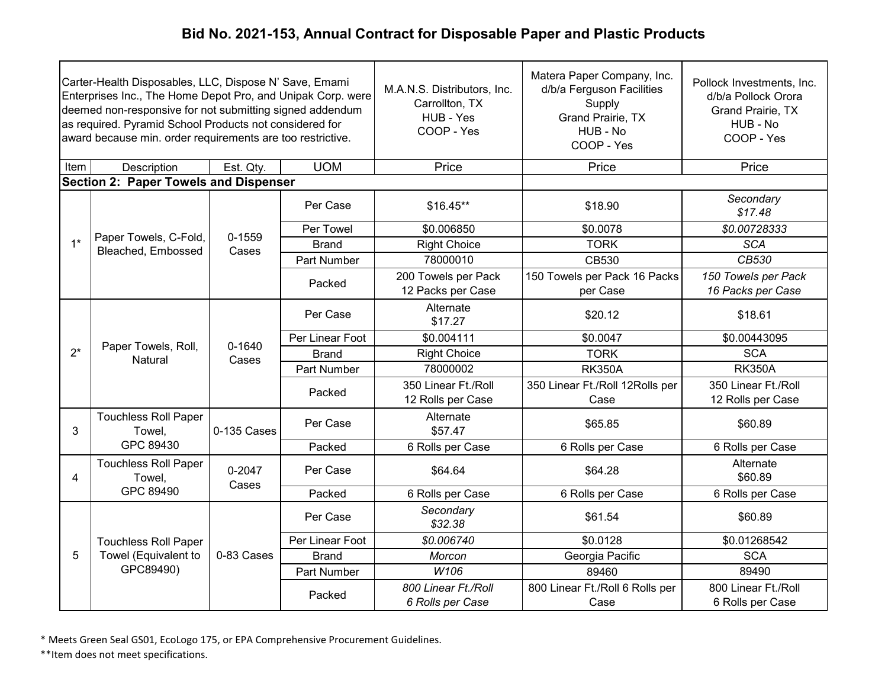| Carter-Health Disposables, LLC, Dispose N' Save, Emami<br>Enterprises Inc., The Home Depot Pro, and Unipak Corp. were<br>deemed non-responsive for not submitting signed addendum<br>as required. Pyramid School Products not considered for<br>award because min. order requirements are too restrictive. |                                              |                     |                 | M.A.N.S. Distributors, Inc.<br>Carrollton, TX<br>HUB - Yes<br>COOP - Yes | Matera Paper Company, Inc.<br>d/b/a Ferguson Facilities<br>Supply<br>Grand Prairie, TX<br>HUB - No<br>COOP - Yes | Pollock Investments, Inc.<br>d/b/a Pollock Orora<br><b>Grand Prairie, TX</b><br>HUB - No<br>COOP - Yes |
|------------------------------------------------------------------------------------------------------------------------------------------------------------------------------------------------------------------------------------------------------------------------------------------------------------|----------------------------------------------|---------------------|-----------------|--------------------------------------------------------------------------|------------------------------------------------------------------------------------------------------------------|--------------------------------------------------------------------------------------------------------|
| Item                                                                                                                                                                                                                                                                                                       | Description                                  | Est. Qty.           | <b>UOM</b>      | Price                                                                    | Price                                                                                                            | Price                                                                                                  |
|                                                                                                                                                                                                                                                                                                            | <b>Section 2: Paper Towels and Dispenser</b> |                     |                 |                                                                          |                                                                                                                  |                                                                                                        |
|                                                                                                                                                                                                                                                                                                            |                                              |                     | Per Case        | $$16.45**$                                                               | \$18.90                                                                                                          | Secondary<br>\$17.48                                                                                   |
|                                                                                                                                                                                                                                                                                                            |                                              | 0-1559              | Per Towel       | \$0.006850                                                               | \$0.0078                                                                                                         | \$0.00728333                                                                                           |
| $1*$                                                                                                                                                                                                                                                                                                       | Paper Towels, C-Fold,<br>Bleached, Embossed  | Cases               | <b>Brand</b>    | <b>Right Choice</b>                                                      | <b>TORK</b>                                                                                                      | <b>SCA</b>                                                                                             |
|                                                                                                                                                                                                                                                                                                            |                                              |                     | Part Number     | 78000010                                                                 | CB530                                                                                                            | CB530                                                                                                  |
|                                                                                                                                                                                                                                                                                                            |                                              |                     | Packed          | 200 Towels per Pack<br>12 Packs per Case                                 | 150 Towels per Pack 16 Packs<br>per Case                                                                         | 150 Towels per Pack<br>16 Packs per Case                                                               |
|                                                                                                                                                                                                                                                                                                            | Paper Towels, Roll,<br>Natural               |                     | Per Case        | Alternate<br>\$17.27                                                     | \$20.12                                                                                                          | \$18.61                                                                                                |
|                                                                                                                                                                                                                                                                                                            |                                              | $0 - 1640$          | Per Linear Foot | \$0.004111                                                               | \$0.0047                                                                                                         | \$0.00443095                                                                                           |
| $2^*$                                                                                                                                                                                                                                                                                                      |                                              | Cases               | <b>Brand</b>    | <b>Right Choice</b>                                                      | <b>TORK</b>                                                                                                      | <b>SCA</b>                                                                                             |
|                                                                                                                                                                                                                                                                                                            |                                              |                     | Part Number     | 78000002                                                                 | <b>RK350A</b>                                                                                                    | <b>RK350A</b>                                                                                          |
|                                                                                                                                                                                                                                                                                                            |                                              |                     | Packed          | 350 Linear Ft./Roll<br>12 Rolls per Case                                 | 350 Linear Ft./Roll 12Rolls per<br>Case                                                                          | 350 Linear Ft./Roll<br>12 Rolls per Case                                                               |
| 3                                                                                                                                                                                                                                                                                                          | <b>Touchless Roll Paper</b><br>Towel,        | 0-135 Cases         | Per Case        | Alternate<br>\$57.47                                                     | \$65.85                                                                                                          | \$60.89                                                                                                |
|                                                                                                                                                                                                                                                                                                            | GPC 89430                                    |                     | Packed          | 6 Rolls per Case                                                         | 6 Rolls per Case                                                                                                 | 6 Rolls per Case                                                                                       |
| $\overline{4}$                                                                                                                                                                                                                                                                                             | <b>Touchless Roll Paper</b><br>Towel,        | $0 - 2047$<br>Cases | Per Case        | \$64.64                                                                  | \$64.28                                                                                                          | Alternate<br>\$60.89                                                                                   |
|                                                                                                                                                                                                                                                                                                            | GPC 89490                                    |                     | Packed          | 6 Rolls per Case                                                         | 6 Rolls per Case                                                                                                 | 6 Rolls per Case                                                                                       |
|                                                                                                                                                                                                                                                                                                            |                                              |                     | Per Case        | Secondary<br>\$32.38                                                     | \$61.54                                                                                                          | \$60.89                                                                                                |
|                                                                                                                                                                                                                                                                                                            | <b>Touchless Roll Paper</b>                  |                     | Per Linear Foot | \$0.006740                                                               | \$0.0128                                                                                                         | \$0.01268542                                                                                           |
| 5                                                                                                                                                                                                                                                                                                          | Towel (Equivalent to                         | 0-83 Cases          | <b>Brand</b>    | Morcon                                                                   | Georgia Pacific                                                                                                  | <b>SCA</b>                                                                                             |
|                                                                                                                                                                                                                                                                                                            | GPC89490)                                    |                     | Part Number     | W106                                                                     | 89460                                                                                                            | 89490                                                                                                  |
|                                                                                                                                                                                                                                                                                                            |                                              |                     | Packed          | 800 Linear Ft./Roll<br>6 Rolls per Case                                  | 800 Linear Ft./Roll 6 Rolls per<br>Case                                                                          | 800 Linear Ft./Roll<br>6 Rolls per Case                                                                |

\* Meets Green Seal GS01, EcoLogo 175, or EPA Comprehensive Procurement Guidelines.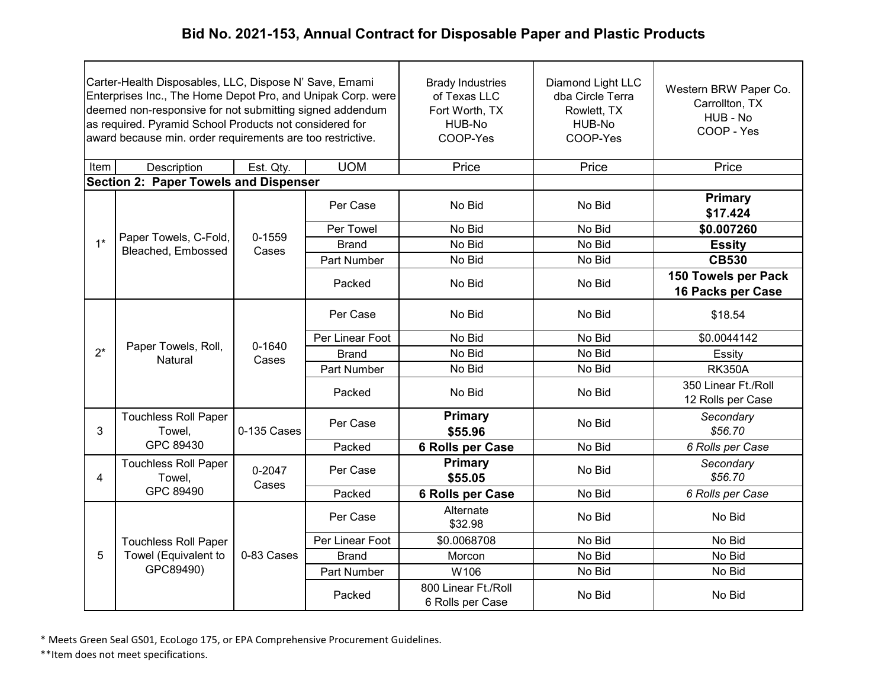| Carter-Health Disposables, LLC, Dispose N' Save, Emami<br>Enterprises Inc., The Home Depot Pro, and Unipak Corp. were<br>deemed non-responsive for not submitting signed addendum<br>as required. Pyramid School Products not considered for<br>award because min. order requirements are too restrictive. |                                              |                     |                 | <b>Brady Industries</b><br>of Texas LLC<br>Fort Worth, TX<br>HUB-No<br>COOP-Yes | Diamond Light LLC<br>dba Circle Terra<br>Rowlett, TX<br>HUB-No<br>COOP-Yes | Western BRW Paper Co.<br>Carrollton, TX<br>HUB - No<br>COOP - Yes |
|------------------------------------------------------------------------------------------------------------------------------------------------------------------------------------------------------------------------------------------------------------------------------------------------------------|----------------------------------------------|---------------------|-----------------|---------------------------------------------------------------------------------|----------------------------------------------------------------------------|-------------------------------------------------------------------|
| Item                                                                                                                                                                                                                                                                                                       | Description                                  | Est. Qty.           | <b>UOM</b>      | Price                                                                           | Price                                                                      | Price                                                             |
|                                                                                                                                                                                                                                                                                                            | <b>Section 2: Paper Towels and Dispenser</b> |                     |                 |                                                                                 |                                                                            |                                                                   |
|                                                                                                                                                                                                                                                                                                            |                                              |                     | Per Case        | No Bid                                                                          | No Bid                                                                     | <b>Primary</b><br>\$17.424                                        |
|                                                                                                                                                                                                                                                                                                            |                                              | $0 - 1559$          | Per Towel       | No Bid                                                                          | No Bid                                                                     | \$0.007260                                                        |
| $1*$                                                                                                                                                                                                                                                                                                       | Paper Towels, C-Fold,<br>Bleached, Embossed  | Cases               | <b>Brand</b>    | No Bid                                                                          | No Bid                                                                     | <b>Essity</b>                                                     |
|                                                                                                                                                                                                                                                                                                            |                                              |                     | Part Number     | No Bid                                                                          | No Bid                                                                     | <b>CB530</b>                                                      |
|                                                                                                                                                                                                                                                                                                            |                                              |                     | Packed          | No Bid                                                                          | No Bid                                                                     | 150 Towels per Pack<br>16 Packs per Case                          |
|                                                                                                                                                                                                                                                                                                            | Paper Towels, Roll,<br>Natural               | $0 - 1640$<br>Cases | Per Case        | No Bid                                                                          | No Bid                                                                     | \$18.54                                                           |
|                                                                                                                                                                                                                                                                                                            |                                              |                     | Per Linear Foot | No Bid                                                                          | No Bid                                                                     | \$0.0044142                                                       |
| $2^*$                                                                                                                                                                                                                                                                                                      |                                              |                     | <b>Brand</b>    | No Bid                                                                          | No Bid                                                                     | Essity                                                            |
|                                                                                                                                                                                                                                                                                                            |                                              |                     | Part Number     | No Bid                                                                          | No Bid                                                                     | <b>RK350A</b>                                                     |
|                                                                                                                                                                                                                                                                                                            |                                              |                     | Packed          | No Bid                                                                          | No Bid                                                                     | 350 Linear Ft./Roll<br>12 Rolls per Case                          |
| 3                                                                                                                                                                                                                                                                                                          | <b>Touchless Roll Paper</b><br>Towel,        | 0-135 Cases         | Per Case        | <b>Primary</b><br>\$55.96                                                       | No Bid                                                                     | Secondary<br>\$56.70                                              |
|                                                                                                                                                                                                                                                                                                            | GPC 89430                                    |                     | Packed          | 6 Rolls per Case                                                                | No Bid                                                                     | 6 Rolls per Case                                                  |
| 4                                                                                                                                                                                                                                                                                                          | <b>Touchless Roll Paper</b><br>Towel,        | 0-2047<br>Cases     | Per Case        | <b>Primary</b><br>\$55.05                                                       | No Bid                                                                     | Secondary<br>\$56.70                                              |
|                                                                                                                                                                                                                                                                                                            | GPC 89490                                    |                     | Packed          | 6 Rolls per Case                                                                | No Bid                                                                     | 6 Rolls per Case                                                  |
|                                                                                                                                                                                                                                                                                                            |                                              |                     | Per Case        | Alternate<br>\$32.98                                                            | No Bid                                                                     | No Bid                                                            |
|                                                                                                                                                                                                                                                                                                            | <b>Touchless Roll Paper</b>                  |                     | Per Linear Foot | \$0.0068708                                                                     | No Bid                                                                     | No Bid                                                            |
| 5                                                                                                                                                                                                                                                                                                          | Towel (Equivalent to                         | 0-83 Cases          | <b>Brand</b>    | Morcon                                                                          | No Bid                                                                     | No Bid                                                            |
|                                                                                                                                                                                                                                                                                                            | GPC89490)                                    |                     | Part Number     | W106                                                                            | No Bid                                                                     | No Bid                                                            |
|                                                                                                                                                                                                                                                                                                            |                                              |                     | Packed          | 800 Linear Ft./Roll<br>6 Rolls per Case                                         | No Bid                                                                     | No Bid                                                            |

\* Meets Green Seal GS01, EcoLogo 175, or EPA Comprehensive Procurement Guidelines.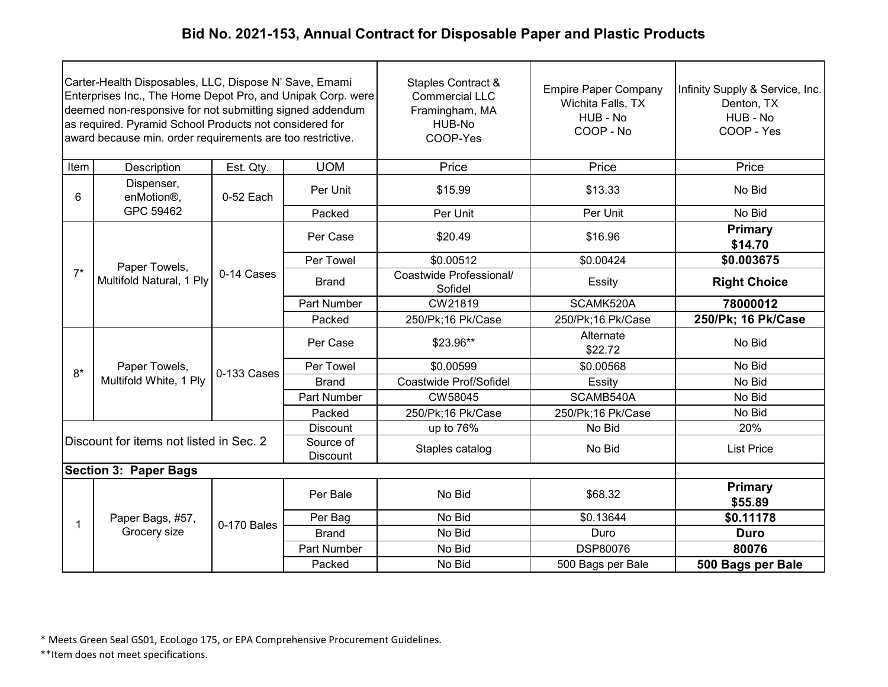| Carter-Health Disposables, LLC, Dispose N' Save, Emami<br>Enterprises Inc., The Home Depot Pro, and Unipak Corp. were<br>deemed non-responsive for not submitting signed addendum<br>as required. Pyramid School Products not considered for<br>award because min. order requirements are too restrictive. |                                         |             |                              | Staples Contract &<br><b>Commercial LLC</b><br>Framingham, MA<br>HUB-No<br>COOP-Yes | <b>Empire Paper Company</b><br>Wichita Falls, TX<br>HUB - No<br>COOP - No | Infinity Supply & Service, Inc.<br>Denton, TX<br>HUB - No<br>COOP - Yes |
|------------------------------------------------------------------------------------------------------------------------------------------------------------------------------------------------------------------------------------------------------------------------------------------------------------|-----------------------------------------|-------------|------------------------------|-------------------------------------------------------------------------------------|---------------------------------------------------------------------------|-------------------------------------------------------------------------|
| Item                                                                                                                                                                                                                                                                                                       | Description                             | Est. Qty.   | <b>UOM</b>                   | Price                                                                               | Price                                                                     | Price                                                                   |
| 6                                                                                                                                                                                                                                                                                                          | Dispenser,<br>enMotion <sup>®</sup> ,   | 0-52 Each   | Per Unit                     | \$15.99                                                                             | \$13.33                                                                   | No Bid                                                                  |
|                                                                                                                                                                                                                                                                                                            | GPC 59462                               |             | Packed                       | Per Unit                                                                            | Per Unit                                                                  | No Bid                                                                  |
|                                                                                                                                                                                                                                                                                                            |                                         |             | Per Case                     | \$20.49                                                                             | \$16.96                                                                   | Primary<br>\$14.70                                                      |
|                                                                                                                                                                                                                                                                                                            | Paper Towels,                           | 0-14 Cases  | Per Towel                    | \$0.00512                                                                           | \$0.00424                                                                 | \$0.003675                                                              |
| $7^*$                                                                                                                                                                                                                                                                                                      | Multifold Natural, 1 Ply                |             | <b>Brand</b>                 | Coastwide Professional/<br>Sofidel                                                  | Essity                                                                    | <b>Right Choice</b>                                                     |
|                                                                                                                                                                                                                                                                                                            |                                         |             | Part Number                  | CW21819                                                                             | SCAMK520A                                                                 | 78000012                                                                |
|                                                                                                                                                                                                                                                                                                            |                                         |             | Packed                       | 250/Pk;16 Pk/Case                                                                   | 250/Pk;16 Pk/Case                                                         | 250/Pk; 16 Pk/Case                                                      |
|                                                                                                                                                                                                                                                                                                            | Paper Towels,                           | 0-133 Cases | Per Case                     | \$23.96**                                                                           | Alternate<br>\$22.72                                                      | No Bid                                                                  |
| $8*$                                                                                                                                                                                                                                                                                                       |                                         |             | Per Towel                    | \$0.00599                                                                           | \$0.00568                                                                 | No Bid                                                                  |
|                                                                                                                                                                                                                                                                                                            | Multifold White, 1 Ply                  |             | <b>Brand</b>                 | Coastwide Prof/Sofidel                                                              | Essity                                                                    | No Bid                                                                  |
|                                                                                                                                                                                                                                                                                                            |                                         |             | Part Number                  | CW58045                                                                             | SCAMB540A                                                                 | No Bid                                                                  |
|                                                                                                                                                                                                                                                                                                            |                                         |             | Packed                       | 250/Pk;16 Pk/Case                                                                   | 250/Pk;16 Pk/Case                                                         | No Bid                                                                  |
|                                                                                                                                                                                                                                                                                                            |                                         |             | <b>Discount</b>              | up to 76%                                                                           | No Bid                                                                    | 20%                                                                     |
|                                                                                                                                                                                                                                                                                                            | Discount for items not listed in Sec. 2 |             | Source of<br><b>Discount</b> | Staples catalog                                                                     | No Bid                                                                    | <b>List Price</b>                                                       |
|                                                                                                                                                                                                                                                                                                            | <b>Section 3: Paper Bags</b>            |             |                              |                                                                                     |                                                                           |                                                                         |
|                                                                                                                                                                                                                                                                                                            |                                         |             | Per Bale                     | No Bid                                                                              | \$68.32                                                                   | Primary<br>\$55.89                                                      |
| 1                                                                                                                                                                                                                                                                                                          | Paper Bags, #57,                        | 0-170 Bales | Per Bag                      | No Bid                                                                              | \$0.13644                                                                 | \$0.11178                                                               |
|                                                                                                                                                                                                                                                                                                            | Grocery size                            |             | <b>Brand</b>                 | No Bid                                                                              | Duro                                                                      | <b>Duro</b>                                                             |
|                                                                                                                                                                                                                                                                                                            |                                         |             | Part Number                  | No Bid                                                                              | <b>DSP80076</b>                                                           | 80076                                                                   |
|                                                                                                                                                                                                                                                                                                            |                                         |             | Packed                       | No Bid                                                                              | 500 Bags per Bale                                                         | 500 Bags per Bale                                                       |

\* Meets Green Seal GS01, EcoLogo 175, or EPA Comprehensive Procurement Guidelines.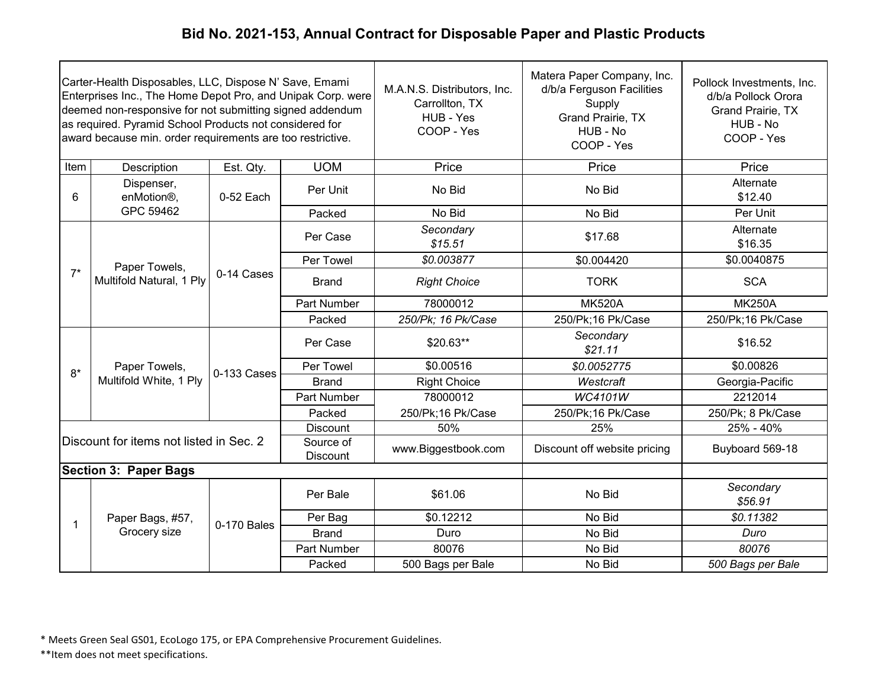| Carter-Health Disposables, LLC, Dispose N' Save, Emami<br>Enterprises Inc., The Home Depot Pro, and Unipak Corp. were<br>deemed non-responsive for not submitting signed addendum<br>as required. Pyramid School Products not considered for<br>award because min. order requirements are too restrictive. |                                         |             |                              | M.A.N.S. Distributors, Inc.<br>Carrollton, TX<br>HUB - Yes<br>COOP - Yes | Matera Paper Company, Inc.<br>d/b/a Ferguson Facilities<br>Supply<br>Grand Prairie, TX<br>HUB - No<br>COOP - Yes | Pollock Investments, Inc.<br>d/b/a Pollock Orora<br>Grand Prairie, TX<br>HUB - No<br>COOP - Yes |
|------------------------------------------------------------------------------------------------------------------------------------------------------------------------------------------------------------------------------------------------------------------------------------------------------------|-----------------------------------------|-------------|------------------------------|--------------------------------------------------------------------------|------------------------------------------------------------------------------------------------------------------|-------------------------------------------------------------------------------------------------|
| Item                                                                                                                                                                                                                                                                                                       | Description                             | Est. Qty.   | <b>UOM</b>                   | Price                                                                    | Price                                                                                                            | Price                                                                                           |
| 6                                                                                                                                                                                                                                                                                                          | Dispenser,<br>enMotion <sup>®</sup> ,   | 0-52 Each   | Per Unit                     | No Bid                                                                   | No Bid                                                                                                           | Alternate<br>\$12.40                                                                            |
|                                                                                                                                                                                                                                                                                                            | GPC 59462                               |             | Packed                       | No Bid                                                                   | No Bid                                                                                                           | Per Unit                                                                                        |
|                                                                                                                                                                                                                                                                                                            |                                         |             | Per Case                     | Secondary<br>\$15.51                                                     | \$17.68                                                                                                          | Alternate<br>\$16.35                                                                            |
|                                                                                                                                                                                                                                                                                                            | Paper Towels,                           |             | Per Towel                    | \$0.003877                                                               | \$0.004420                                                                                                       | \$0.0040875                                                                                     |
| $7^*$                                                                                                                                                                                                                                                                                                      | Multifold Natural, 1 Ply                | 0-14 Cases  | <b>Brand</b>                 | <b>Right Choice</b>                                                      | <b>TORK</b>                                                                                                      | <b>SCA</b>                                                                                      |
|                                                                                                                                                                                                                                                                                                            |                                         |             | Part Number                  | 78000012                                                                 | <b>MK520A</b>                                                                                                    | <b>MK250A</b>                                                                                   |
|                                                                                                                                                                                                                                                                                                            |                                         |             | Packed                       | 250/Pk; 16 Pk/Case                                                       | 250/Pk;16 Pk/Case                                                                                                | 250/Pk;16 Pk/Case                                                                               |
|                                                                                                                                                                                                                                                                                                            |                                         | 0-133 Cases | Per Case                     | $$20.63**$                                                               | Secondary<br>\$21.11                                                                                             | \$16.52                                                                                         |
| $8*$                                                                                                                                                                                                                                                                                                       | Paper Towels,                           |             | Per Towel                    | \$0.00516                                                                | \$0.0052775                                                                                                      | \$0.00826                                                                                       |
|                                                                                                                                                                                                                                                                                                            | Multifold White, 1 Ply                  |             | <b>Brand</b>                 | <b>Right Choice</b>                                                      | Westcraft                                                                                                        | Georgia-Pacific                                                                                 |
|                                                                                                                                                                                                                                                                                                            |                                         |             | Part Number                  | 78000012                                                                 | <b>WC4101W</b>                                                                                                   | 2212014                                                                                         |
|                                                                                                                                                                                                                                                                                                            |                                         |             | Packed                       | 250/Pk;16 Pk/Case                                                        | 250/Pk;16 Pk/Case                                                                                                | 250/Pk; 8 Pk/Case                                                                               |
|                                                                                                                                                                                                                                                                                                            |                                         |             | <b>Discount</b>              | 50%                                                                      | 25%                                                                                                              | 25% - 40%                                                                                       |
|                                                                                                                                                                                                                                                                                                            | Discount for items not listed in Sec. 2 |             | Source of<br><b>Discount</b> | www.Biggestbook.com                                                      | Discount off website pricing                                                                                     | Buyboard 569-18                                                                                 |
|                                                                                                                                                                                                                                                                                                            | <b>Section 3: Paper Bags</b>            |             |                              |                                                                          |                                                                                                                  |                                                                                                 |
|                                                                                                                                                                                                                                                                                                            |                                         |             | Per Bale                     | \$61.06                                                                  | No Bid                                                                                                           | Secondary<br>\$56.91                                                                            |
| $\mathbf 1$                                                                                                                                                                                                                                                                                                | Paper Bags, #57,                        | 0-170 Bales | Per Bag                      | \$0.12212                                                                | No Bid                                                                                                           | \$0.11382                                                                                       |
|                                                                                                                                                                                                                                                                                                            | Grocery size                            |             | <b>Brand</b>                 | Duro                                                                     | No Bid                                                                                                           | Duro                                                                                            |
|                                                                                                                                                                                                                                                                                                            |                                         |             | Part Number                  | 80076                                                                    | No Bid                                                                                                           | 80076                                                                                           |
|                                                                                                                                                                                                                                                                                                            |                                         |             | Packed                       | 500 Bags per Bale                                                        | No Bid                                                                                                           | 500 Bags per Bale                                                                               |

\* Meets Green Seal GS01, EcoLogo 175, or EPA Comprehensive Procurement Guidelines.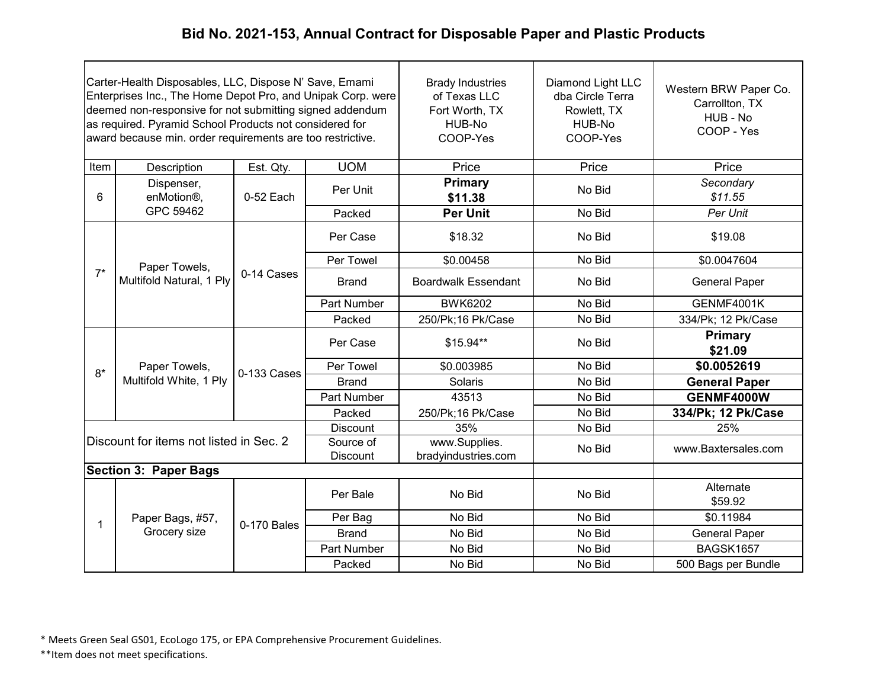| Carter-Health Disposables, LLC, Dispose N' Save, Emami<br>Enterprises Inc., The Home Depot Pro, and Unipak Corp. were<br>deemed non-responsive for not submitting signed addendum<br>as required. Pyramid School Products not considered for<br>award because min. order requirements are too restrictive. |                                         |             | <b>Brady Industries</b><br>of Texas LLC<br>Fort Worth, TX<br>HUB-No<br>COOP-Yes | Diamond Light LLC<br>dba Circle Terra<br>Rowlett, TX<br>HUB-No<br>COOP-Yes | Western BRW Paper Co.<br>Carrollton, TX<br>HUB - No<br>COOP - Yes |                           |
|------------------------------------------------------------------------------------------------------------------------------------------------------------------------------------------------------------------------------------------------------------------------------------------------------------|-----------------------------------------|-------------|---------------------------------------------------------------------------------|----------------------------------------------------------------------------|-------------------------------------------------------------------|---------------------------|
| Item                                                                                                                                                                                                                                                                                                       | Description                             | Est. Qty.   | <b>UOM</b>                                                                      | Price                                                                      | Price                                                             | Price                     |
| 6                                                                                                                                                                                                                                                                                                          | Dispenser,<br>enMotion <sup>®</sup> ,   | 0-52 Each   | Per Unit                                                                        | <b>Primary</b><br>\$11.38                                                  | No Bid                                                            | Secondary<br>\$11.55      |
|                                                                                                                                                                                                                                                                                                            | GPC 59462                               |             | Packed                                                                          | <b>Per Unit</b>                                                            | No Bid                                                            | Per Unit                  |
|                                                                                                                                                                                                                                                                                                            |                                         |             | Per Case                                                                        | \$18.32                                                                    | No Bid                                                            | \$19.08                   |
|                                                                                                                                                                                                                                                                                                            | Paper Towels,                           |             | Per Towel                                                                       | \$0.00458                                                                  | No Bid                                                            | \$0.0047604               |
| $7^*$                                                                                                                                                                                                                                                                                                      | Multifold Natural, 1 Ply                | 0-14 Cases  | <b>Brand</b>                                                                    | <b>Boardwalk Essendant</b>                                                 | No Bid                                                            | <b>General Paper</b>      |
|                                                                                                                                                                                                                                                                                                            |                                         |             | <b>Part Number</b>                                                              | <b>BWK6202</b>                                                             | No Bid                                                            | GENMF4001K                |
|                                                                                                                                                                                                                                                                                                            |                                         |             | Packed                                                                          | 250/Pk;16 Pk/Case                                                          | No Bid                                                            | 334/Pk; 12 Pk/Case        |
|                                                                                                                                                                                                                                                                                                            | Paper Towels,                           | 0-133 Cases | Per Case                                                                        | \$15.94**                                                                  | No Bid                                                            | <b>Primary</b><br>\$21.09 |
| $8*$                                                                                                                                                                                                                                                                                                       |                                         |             | Per Towel                                                                       | \$0.003985                                                                 | No Bid                                                            | \$0.0052619               |
|                                                                                                                                                                                                                                                                                                            | Multifold White, 1 Ply                  |             | <b>Brand</b>                                                                    | Solaris                                                                    | No Bid                                                            | <b>General Paper</b>      |
|                                                                                                                                                                                                                                                                                                            |                                         |             | Part Number                                                                     | 43513                                                                      | No Bid                                                            | <b>GENMF4000W</b>         |
|                                                                                                                                                                                                                                                                                                            |                                         |             | Packed                                                                          | 250/Pk;16 Pk/Case                                                          | No Bid                                                            | 334/Pk; 12 Pk/Case        |
|                                                                                                                                                                                                                                                                                                            |                                         |             | Discount                                                                        | 35%                                                                        | No Bid                                                            | 25%                       |
|                                                                                                                                                                                                                                                                                                            | Discount for items not listed in Sec. 2 |             | Source of<br><b>Discount</b>                                                    | www.Supplies.<br>bradyindustries.com                                       | No Bid                                                            | www.Baxtersales.com       |
|                                                                                                                                                                                                                                                                                                            | <b>Section 3: Paper Bags</b>            |             |                                                                                 |                                                                            |                                                                   |                           |
|                                                                                                                                                                                                                                                                                                            |                                         |             | Per Bale                                                                        | No Bid                                                                     | No Bid                                                            | Alternate<br>\$59.92      |
|                                                                                                                                                                                                                                                                                                            | Paper Bags, #57,                        | 0-170 Bales | Per Bag                                                                         | No Bid                                                                     | No Bid                                                            | \$0.11984                 |
|                                                                                                                                                                                                                                                                                                            | Grocery size                            |             | <b>Brand</b>                                                                    | No Bid                                                                     | No Bid                                                            | <b>General Paper</b>      |
|                                                                                                                                                                                                                                                                                                            |                                         |             | Part Number                                                                     | No Bid                                                                     | No Bid                                                            | BAGSK1657                 |
|                                                                                                                                                                                                                                                                                                            |                                         |             | Packed                                                                          | No Bid                                                                     | No Bid                                                            | 500 Bags per Bundle       |

\* Meets Green Seal GS01, EcoLogo 175, or EPA Comprehensive Procurement Guidelines.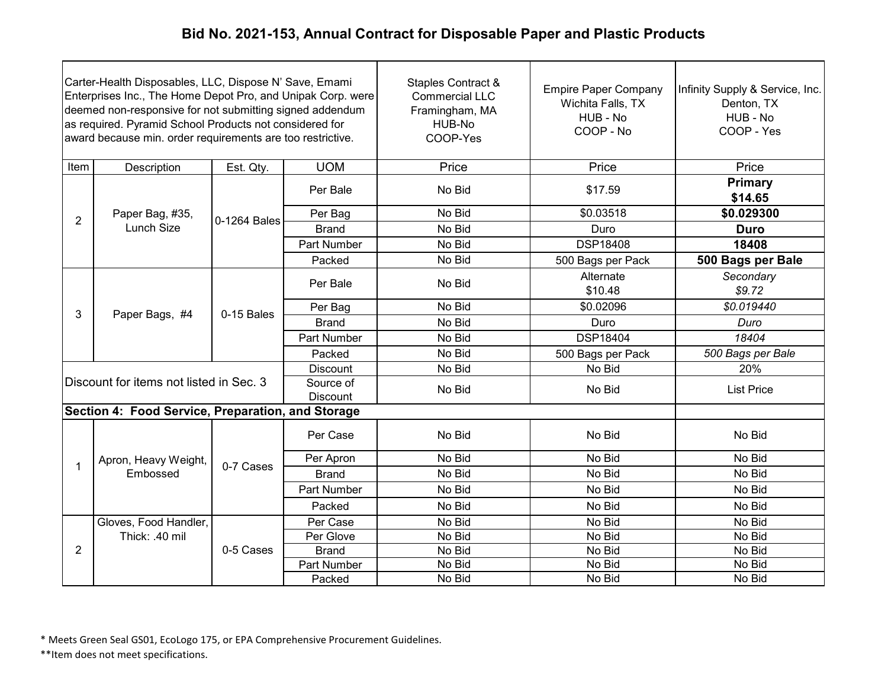| Carter-Health Disposables, LLC, Dispose N' Save, Emami<br>Enterprises Inc., The Home Depot Pro, and Unipak Corp. were<br>deemed non-responsive for not submitting signed addendum<br>as required. Pyramid School Products not considered for<br>award because min. order requirements are too restrictive. |                                                   |              |                              | Staples Contract &<br><b>Commercial LLC</b><br>Framingham, MA<br>HUB-No<br>COOP-Yes | <b>Empire Paper Company</b><br>Wichita Falls, TX<br>HUB - No<br>COOP - No | Infinity Supply & Service, Inc.<br>Denton, TX<br>HUB - No<br>COOP - Yes |
|------------------------------------------------------------------------------------------------------------------------------------------------------------------------------------------------------------------------------------------------------------------------------------------------------------|---------------------------------------------------|--------------|------------------------------|-------------------------------------------------------------------------------------|---------------------------------------------------------------------------|-------------------------------------------------------------------------|
| Item                                                                                                                                                                                                                                                                                                       | Description                                       | Est. Qty.    | <b>UOM</b>                   | Price                                                                               | Price                                                                     | Price                                                                   |
|                                                                                                                                                                                                                                                                                                            |                                                   |              | Per Bale                     | No Bid                                                                              | \$17.59                                                                   | <b>Primary</b><br>\$14.65                                               |
| $\overline{2}$                                                                                                                                                                                                                                                                                             | Paper Bag, #35,                                   | 0-1264 Bales | Per Bag                      | No Bid                                                                              | \$0.03518                                                                 | \$0.029300                                                              |
|                                                                                                                                                                                                                                                                                                            | Lunch Size                                        |              | <b>Brand</b>                 | No Bid                                                                              | Duro                                                                      | <b>Duro</b>                                                             |
|                                                                                                                                                                                                                                                                                                            |                                                   |              | Part Number                  | No Bid                                                                              | <b>DSP18408</b>                                                           | 18408                                                                   |
|                                                                                                                                                                                                                                                                                                            |                                                   |              | Packed                       | No Bid                                                                              | 500 Bags per Pack                                                         | 500 Bags per Bale                                                       |
|                                                                                                                                                                                                                                                                                                            | Paper Bags, #4                                    |              | Per Bale                     | No Bid                                                                              | Alternate<br>\$10.48                                                      | Secondary<br>\$9.72                                                     |
|                                                                                                                                                                                                                                                                                                            |                                                   |              | Per Bag                      | No Bid                                                                              | \$0.02096                                                                 | \$0.019440                                                              |
| 3                                                                                                                                                                                                                                                                                                          |                                                   | 0-15 Bales   | <b>Brand</b>                 | No Bid                                                                              | Duro                                                                      | Duro                                                                    |
|                                                                                                                                                                                                                                                                                                            |                                                   |              | Part Number                  | No Bid                                                                              | <b>DSP18404</b>                                                           | 18404                                                                   |
|                                                                                                                                                                                                                                                                                                            |                                                   |              | Packed                       | No Bid                                                                              | 500 Bags per Pack                                                         | 500 Bags per Bale                                                       |
|                                                                                                                                                                                                                                                                                                            |                                                   |              | <b>Discount</b>              | No Bid                                                                              | No Bid                                                                    | 20%                                                                     |
|                                                                                                                                                                                                                                                                                                            | Discount for items not listed in Sec. 3           |              | Source of<br><b>Discount</b> | No Bid                                                                              | No Bid                                                                    | <b>List Price</b>                                                       |
|                                                                                                                                                                                                                                                                                                            | Section 4: Food Service, Preparation, and Storage |              |                              |                                                                                     |                                                                           |                                                                         |
|                                                                                                                                                                                                                                                                                                            |                                                   |              | Per Case                     | No Bid                                                                              | No Bid                                                                    | No Bid                                                                  |
|                                                                                                                                                                                                                                                                                                            | Apron, Heavy Weight,                              |              | Per Apron                    | No Bid                                                                              | No Bid                                                                    | No Bid                                                                  |
| 1                                                                                                                                                                                                                                                                                                          | Embossed                                          | 0-7 Cases    | <b>Brand</b>                 | No Bid                                                                              | No Bid                                                                    | No Bid                                                                  |
|                                                                                                                                                                                                                                                                                                            |                                                   |              | <b>Part Number</b>           | No Bid                                                                              | No Bid                                                                    | No Bid                                                                  |
|                                                                                                                                                                                                                                                                                                            |                                                   |              | Packed                       | No Bid                                                                              | No Bid                                                                    | No Bid                                                                  |
|                                                                                                                                                                                                                                                                                                            | Gloves, Food Handler,                             |              | Per Case                     | No Bid                                                                              | No Bid                                                                    | No Bid                                                                  |
|                                                                                                                                                                                                                                                                                                            | Thick: .40 mil                                    |              | Per Glove                    | No Bid                                                                              | No Bid                                                                    | No Bid                                                                  |
| $\overline{2}$                                                                                                                                                                                                                                                                                             |                                                   | 0-5 Cases    | <b>Brand</b>                 | No Bid                                                                              | No Bid                                                                    | No Bid                                                                  |
|                                                                                                                                                                                                                                                                                                            |                                                   |              | Part Number                  | No Bid                                                                              | No Bid                                                                    | No Bid                                                                  |
|                                                                                                                                                                                                                                                                                                            |                                                   |              | Packed                       | No Bid                                                                              | No Bid                                                                    | No Bid                                                                  |

\* Meets Green Seal GS01, EcoLogo 175, or EPA Comprehensive Procurement Guidelines.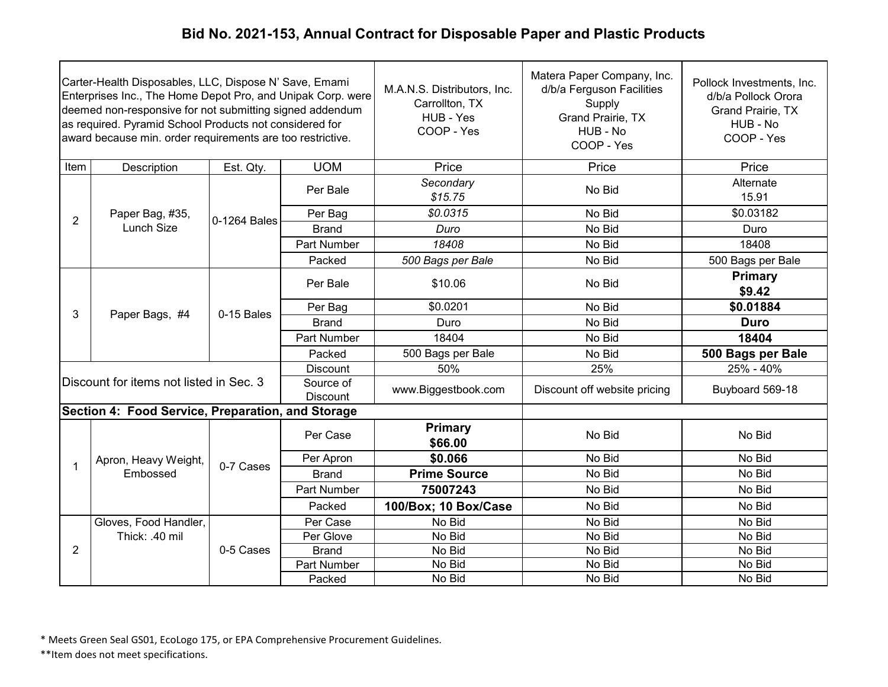| Carter-Health Disposables, LLC, Dispose N' Save, Emami<br>Enterprises Inc., The Home Depot Pro, and Unipak Corp. were<br>deemed non-responsive for not submitting signed addendum<br>as required. Pyramid School Products not considered for<br>award because min. order requirements are too restrictive. |                                                   |              |                              | M.A.N.S. Distributors, Inc.<br>Carrollton, TX<br>HUB - Yes<br>COOP - Yes | Matera Paper Company, Inc.<br>d/b/a Ferguson Facilities<br>Supply<br>Grand Prairie, TX<br>HUB - No<br>COOP - Yes | Pollock Investments, Inc.<br>d/b/a Pollock Orora<br>Grand Prairie, TX<br>HUB - No<br>COOP - Yes |
|------------------------------------------------------------------------------------------------------------------------------------------------------------------------------------------------------------------------------------------------------------------------------------------------------------|---------------------------------------------------|--------------|------------------------------|--------------------------------------------------------------------------|------------------------------------------------------------------------------------------------------------------|-------------------------------------------------------------------------------------------------|
| Item                                                                                                                                                                                                                                                                                                       | Description                                       | Est. Qty.    | <b>UOM</b>                   | Price                                                                    | Price                                                                                                            | Price                                                                                           |
|                                                                                                                                                                                                                                                                                                            |                                                   |              | Per Bale                     | Secondary<br>\$15.75                                                     | No Bid                                                                                                           | Alternate<br>15.91                                                                              |
| $\overline{2}$                                                                                                                                                                                                                                                                                             | Paper Bag, #35,                                   | 0-1264 Bales | Per Bag                      | \$0.0315                                                                 | No Bid                                                                                                           | \$0.03182                                                                                       |
|                                                                                                                                                                                                                                                                                                            | <b>Lunch Size</b>                                 |              | <b>Brand</b>                 | Duro                                                                     | No Bid                                                                                                           | Duro                                                                                            |
|                                                                                                                                                                                                                                                                                                            |                                                   |              | <b>Part Number</b>           | 18408                                                                    | No Bid                                                                                                           | 18408                                                                                           |
|                                                                                                                                                                                                                                                                                                            |                                                   |              | Packed                       | 500 Bags per Bale                                                        | No Bid                                                                                                           | 500 Bags per Bale                                                                               |
|                                                                                                                                                                                                                                                                                                            | Paper Bags, #4                                    | 0-15 Bales   | Per Bale                     | \$10.06                                                                  | No Bid                                                                                                           | Primary<br>\$9.42                                                                               |
|                                                                                                                                                                                                                                                                                                            |                                                   |              | Per Bag                      | \$0.0201                                                                 | No Bid                                                                                                           | \$0.01884                                                                                       |
| 3                                                                                                                                                                                                                                                                                                          |                                                   |              | <b>Brand</b>                 | Duro                                                                     | No Bid                                                                                                           | <b>Duro</b>                                                                                     |
|                                                                                                                                                                                                                                                                                                            |                                                   |              | <b>Part Number</b>           | 18404                                                                    | No Bid                                                                                                           | 18404                                                                                           |
|                                                                                                                                                                                                                                                                                                            |                                                   |              | Packed                       | 500 Bags per Bale                                                        | No Bid                                                                                                           | 500 Bags per Bale                                                                               |
|                                                                                                                                                                                                                                                                                                            |                                                   |              | <b>Discount</b>              | 50%                                                                      | 25%                                                                                                              | $25% - 40%$                                                                                     |
|                                                                                                                                                                                                                                                                                                            | Discount for items not listed in Sec. 3           |              | Source of<br><b>Discount</b> | www.Biggestbook.com                                                      | Discount off website pricing                                                                                     | Buyboard 569-18                                                                                 |
|                                                                                                                                                                                                                                                                                                            | Section 4: Food Service, Preparation, and Storage |              |                              |                                                                          |                                                                                                                  |                                                                                                 |
|                                                                                                                                                                                                                                                                                                            |                                                   |              | Per Case                     | <b>Primary</b><br>\$66.00                                                | No Bid                                                                                                           | No Bid                                                                                          |
|                                                                                                                                                                                                                                                                                                            | Apron, Heavy Weight,                              |              | Per Apron                    | \$0.066                                                                  | No Bid                                                                                                           | No Bid                                                                                          |
| 1                                                                                                                                                                                                                                                                                                          | Embossed                                          | 0-7 Cases    | <b>Brand</b>                 | <b>Prime Source</b>                                                      | No Bid                                                                                                           | No Bid                                                                                          |
|                                                                                                                                                                                                                                                                                                            |                                                   |              | Part Number                  | 75007243                                                                 | No Bid                                                                                                           | No Bid                                                                                          |
|                                                                                                                                                                                                                                                                                                            |                                                   |              | Packed                       | 100/Box; 10 Box/Case                                                     | No Bid                                                                                                           | No Bid                                                                                          |
|                                                                                                                                                                                                                                                                                                            | Gloves, Food Handler,                             |              | Per Case                     | No Bid                                                                   | No Bid                                                                                                           | No Bid                                                                                          |
|                                                                                                                                                                                                                                                                                                            | Thick: .40 mil                                    |              | Per Glove                    | No Bid                                                                   | No Bid                                                                                                           | No Bid                                                                                          |
| 2                                                                                                                                                                                                                                                                                                          |                                                   | 0-5 Cases    | <b>Brand</b>                 | No Bid                                                                   | No Bid                                                                                                           | No Bid                                                                                          |
|                                                                                                                                                                                                                                                                                                            |                                                   |              | Part Number                  | No Bid                                                                   | No Bid                                                                                                           | No Bid                                                                                          |
|                                                                                                                                                                                                                                                                                                            |                                                   |              | Packed                       | No Bid                                                                   | No Bid                                                                                                           | No Bid                                                                                          |

\* Meets Green Seal GS01, EcoLogo 175, or EPA Comprehensive Procurement Guidelines.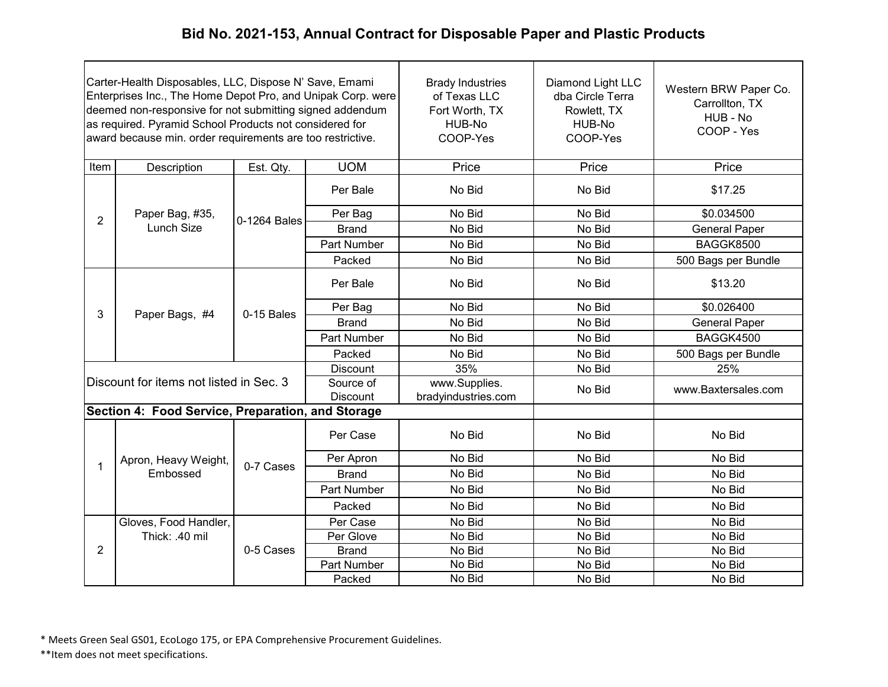| Carter-Health Disposables, LLC, Dispose N' Save, Emami<br>Enterprises Inc., The Home Depot Pro, and Unipak Corp. were<br>deemed non-responsive for not submitting signed addendum<br>as required. Pyramid School Products not considered for<br>award because min. order requirements are too restrictive. |                                                   |              | <b>Brady Industries</b><br>of Texas LLC<br>Fort Worth, TX<br>HUB-No<br>COOP-Yes | Diamond Light LLC<br>dba Circle Terra<br>Rowlett, TX<br>HUB-No<br>COOP-Yes | Western BRW Paper Co.<br>Carrollton, TX<br>HUB - No<br>COOP - Yes |                      |
|------------------------------------------------------------------------------------------------------------------------------------------------------------------------------------------------------------------------------------------------------------------------------------------------------------|---------------------------------------------------|--------------|---------------------------------------------------------------------------------|----------------------------------------------------------------------------|-------------------------------------------------------------------|----------------------|
| Item                                                                                                                                                                                                                                                                                                       | Description                                       | Est. Qty.    | <b>UOM</b>                                                                      | Price                                                                      | Price                                                             | Price                |
|                                                                                                                                                                                                                                                                                                            |                                                   |              | Per Bale                                                                        | No Bid                                                                     | No Bid                                                            | \$17.25              |
| $\overline{2}$                                                                                                                                                                                                                                                                                             | Paper Bag, #35,                                   | 0-1264 Bales | Per Bag                                                                         | No Bid                                                                     | No Bid                                                            | \$0.034500           |
|                                                                                                                                                                                                                                                                                                            | Lunch Size                                        |              | <b>Brand</b>                                                                    | No Bid                                                                     | No Bid                                                            | <b>General Paper</b> |
|                                                                                                                                                                                                                                                                                                            |                                                   |              | Part Number                                                                     | No Bid                                                                     | No Bid                                                            | BAGGK8500            |
|                                                                                                                                                                                                                                                                                                            |                                                   |              | Packed                                                                          | No Bid                                                                     | No Bid                                                            | 500 Bags per Bundle  |
|                                                                                                                                                                                                                                                                                                            | Paper Bags, #4                                    | 0-15 Bales   | Per Bale                                                                        | No Bid                                                                     | No Bid                                                            | \$13.20              |
| 3                                                                                                                                                                                                                                                                                                          |                                                   |              | Per Bag                                                                         | No Bid                                                                     | No Bid                                                            | \$0.026400           |
|                                                                                                                                                                                                                                                                                                            |                                                   |              | <b>Brand</b>                                                                    | No Bid                                                                     | No Bid                                                            | <b>General Paper</b> |
|                                                                                                                                                                                                                                                                                                            |                                                   |              | Part Number                                                                     | No Bid                                                                     | No Bid                                                            | BAGGK4500            |
|                                                                                                                                                                                                                                                                                                            |                                                   |              | Packed                                                                          | No Bid                                                                     | No Bid                                                            | 500 Bags per Bundle  |
|                                                                                                                                                                                                                                                                                                            |                                                   |              | <b>Discount</b>                                                                 | 35%                                                                        | No Bid                                                            | 25%                  |
|                                                                                                                                                                                                                                                                                                            | Discount for items not listed in Sec. 3           |              | Source of<br><b>Discount</b>                                                    | www.Supplies.<br>bradyindustries.com                                       | No Bid                                                            | www.Baxtersales.com  |
|                                                                                                                                                                                                                                                                                                            | Section 4: Food Service, Preparation, and Storage |              |                                                                                 |                                                                            |                                                                   |                      |
|                                                                                                                                                                                                                                                                                                            |                                                   |              | Per Case                                                                        | No Bid                                                                     | No Bid                                                            | No Bid               |
|                                                                                                                                                                                                                                                                                                            | Apron, Heavy Weight,                              | 0-7 Cases    | Per Apron                                                                       | No Bid                                                                     | No Bid                                                            | No Bid               |
| 1                                                                                                                                                                                                                                                                                                          | Embossed                                          |              | <b>Brand</b>                                                                    | No Bid                                                                     | No Bid                                                            | No Bid               |
|                                                                                                                                                                                                                                                                                                            |                                                   |              | Part Number                                                                     | No Bid                                                                     | No Bid                                                            | No Bid               |
|                                                                                                                                                                                                                                                                                                            |                                                   |              | Packed                                                                          | No Bid                                                                     | No Bid                                                            | No Bid               |
|                                                                                                                                                                                                                                                                                                            | Gloves, Food Handler,                             |              | Per Case                                                                        | No Bid                                                                     | No Bid                                                            | No Bid               |
|                                                                                                                                                                                                                                                                                                            | Thick: .40 mil                                    |              | Per Glove                                                                       | No Bid                                                                     | No Bid                                                            | No Bid               |
| $\overline{2}$                                                                                                                                                                                                                                                                                             |                                                   | 0-5 Cases    | <b>Brand</b>                                                                    | No Bid                                                                     | No Bid                                                            | No Bid               |
|                                                                                                                                                                                                                                                                                                            |                                                   |              | Part Number                                                                     | No Bid                                                                     | No Bid                                                            | No Bid               |
|                                                                                                                                                                                                                                                                                                            |                                                   |              | Packed                                                                          | No Bid                                                                     | No Bid                                                            | No Bid               |

\* Meets Green Seal GS01, EcoLogo 175, or EPA Comprehensive Procurement Guidelines.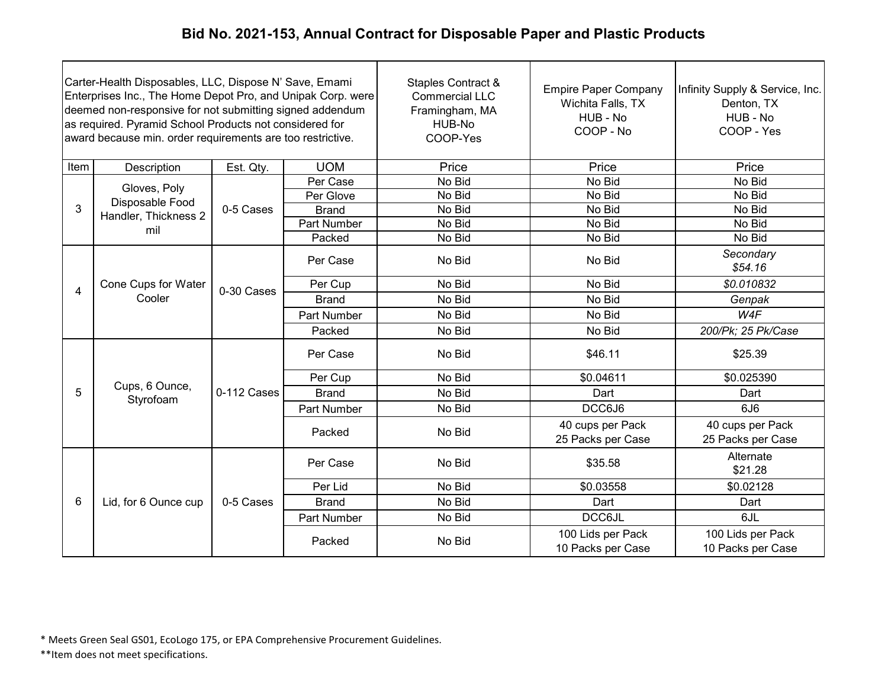| Carter-Health Disposables, LLC, Dispose N' Save, Emami<br>Enterprises Inc., The Home Depot Pro, and Unipak Corp. were<br>deemed non-responsive for not submitting signed addendum<br>as required. Pyramid School Products not considered for<br>award because min. order requirements are too restrictive. |                               |             |              | Staples Contract &<br><b>Commercial LLC</b><br>Framingham, MA<br>HUB-No<br>COOP-Yes | <b>Empire Paper Company</b><br>Wichita Falls, TX<br>HUB - No<br>COOP - No | Infinity Supply & Service, Inc.<br>Denton, TX<br>HUB - No<br>COOP - Yes |
|------------------------------------------------------------------------------------------------------------------------------------------------------------------------------------------------------------------------------------------------------------------------------------------------------------|-------------------------------|-------------|--------------|-------------------------------------------------------------------------------------|---------------------------------------------------------------------------|-------------------------------------------------------------------------|
| Item                                                                                                                                                                                                                                                                                                       | Description                   | Est. Qty.   | <b>UOM</b>   | Price                                                                               | Price                                                                     | Price                                                                   |
|                                                                                                                                                                                                                                                                                                            | Gloves, Poly                  |             | Per Case     | No Bid                                                                              | No Bid                                                                    | No Bid                                                                  |
|                                                                                                                                                                                                                                                                                                            | Disposable Food               |             | Per Glove    | No Bid                                                                              | No Bid                                                                    | No Bid                                                                  |
| 3                                                                                                                                                                                                                                                                                                          | Handler, Thickness 2          | 0-5 Cases   | <b>Brand</b> | No Bid                                                                              | No Bid                                                                    | No Bid                                                                  |
|                                                                                                                                                                                                                                                                                                            | mil                           |             | Part Number  | No Bid                                                                              | No Bid                                                                    | No Bid                                                                  |
|                                                                                                                                                                                                                                                                                                            |                               |             | Packed       | No Bid                                                                              | No Bid                                                                    | No Bid                                                                  |
|                                                                                                                                                                                                                                                                                                            | Cone Cups for Water<br>Cooler | 0-30 Cases  | Per Case     | No Bid                                                                              | No Bid                                                                    | Secondary<br>\$54.16                                                    |
| 4                                                                                                                                                                                                                                                                                                          |                               |             | Per Cup      | No Bid                                                                              | No Bid                                                                    | \$0.010832                                                              |
|                                                                                                                                                                                                                                                                                                            |                               |             | <b>Brand</b> | No Bid                                                                              | No Bid                                                                    | Genpak                                                                  |
|                                                                                                                                                                                                                                                                                                            |                               |             | Part Number  | No Bid                                                                              | No Bid                                                                    | W <sub>4F</sub>                                                         |
|                                                                                                                                                                                                                                                                                                            |                               |             | Packed       | No Bid                                                                              | No Bid                                                                    | 200/Pk; 25 Pk/Case                                                      |
|                                                                                                                                                                                                                                                                                                            |                               | 0-112 Cases | Per Case     | No Bid                                                                              | \$46.11                                                                   | \$25.39                                                                 |
|                                                                                                                                                                                                                                                                                                            |                               |             | Per Cup      | No Bid                                                                              | \$0.04611                                                                 | \$0.025390                                                              |
| 5                                                                                                                                                                                                                                                                                                          | Cups, 6 Ounce,<br>Styrofoam   |             | <b>Brand</b> | No Bid                                                                              | Dart                                                                      | Dart                                                                    |
|                                                                                                                                                                                                                                                                                                            |                               |             | Part Number  | No Bid                                                                              | DCC6J6                                                                    | 6J6                                                                     |
|                                                                                                                                                                                                                                                                                                            |                               |             | Packed       | No Bid                                                                              | 40 cups per Pack<br>25 Packs per Case                                     | 40 cups per Pack<br>25 Packs per Case                                   |
|                                                                                                                                                                                                                                                                                                            |                               |             | Per Case     | No Bid                                                                              | \$35.58                                                                   | Alternate<br>\$21.28                                                    |
|                                                                                                                                                                                                                                                                                                            |                               |             | Per Lid      | No Bid                                                                              | \$0.03558                                                                 | \$0.02128                                                               |
| 6                                                                                                                                                                                                                                                                                                          | Lid, for 6 Ounce cup          | 0-5 Cases   | <b>Brand</b> | No Bid                                                                              | Dart                                                                      | Dart                                                                    |
|                                                                                                                                                                                                                                                                                                            |                               |             | Part Number  | No Bid                                                                              | <b>DCC6JL</b>                                                             | 6JL                                                                     |
|                                                                                                                                                                                                                                                                                                            |                               |             | Packed       | No Bid                                                                              | 100 Lids per Pack<br>10 Packs per Case                                    | 100 Lids per Pack<br>10 Packs per Case                                  |

\* Meets Green Seal GS01, EcoLogo 175, or EPA Comprehensive Procurement Guidelines.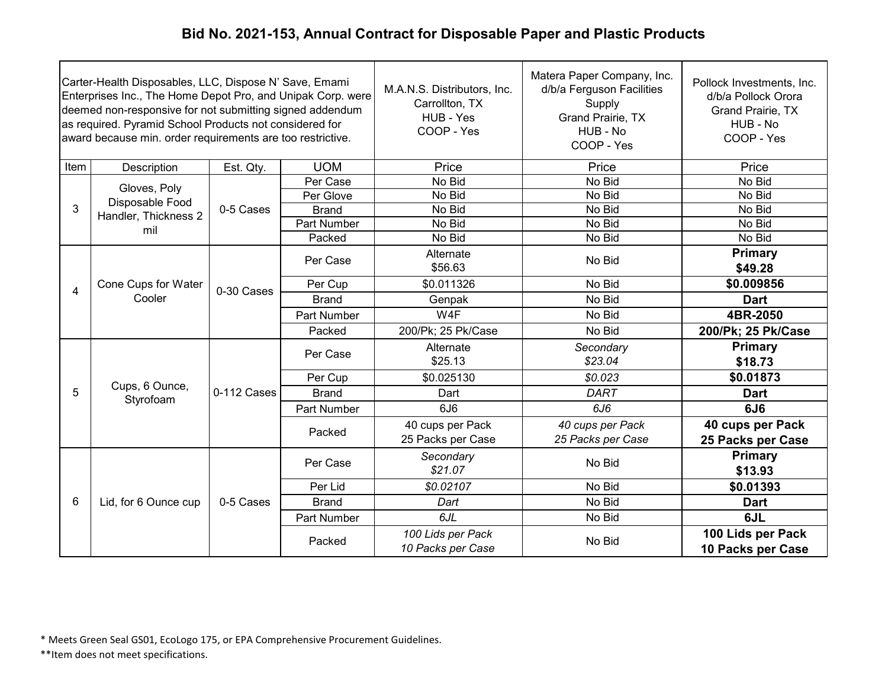|                | Carter-Health Disposables, LLC, Dispose N' Save, Emami<br>Enterprises Inc., The Home Depot Pro, and Unipak Corp. were<br>deemed non-responsive for not submitting signed addendum<br>as required. Pyramid School Products not considered for<br>award because min. order requirements are too restrictive. |             |              | M.A.N.S. Distributors, Inc.<br>Carrollton, TX<br>HUB - Yes<br>COOP - Yes | Matera Paper Company, Inc.<br>d/b/a Ferguson Facilities<br>Supply<br>Grand Prairie, TX<br>HUB - No<br>COOP - Yes | Pollock Investments, Inc.<br>d/b/a Pollock Orora<br>Grand Prairie, TX<br>HUB - No<br>COOP - Yes |
|----------------|------------------------------------------------------------------------------------------------------------------------------------------------------------------------------------------------------------------------------------------------------------------------------------------------------------|-------------|--------------|--------------------------------------------------------------------------|------------------------------------------------------------------------------------------------------------------|-------------------------------------------------------------------------------------------------|
| Item           | Description                                                                                                                                                                                                                                                                                                | Est. Qty.   | <b>UOM</b>   | Price                                                                    | Price                                                                                                            | Price                                                                                           |
|                | Gloves, Poly                                                                                                                                                                                                                                                                                               |             | Per Case     | No Bid                                                                   | No Bid                                                                                                           | No Bid                                                                                          |
|                | Disposable Food                                                                                                                                                                                                                                                                                            |             | Per Glove    | No Bid                                                                   | No Bid                                                                                                           | No Bid                                                                                          |
| 3              | Handler, Thickness 2                                                                                                                                                                                                                                                                                       | 0-5 Cases   | <b>Brand</b> | No Bid                                                                   | No Bid                                                                                                           | No Bid                                                                                          |
|                | mil                                                                                                                                                                                                                                                                                                        |             | Part Number  | No Bid                                                                   | No Bid                                                                                                           | No Bid                                                                                          |
|                |                                                                                                                                                                                                                                                                                                            |             | Packed       | No Bid                                                                   | No Bid                                                                                                           | No Bid                                                                                          |
|                |                                                                                                                                                                                                                                                                                                            |             | Per Case     | Alternate<br>\$56.63                                                     | No Bid                                                                                                           | <b>Primary</b><br>\$49.28                                                                       |
|                | Cone Cups for Water<br>Cooler                                                                                                                                                                                                                                                                              | 0-30 Cases  | Per Cup      | \$0.011326                                                               | No Bid                                                                                                           | \$0.009856                                                                                      |
| $\overline{4}$ |                                                                                                                                                                                                                                                                                                            |             | <b>Brand</b> | Genpak                                                                   | No Bid                                                                                                           | <b>Dart</b>                                                                                     |
|                |                                                                                                                                                                                                                                                                                                            |             | Part Number  | W4F                                                                      | No Bid                                                                                                           | 4BR-2050                                                                                        |
|                |                                                                                                                                                                                                                                                                                                            |             | Packed       | 200/Pk; 25 Pk/Case                                                       | No Bid                                                                                                           | 200/Pk; 25 Pk/Case                                                                              |
|                |                                                                                                                                                                                                                                                                                                            | 0-112 Cases | Per Case     | Alternate                                                                | Secondary                                                                                                        | Primary                                                                                         |
|                |                                                                                                                                                                                                                                                                                                            |             |              | \$25.13                                                                  | \$23.04                                                                                                          | \$18.73                                                                                         |
|                |                                                                                                                                                                                                                                                                                                            |             | Per Cup      | \$0.025130                                                               | \$0.023                                                                                                          | \$0.01873                                                                                       |
| 5              | Cups, 6 Ounce,<br>Styrofoam                                                                                                                                                                                                                                                                                |             | <b>Brand</b> | Dart                                                                     | DART                                                                                                             | <b>Dart</b>                                                                                     |
|                |                                                                                                                                                                                                                                                                                                            |             | Part Number  | 6J6                                                                      | 6J6                                                                                                              | 6J <sub>6</sub>                                                                                 |
|                |                                                                                                                                                                                                                                                                                                            |             | Packed       | 40 cups per Pack<br>25 Packs per Case                                    | 40 cups per Pack<br>25 Packs per Case                                                                            | 40 cups per Pack                                                                                |
|                |                                                                                                                                                                                                                                                                                                            |             |              |                                                                          |                                                                                                                  | 25 Packs per Case<br>Primary                                                                    |
|                |                                                                                                                                                                                                                                                                                                            |             | Per Case     | Secondary<br>\$21.07                                                     | No Bid                                                                                                           | \$13.93                                                                                         |
|                |                                                                                                                                                                                                                                                                                                            |             | Per Lid      | \$0.02107                                                                | No Bid                                                                                                           | \$0.01393                                                                                       |
| 6              | Lid, for 6 Ounce cup                                                                                                                                                                                                                                                                                       | 0-5 Cases   | <b>Brand</b> | Dart                                                                     | No Bid                                                                                                           | <b>Dart</b>                                                                                     |
|                |                                                                                                                                                                                                                                                                                                            |             | Part Number  | 6JL                                                                      | No Bid                                                                                                           | 6JL                                                                                             |
|                |                                                                                                                                                                                                                                                                                                            |             |              |                                                                          |                                                                                                                  |                                                                                                 |
|                |                                                                                                                                                                                                                                                                                                            |             | Packed       | 100 Lids per Pack                                                        | No Bid                                                                                                           | 100 Lids per Pack                                                                               |
|                |                                                                                                                                                                                                                                                                                                            |             |              | 10 Packs per Case                                                        |                                                                                                                  | 10 Packs per Case                                                                               |

\* Meets Green Seal GS01, EcoLogo 175, or EPA Comprehensive Procurement Guidelines.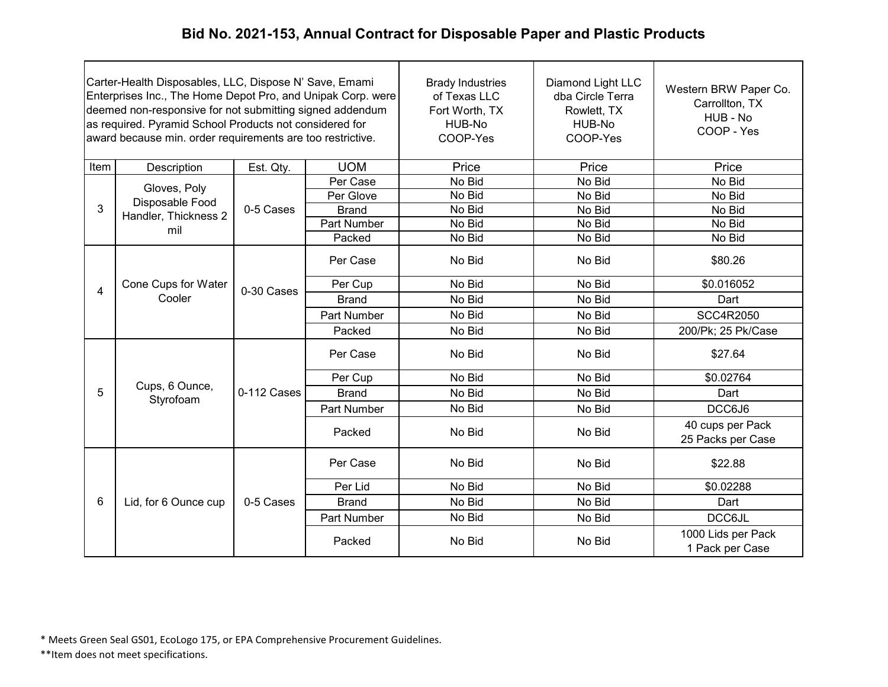| Carter-Health Disposables, LLC, Dispose N' Save, Emami<br>Enterprises Inc., The Home Depot Pro, and Unipak Corp. were<br>deemed non-responsive for not submitting signed addendum<br>as required. Pyramid School Products not considered for<br>award because min. order requirements are too restrictive. |                               |             | <b>Brady Industries</b><br>of Texas LLC<br>Fort Worth, TX<br>HUB-No<br>COOP-Yes | Diamond Light LLC<br>dba Circle Terra<br>Rowlett, TX<br>HUB-No<br>COOP-Yes | Western BRW Paper Co.<br>Carrollton, TX<br>HUB - No<br>COOP - Yes |                                       |
|------------------------------------------------------------------------------------------------------------------------------------------------------------------------------------------------------------------------------------------------------------------------------------------------------------|-------------------------------|-------------|---------------------------------------------------------------------------------|----------------------------------------------------------------------------|-------------------------------------------------------------------|---------------------------------------|
| Item                                                                                                                                                                                                                                                                                                       | Description                   | Est. Qty.   | <b>UOM</b>                                                                      | Price                                                                      | Price                                                             | Price                                 |
|                                                                                                                                                                                                                                                                                                            | Gloves, Poly                  |             | Per Case                                                                        | No Bid                                                                     | No Bid                                                            | No Bid                                |
|                                                                                                                                                                                                                                                                                                            | Disposable Food               |             | Per Glove                                                                       | No Bid                                                                     | No Bid                                                            | No Bid                                |
| 3                                                                                                                                                                                                                                                                                                          | Handler, Thickness 2          | 0-5 Cases   | <b>Brand</b>                                                                    | No Bid                                                                     | No Bid                                                            | No Bid                                |
|                                                                                                                                                                                                                                                                                                            | mil                           |             | Part Number                                                                     | No Bid                                                                     | No Bid                                                            | No Bid                                |
|                                                                                                                                                                                                                                                                                                            |                               |             | Packed                                                                          | No Bid                                                                     | No Bid                                                            | No Bid                                |
|                                                                                                                                                                                                                                                                                                            | Cone Cups for Water<br>Cooler | 0-30 Cases  | Per Case                                                                        | No Bid                                                                     | No Bid                                                            | \$80.26                               |
| 4                                                                                                                                                                                                                                                                                                          |                               |             | Per Cup                                                                         | No Bid                                                                     | No Bid                                                            | \$0.016052                            |
|                                                                                                                                                                                                                                                                                                            |                               |             | <b>Brand</b>                                                                    | No Bid                                                                     | No Bid                                                            | Dart                                  |
|                                                                                                                                                                                                                                                                                                            |                               |             | <b>Part Number</b>                                                              | No Bid                                                                     | No Bid                                                            | <b>SCC4R2050</b>                      |
|                                                                                                                                                                                                                                                                                                            |                               |             | Packed                                                                          | No Bid                                                                     | No Bid                                                            | 200/Pk; 25 Pk/Case                    |
|                                                                                                                                                                                                                                                                                                            |                               | 0-112 Cases | Per Case                                                                        | No Bid                                                                     | No Bid                                                            | \$27.64                               |
|                                                                                                                                                                                                                                                                                                            |                               |             | Per Cup                                                                         | No Bid                                                                     | No Bid                                                            | \$0.02764                             |
| 5                                                                                                                                                                                                                                                                                                          | Cups, 6 Ounce,<br>Styrofoam   |             | <b>Brand</b>                                                                    | No Bid                                                                     | No Bid                                                            | Dart                                  |
|                                                                                                                                                                                                                                                                                                            |                               |             | <b>Part Number</b>                                                              | No Bid                                                                     | No Bid                                                            | DCC6J6                                |
|                                                                                                                                                                                                                                                                                                            |                               |             | Packed                                                                          | No Bid                                                                     | No Bid                                                            | 40 cups per Pack<br>25 Packs per Case |
|                                                                                                                                                                                                                                                                                                            |                               |             | Per Case                                                                        | No Bid                                                                     | No Bid                                                            | \$22.88                               |
|                                                                                                                                                                                                                                                                                                            |                               |             | Per Lid                                                                         | No Bid                                                                     | No Bid                                                            | \$0.02288                             |
| 6                                                                                                                                                                                                                                                                                                          | Lid, for 6 Ounce cup          | 0-5 Cases   | <b>Brand</b>                                                                    | No Bid                                                                     | No Bid                                                            | Dart                                  |
|                                                                                                                                                                                                                                                                                                            |                               |             | Part Number                                                                     | No Bid                                                                     | No Bid                                                            | <b>DCC6JL</b>                         |
|                                                                                                                                                                                                                                                                                                            |                               |             | Packed                                                                          | No Bid                                                                     | No Bid                                                            | 1000 Lids per Pack<br>1 Pack per Case |

\* Meets Green Seal GS01, EcoLogo 175, or EPA Comprehensive Procurement Guidelines.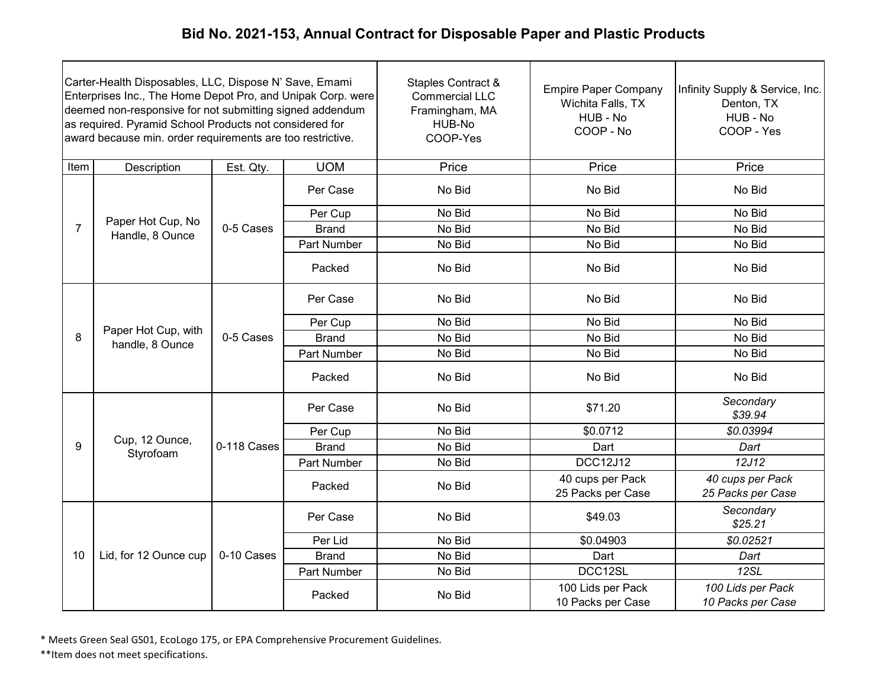| Carter-Health Disposables, LLC, Dispose N' Save, Emami<br>Enterprises Inc., The Home Depot Pro, and Unipak Corp. were<br>deemed non-responsive for not submitting signed addendum<br>as required. Pyramid School Products not considered for<br>award because min. order requirements are too restrictive. |                                        |             |              | Staples Contract &<br><b>Commercial LLC</b><br>Framingham, MA<br>HUB-No<br>COOP-Yes | <b>Empire Paper Company</b><br>Wichita Falls, TX<br>HUB - No<br>COOP - No | Infinity Supply & Service, Inc.<br>Denton, TX<br>HUB - No<br>COOP - Yes |
|------------------------------------------------------------------------------------------------------------------------------------------------------------------------------------------------------------------------------------------------------------------------------------------------------------|----------------------------------------|-------------|--------------|-------------------------------------------------------------------------------------|---------------------------------------------------------------------------|-------------------------------------------------------------------------|
| Item                                                                                                                                                                                                                                                                                                       | Description                            | Est. Qty.   | <b>UOM</b>   | Price                                                                               | Price                                                                     | Price                                                                   |
|                                                                                                                                                                                                                                                                                                            |                                        |             | Per Case     | No Bid                                                                              | No Bid                                                                    | No Bid                                                                  |
|                                                                                                                                                                                                                                                                                                            |                                        |             | Per Cup      | No Bid                                                                              | No Bid                                                                    | No Bid                                                                  |
| $\overline{7}$                                                                                                                                                                                                                                                                                             | Paper Hot Cup, No<br>Handle, 8 Ounce   | 0-5 Cases   | <b>Brand</b> | No Bid                                                                              | No Bid                                                                    | No Bid                                                                  |
|                                                                                                                                                                                                                                                                                                            |                                        |             | Part Number  | No Bid                                                                              | No Bid                                                                    | No Bid                                                                  |
|                                                                                                                                                                                                                                                                                                            |                                        |             | Packed       | No Bid                                                                              | No Bid                                                                    | No Bid                                                                  |
|                                                                                                                                                                                                                                                                                                            | Paper Hot Cup, with<br>handle, 8 Ounce |             | Per Case     | No Bid                                                                              | No Bid                                                                    | No Bid                                                                  |
|                                                                                                                                                                                                                                                                                                            |                                        |             | Per Cup      | No Bid                                                                              | No Bid                                                                    | No Bid                                                                  |
| 8                                                                                                                                                                                                                                                                                                          |                                        | 0-5 Cases   | <b>Brand</b> | No Bid                                                                              | No Bid                                                                    | No Bid                                                                  |
|                                                                                                                                                                                                                                                                                                            |                                        |             | Part Number  | No Bid                                                                              | No Bid                                                                    | No Bid                                                                  |
|                                                                                                                                                                                                                                                                                                            |                                        |             | Packed       | No Bid                                                                              | No Bid                                                                    | No Bid                                                                  |
|                                                                                                                                                                                                                                                                                                            |                                        |             | Per Case     | No Bid                                                                              | \$71.20                                                                   | Secondary<br>\$39.94                                                    |
|                                                                                                                                                                                                                                                                                                            |                                        |             | Per Cup      | No Bid                                                                              | \$0.0712                                                                  | \$0.03994                                                               |
| 9                                                                                                                                                                                                                                                                                                          | Cup, 12 Ounce,<br>Styrofoam            | 0-118 Cases | <b>Brand</b> | No Bid                                                                              | Dart                                                                      | Dart                                                                    |
|                                                                                                                                                                                                                                                                                                            |                                        |             | Part Number  | No Bid                                                                              | <b>DCC12J12</b>                                                           | 12J12                                                                   |
|                                                                                                                                                                                                                                                                                                            |                                        |             | Packed       | No Bid                                                                              | 40 cups per Pack<br>25 Packs per Case                                     | 40 cups per Pack<br>25 Packs per Case                                   |
|                                                                                                                                                                                                                                                                                                            |                                        |             | Per Case     | No Bid                                                                              | \$49.03                                                                   | Secondary<br>\$25.21                                                    |
|                                                                                                                                                                                                                                                                                                            |                                        |             | Per Lid      | No Bid                                                                              | \$0.04903                                                                 | \$0.02521                                                               |
| 10                                                                                                                                                                                                                                                                                                         | Lid, for 12 Ounce cup                  | 0-10 Cases  | <b>Brand</b> | No Bid                                                                              | Dart                                                                      | Dart                                                                    |
|                                                                                                                                                                                                                                                                                                            |                                        |             | Part Number  | No Bid                                                                              | DCC12SL                                                                   | 12SL                                                                    |
|                                                                                                                                                                                                                                                                                                            |                                        |             | Packed       | No Bid                                                                              | 100 Lids per Pack<br>10 Packs per Case                                    | 100 Lids per Pack<br>10 Packs per Case                                  |

\* Meets Green Seal GS01, EcoLogo 175, or EPA Comprehensive Procurement Guidelines.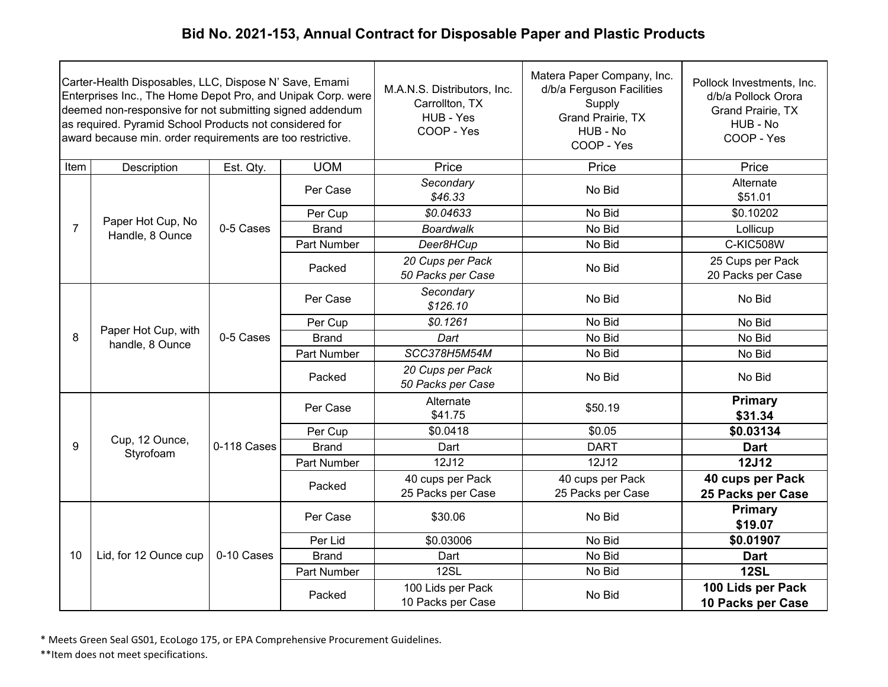| Carter-Health Disposables, LLC, Dispose N' Save, Emami<br>Enterprises Inc., The Home Depot Pro, and Unipak Corp. were<br>deemed non-responsive for not submitting signed addendum<br>as required. Pyramid School Products not considered for<br>award because min. order requirements are too restrictive. |                                        |             |              | M.A.N.S. Distributors, Inc.<br>Carrollton, TX<br>HUB - Yes<br>COOP - Yes | Matera Paper Company, Inc.<br>d/b/a Ferguson Facilities<br>Supply<br>Grand Prairie, TX<br>HUB - No<br>COOP - Yes | Pollock Investments, Inc.<br>d/b/a Pollock Orora<br>Grand Prairie, TX<br>HUB - No<br>COOP - Yes |
|------------------------------------------------------------------------------------------------------------------------------------------------------------------------------------------------------------------------------------------------------------------------------------------------------------|----------------------------------------|-------------|--------------|--------------------------------------------------------------------------|------------------------------------------------------------------------------------------------------------------|-------------------------------------------------------------------------------------------------|
| Item                                                                                                                                                                                                                                                                                                       | Description                            | Est. Qty.   | <b>UOM</b>   | Price                                                                    | Price                                                                                                            | Price                                                                                           |
|                                                                                                                                                                                                                                                                                                            |                                        |             | Per Case     | Secondary<br>\$46.33                                                     | No Bid                                                                                                           | Alternate<br>\$51.01                                                                            |
|                                                                                                                                                                                                                                                                                                            |                                        |             | Per Cup      | \$0.04633                                                                | No Bid                                                                                                           | \$0.10202                                                                                       |
| $\overline{7}$                                                                                                                                                                                                                                                                                             | Paper Hot Cup, No<br>Handle, 8 Ounce   | 0-5 Cases   | <b>Brand</b> | <b>Boardwalk</b>                                                         | No Bid                                                                                                           | Lollicup                                                                                        |
|                                                                                                                                                                                                                                                                                                            |                                        |             | Part Number  | Deer8HCup                                                                | No Bid                                                                                                           | <b>C-KIC508W</b>                                                                                |
|                                                                                                                                                                                                                                                                                                            |                                        |             | Packed       | 20 Cups per Pack<br>50 Packs per Case                                    | No Bid                                                                                                           | 25 Cups per Pack<br>20 Packs per Case                                                           |
|                                                                                                                                                                                                                                                                                                            |                                        | 0-5 Cases   | Per Case     | Secondary<br>\$126.10                                                    | No Bid                                                                                                           | No Bid                                                                                          |
|                                                                                                                                                                                                                                                                                                            | Paper Hot Cup, with<br>handle, 8 Ounce |             | Per Cup      | \$0.1261                                                                 | No Bid                                                                                                           | No Bid                                                                                          |
| 8                                                                                                                                                                                                                                                                                                          |                                        |             | <b>Brand</b> | Dart                                                                     | No Bid                                                                                                           | No Bid                                                                                          |
|                                                                                                                                                                                                                                                                                                            |                                        |             | Part Number  | SCC378H5M54M                                                             | No Bid                                                                                                           | No Bid                                                                                          |
|                                                                                                                                                                                                                                                                                                            |                                        |             | Packed       | 20 Cups per Pack<br>50 Packs per Case                                    | No Bid                                                                                                           | No Bid                                                                                          |
|                                                                                                                                                                                                                                                                                                            |                                        |             | Per Case     | Alternate<br>\$41.75                                                     | \$50.19                                                                                                          | <b>Primary</b><br>\$31.34                                                                       |
|                                                                                                                                                                                                                                                                                                            |                                        |             | Per Cup      | \$0.0418                                                                 | \$0.05                                                                                                           | \$0.03134                                                                                       |
| 9                                                                                                                                                                                                                                                                                                          | Cup, 12 Ounce,<br>Styrofoam            | 0-118 Cases | <b>Brand</b> | Dart                                                                     | <b>DART</b>                                                                                                      | <b>Dart</b>                                                                                     |
|                                                                                                                                                                                                                                                                                                            |                                        |             | Part Number  | 12J12                                                                    | 12J12                                                                                                            | <b>12J12</b>                                                                                    |
|                                                                                                                                                                                                                                                                                                            |                                        |             | Packed       | 40 cups per Pack<br>25 Packs per Case                                    | 40 cups per Pack<br>25 Packs per Case                                                                            | 40 cups per Pack<br>25 Packs per Case                                                           |
|                                                                                                                                                                                                                                                                                                            |                                        |             | Per Case     | \$30.06                                                                  | No Bid                                                                                                           | Primary<br>\$19.07                                                                              |
|                                                                                                                                                                                                                                                                                                            |                                        |             | Per Lid      | \$0.03006                                                                | No Bid                                                                                                           | \$0.01907                                                                                       |
| 10                                                                                                                                                                                                                                                                                                         | Lid, for 12 Ounce cup                  | 0-10 Cases  | <b>Brand</b> | Dart                                                                     | No Bid                                                                                                           | <b>Dart</b>                                                                                     |
|                                                                                                                                                                                                                                                                                                            |                                        |             | Part Number  | 12SL                                                                     | No Bid                                                                                                           | <b>12SL</b>                                                                                     |
|                                                                                                                                                                                                                                                                                                            |                                        |             | Packed       | 100 Lids per Pack<br>10 Packs per Case                                   | No Bid                                                                                                           | 100 Lids per Pack<br>10 Packs per Case                                                          |

\* Meets Green Seal GS01, EcoLogo 175, or EPA Comprehensive Procurement Guidelines.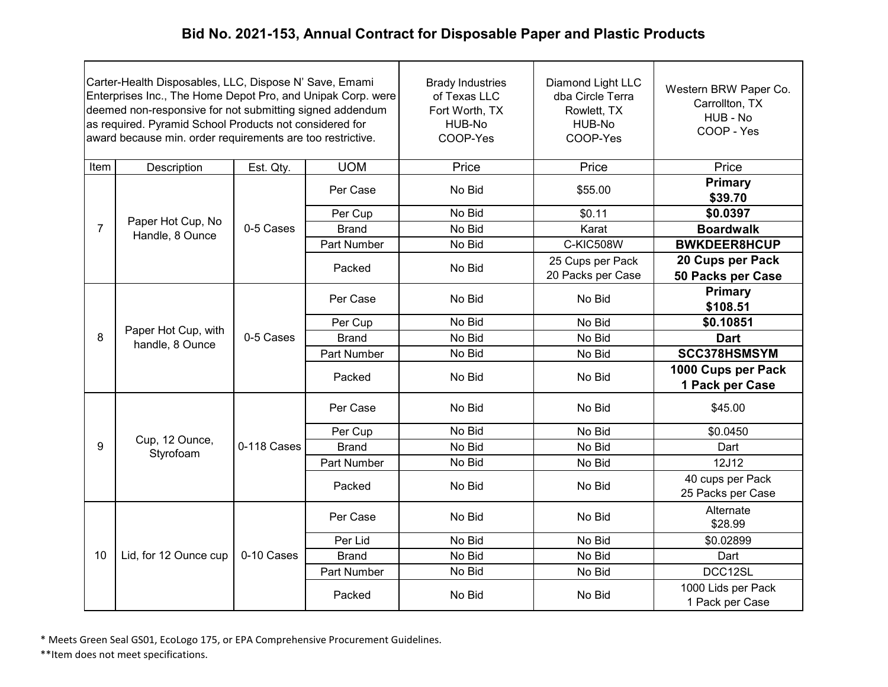| Carter-Health Disposables, LLC, Dispose N' Save, Emami<br>Enterprises Inc., The Home Depot Pro, and Unipak Corp. were<br>deemed non-responsive for not submitting signed addendum<br>as required. Pyramid School Products not considered for<br>award because min. order requirements are too restrictive. |                                        |             |                    | <b>Brady Industries</b><br>of Texas LLC<br>Fort Worth, TX<br>HUB-No<br>COOP-Yes | Diamond Light LLC<br>dba Circle Terra<br>Rowlett, TX<br>HUB-No<br>COOP-Yes | Western BRW Paper Co.<br>Carrollton, TX<br>HUB - No<br>COOP - Yes |
|------------------------------------------------------------------------------------------------------------------------------------------------------------------------------------------------------------------------------------------------------------------------------------------------------------|----------------------------------------|-------------|--------------------|---------------------------------------------------------------------------------|----------------------------------------------------------------------------|-------------------------------------------------------------------|
| Item                                                                                                                                                                                                                                                                                                       | Description                            | Est. Qty.   | <b>UOM</b>         | Price                                                                           | Price                                                                      | Price                                                             |
|                                                                                                                                                                                                                                                                                                            |                                        |             | Per Case           | No Bid                                                                          | \$55.00                                                                    | <b>Primary</b><br>\$39.70                                         |
|                                                                                                                                                                                                                                                                                                            |                                        |             | Per Cup            | No Bid                                                                          | \$0.11                                                                     | \$0.0397                                                          |
| $\overline{7}$                                                                                                                                                                                                                                                                                             | Paper Hot Cup, No<br>Handle, 8 Ounce   | 0-5 Cases   | <b>Brand</b>       | No Bid                                                                          | Karat                                                                      | <b>Boardwalk</b>                                                  |
|                                                                                                                                                                                                                                                                                                            |                                        |             | <b>Part Number</b> | No Bid                                                                          | <b>C-KIC508W</b>                                                           | <b>BWKDEER8HCUP</b>                                               |
|                                                                                                                                                                                                                                                                                                            |                                        |             | Packed             | No Bid                                                                          | 25 Cups per Pack<br>20 Packs per Case                                      | 20 Cups per Pack<br>50 Packs per Case                             |
|                                                                                                                                                                                                                                                                                                            |                                        | 0-5 Cases   | Per Case           | No Bid                                                                          | No Bid                                                                     | Primary<br>\$108.51                                               |
|                                                                                                                                                                                                                                                                                                            | Paper Hot Cup, with<br>handle, 8 Ounce |             | Per Cup            | No Bid                                                                          | No Bid                                                                     | \$0.10851                                                         |
| 8                                                                                                                                                                                                                                                                                                          |                                        |             | <b>Brand</b>       | No Bid                                                                          | No Bid                                                                     | <b>Dart</b>                                                       |
|                                                                                                                                                                                                                                                                                                            |                                        |             | Part Number        | No Bid                                                                          | No Bid                                                                     | SCC378HSMSYM                                                      |
|                                                                                                                                                                                                                                                                                                            |                                        |             | Packed             | No Bid                                                                          | No Bid                                                                     | 1000 Cups per Pack<br>1 Pack per Case                             |
|                                                                                                                                                                                                                                                                                                            |                                        |             | Per Case           | No Bid                                                                          | No Bid                                                                     | \$45.00                                                           |
|                                                                                                                                                                                                                                                                                                            |                                        |             | Per Cup            | No Bid                                                                          | No Bid                                                                     | \$0.0450                                                          |
| 9                                                                                                                                                                                                                                                                                                          | Cup, 12 Ounce,<br>Styrofoam            | 0-118 Cases | <b>Brand</b>       | No Bid                                                                          | No Bid                                                                     | Dart                                                              |
|                                                                                                                                                                                                                                                                                                            |                                        |             | <b>Part Number</b> | No Bid                                                                          | No Bid                                                                     | 12J12                                                             |
|                                                                                                                                                                                                                                                                                                            |                                        |             | Packed             | No Bid                                                                          | No Bid                                                                     | 40 cups per Pack<br>25 Packs per Case                             |
|                                                                                                                                                                                                                                                                                                            |                                        |             | Per Case           | No Bid                                                                          | No Bid                                                                     | Alternate<br>\$28.99                                              |
|                                                                                                                                                                                                                                                                                                            |                                        |             | Per Lid            | No Bid                                                                          | No Bid                                                                     | \$0.02899                                                         |
| 10                                                                                                                                                                                                                                                                                                         | Lid, for 12 Ounce cup                  | 0-10 Cases  | <b>Brand</b>       | No Bid                                                                          | No Bid                                                                     | Dart                                                              |
|                                                                                                                                                                                                                                                                                                            |                                        |             | Part Number        | No Bid                                                                          | No Bid                                                                     | DCC12SL                                                           |
|                                                                                                                                                                                                                                                                                                            |                                        |             | Packed             | No Bid                                                                          | No Bid                                                                     | 1000 Lids per Pack<br>1 Pack per Case                             |

\* Meets Green Seal GS01, EcoLogo 175, or EPA Comprehensive Procurement Guidelines.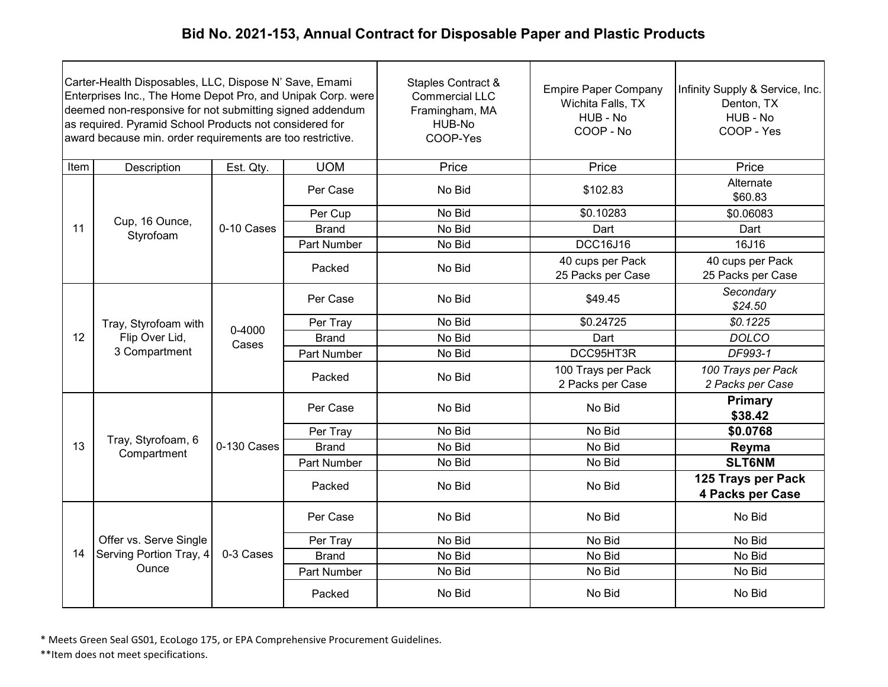| Carter-Health Disposables, LLC, Dispose N' Save, Emami<br>Enterprises Inc., The Home Depot Pro, and Unipak Corp. were<br>deemed non-responsive for not submitting signed addendum<br>as required. Pyramid School Products not considered for<br>award because min. order requirements are too restrictive. |                                                         |                     |                    | Staples Contract &<br><b>Commercial LLC</b><br>Framingham, MA<br>HUB-No<br>COOP-Yes | <b>Empire Paper Company</b><br>Wichita Falls, TX<br>HUB - No<br>COOP - No | Infinity Supply & Service, Inc.<br>Denton, TX<br>HUB - No<br>COOP - Yes |
|------------------------------------------------------------------------------------------------------------------------------------------------------------------------------------------------------------------------------------------------------------------------------------------------------------|---------------------------------------------------------|---------------------|--------------------|-------------------------------------------------------------------------------------|---------------------------------------------------------------------------|-------------------------------------------------------------------------|
| Item                                                                                                                                                                                                                                                                                                       | Description                                             | Est. Qty.           | <b>UOM</b>         | Price                                                                               | Price                                                                     | Price                                                                   |
|                                                                                                                                                                                                                                                                                                            |                                                         |                     | Per Case           | No Bid                                                                              | \$102.83                                                                  | Alternate<br>\$60.83                                                    |
|                                                                                                                                                                                                                                                                                                            |                                                         |                     | Per Cup            | No Bid                                                                              | \$0.10283                                                                 | \$0.06083                                                               |
| 11                                                                                                                                                                                                                                                                                                         | Cup, 16 Ounce,<br>Styrofoam                             | 0-10 Cases          | <b>Brand</b>       | No Bid                                                                              | Dart                                                                      | Dart                                                                    |
|                                                                                                                                                                                                                                                                                                            |                                                         |                     | <b>Part Number</b> | No Bid                                                                              | <b>DCC16J16</b>                                                           | 16J16                                                                   |
|                                                                                                                                                                                                                                                                                                            |                                                         |                     | Packed             | No Bid                                                                              | 40 cups per Pack<br>25 Packs per Case                                     | 40 cups per Pack<br>25 Packs per Case                                   |
|                                                                                                                                                                                                                                                                                                            |                                                         | $0 - 4000$<br>Cases | Per Case           | No Bid                                                                              | \$49.45                                                                   | Secondary<br>\$24.50                                                    |
|                                                                                                                                                                                                                                                                                                            | Tray, Styrofoam with<br>Flip Over Lid,<br>3 Compartment |                     | Per Tray           | No Bid                                                                              | \$0.24725                                                                 | \$0.1225                                                                |
| 12                                                                                                                                                                                                                                                                                                         |                                                         |                     | <b>Brand</b>       | No Bid                                                                              | Dart                                                                      | <b>DOLCO</b>                                                            |
|                                                                                                                                                                                                                                                                                                            |                                                         |                     | Part Number        | No Bid                                                                              | DCC95HT3R                                                                 | DF993-1                                                                 |
|                                                                                                                                                                                                                                                                                                            |                                                         |                     | Packed             | No Bid                                                                              | 100 Trays per Pack<br>2 Packs per Case                                    | 100 Trays per Pack<br>2 Packs per Case                                  |
|                                                                                                                                                                                                                                                                                                            |                                                         |                     | Per Case           | No Bid                                                                              | No Bid                                                                    | Primary<br>\$38.42                                                      |
|                                                                                                                                                                                                                                                                                                            |                                                         |                     | Per Tray           | No Bid                                                                              | No Bid                                                                    | \$0.0768                                                                |
| 13                                                                                                                                                                                                                                                                                                         | Tray, Styrofoam, 6<br>Compartment                       | 0-130 Cases         | <b>Brand</b>       | No Bid                                                                              | No Bid                                                                    | Reyma                                                                   |
|                                                                                                                                                                                                                                                                                                            |                                                         |                     | Part Number        | No Bid                                                                              | No Bid                                                                    | <b>SLT6NM</b>                                                           |
|                                                                                                                                                                                                                                                                                                            |                                                         |                     | Packed             | No Bid                                                                              | No Bid                                                                    | 125 Trays per Pack<br>4 Packs per Case                                  |
|                                                                                                                                                                                                                                                                                                            |                                                         |                     | Per Case           | No Bid                                                                              | No Bid                                                                    | No Bid                                                                  |
|                                                                                                                                                                                                                                                                                                            | Offer vs. Serve Single                                  |                     | Per Tray           | No Bid                                                                              | No Bid                                                                    | No Bid                                                                  |
| 14                                                                                                                                                                                                                                                                                                         | Serving Portion Tray, 4                                 | 0-3 Cases           | <b>Brand</b>       | No Bid                                                                              | No Bid                                                                    | No Bid                                                                  |
|                                                                                                                                                                                                                                                                                                            | Ounce                                                   |                     | Part Number        | No Bid                                                                              | No Bid                                                                    | No Bid                                                                  |
|                                                                                                                                                                                                                                                                                                            |                                                         |                     | Packed             | No Bid                                                                              | No Bid                                                                    | No Bid                                                                  |

\* Meets Green Seal GS01, EcoLogo 175, or EPA Comprehensive Procurement Guidelines.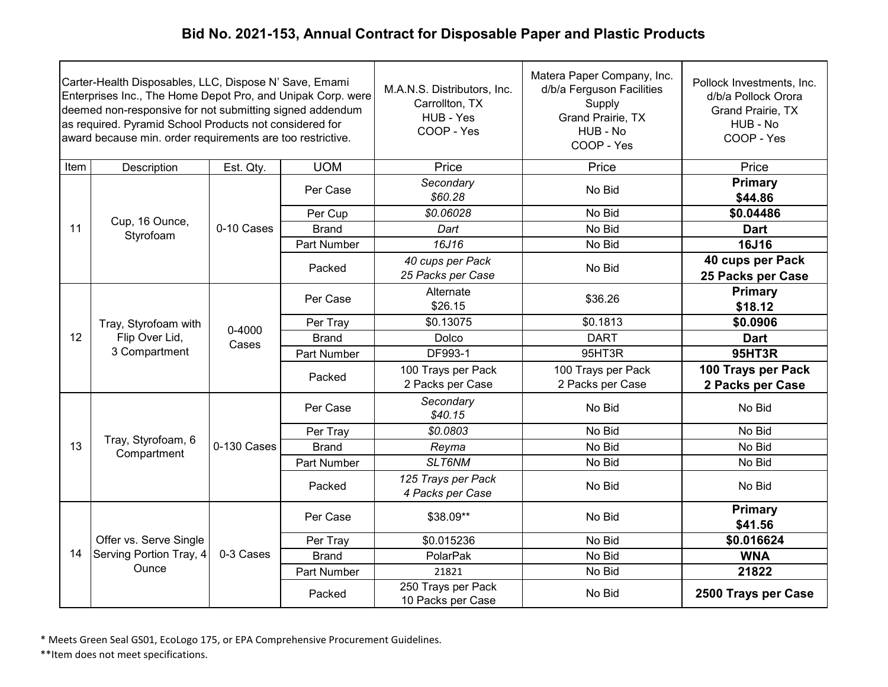| Carter-Health Disposables, LLC, Dispose N' Save, Emami<br>Enterprises Inc., The Home Depot Pro, and Unipak Corp. were<br>deemed non-responsive for not submitting signed addendum<br>as required. Pyramid School Products not considered for<br>award because min. order requirements are too restrictive. |                                                         |                 |              | M.A.N.S. Distributors, Inc.<br>Carrollton, TX<br>HUB - Yes<br>COOP - Yes | Matera Paper Company, Inc.<br>d/b/a Ferguson Facilities<br>Supply<br>Grand Prairie, TX<br>HUB - No<br>COOP - Yes | Pollock Investments, Inc.<br>d/b/a Pollock Orora<br>Grand Prairie, TX<br>HUB - No<br>COOP - Yes |                    |
|------------------------------------------------------------------------------------------------------------------------------------------------------------------------------------------------------------------------------------------------------------------------------------------------------------|---------------------------------------------------------|-----------------|--------------|--------------------------------------------------------------------------|------------------------------------------------------------------------------------------------------------------|-------------------------------------------------------------------------------------------------|--------------------|
| Item                                                                                                                                                                                                                                                                                                       | Description                                             | Est. Qty.       | <b>UOM</b>   | Price                                                                    | Price                                                                                                            | Price                                                                                           |                    |
|                                                                                                                                                                                                                                                                                                            |                                                         |                 | Per Case     | Secondary<br>\$60.28                                                     | No Bid                                                                                                           | Primary<br>\$44.86                                                                              |                    |
|                                                                                                                                                                                                                                                                                                            |                                                         |                 | Per Cup      | \$0.06028                                                                | No Bid                                                                                                           | \$0.04486                                                                                       |                    |
| 11                                                                                                                                                                                                                                                                                                         | Cup, 16 Ounce,<br>Styrofoam                             | 0-10 Cases      | <b>Brand</b> | Dart                                                                     | No Bid                                                                                                           | <b>Dart</b>                                                                                     |                    |
|                                                                                                                                                                                                                                                                                                            |                                                         |                 | Part Number  | 16J16                                                                    | No Bid                                                                                                           | <b>16J16</b>                                                                                    |                    |
|                                                                                                                                                                                                                                                                                                            |                                                         |                 | Packed       | 40 cups per Pack<br>25 Packs per Case                                    | No Bid                                                                                                           | 40 cups per Pack<br>25 Packs per Case                                                           |                    |
|                                                                                                                                                                                                                                                                                                            | Tray, Styrofoam with<br>Flip Over Lid,<br>3 Compartment |                 |              | Per Case                                                                 | Alternate<br>\$26.15                                                                                             | \$36.26                                                                                         | Primary<br>\$18.12 |
|                                                                                                                                                                                                                                                                                                            |                                                         | 0-4000<br>Cases | Per Tray     | \$0.13075                                                                | \$0.1813                                                                                                         | \$0.0906                                                                                        |                    |
| 12                                                                                                                                                                                                                                                                                                         |                                                         |                 | <b>Brand</b> | Dolco                                                                    | <b>DART</b>                                                                                                      | <b>Dart</b>                                                                                     |                    |
|                                                                                                                                                                                                                                                                                                            |                                                         |                 | Part Number  | <b>DF993-1</b>                                                           | 95HT3R                                                                                                           | 95HT3R                                                                                          |                    |
|                                                                                                                                                                                                                                                                                                            |                                                         |                 | Packed       | 100 Trays per Pack<br>2 Packs per Case                                   | 100 Trays per Pack<br>2 Packs per Case                                                                           | 100 Trays per Pack<br>2 Packs per Case                                                          |                    |
|                                                                                                                                                                                                                                                                                                            |                                                         |                 | Per Case     | Secondary<br>\$40.15                                                     | No Bid                                                                                                           | No Bid                                                                                          |                    |
|                                                                                                                                                                                                                                                                                                            |                                                         |                 | Per Tray     | \$0.0803                                                                 | No Bid                                                                                                           | No Bid                                                                                          |                    |
| 13                                                                                                                                                                                                                                                                                                         | Tray, Styrofoam, 6<br>Compartment                       | 0-130 Cases     | <b>Brand</b> | Reyma                                                                    | No Bid                                                                                                           | No Bid                                                                                          |                    |
|                                                                                                                                                                                                                                                                                                            |                                                         |                 | Part Number  | SLT6NM                                                                   | No Bid                                                                                                           | No Bid                                                                                          |                    |
|                                                                                                                                                                                                                                                                                                            |                                                         |                 | Packed       | 125 Trays per Pack<br>4 Packs per Case                                   | No Bid                                                                                                           | No Bid                                                                                          |                    |
|                                                                                                                                                                                                                                                                                                            |                                                         |                 | Per Case     | \$38.09**                                                                | No Bid                                                                                                           | Primary<br>\$41.56                                                                              |                    |
|                                                                                                                                                                                                                                                                                                            | Offer vs. Serve Single                                  |                 | Per Tray     | \$0.015236                                                               | No Bid                                                                                                           | \$0.016624                                                                                      |                    |
| 14                                                                                                                                                                                                                                                                                                         | Serving Portion Tray, 4                                 | 0-3 Cases       | <b>Brand</b> | PolarPak                                                                 | No Bid                                                                                                           | <b>WNA</b>                                                                                      |                    |
|                                                                                                                                                                                                                                                                                                            | Ounce                                                   |                 | Part Number  | 21821                                                                    | No Bid                                                                                                           | 21822                                                                                           |                    |
|                                                                                                                                                                                                                                                                                                            |                                                         |                 | Packed       | 250 Trays per Pack<br>10 Packs per Case                                  | No Bid                                                                                                           | 2500 Trays per Case                                                                             |                    |

\* Meets Green Seal GS01, EcoLogo 175, or EPA Comprehensive Procurement Guidelines.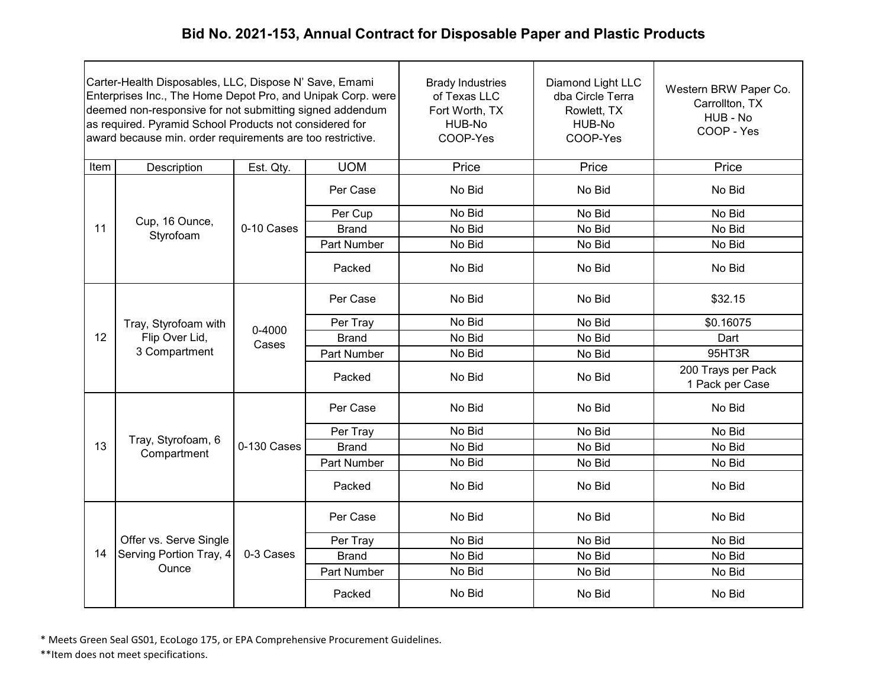| Carter-Health Disposables, LLC, Dispose N' Save, Emami<br>Enterprises Inc., The Home Depot Pro, and Unipak Corp. were<br>deemed non-responsive for not submitting signed addendum<br>as required. Pyramid School Products not considered for<br>award because min. order requirements are too restrictive. |                                                         |                 | <b>Brady Industries</b><br>of Texas LLC<br>Fort Worth, TX<br>HUB-No<br>COOP-Yes | Diamond Light LLC<br>dba Circle Terra<br>Rowlett, TX<br>HUB-No<br>COOP-Yes | Western BRW Paper Co.<br>Carrollton, TX<br>HUB - No<br>COOP - Yes |                                       |
|------------------------------------------------------------------------------------------------------------------------------------------------------------------------------------------------------------------------------------------------------------------------------------------------------------|---------------------------------------------------------|-----------------|---------------------------------------------------------------------------------|----------------------------------------------------------------------------|-------------------------------------------------------------------|---------------------------------------|
| Item                                                                                                                                                                                                                                                                                                       | Description                                             | Est. Qty.       | <b>UOM</b>                                                                      | Price                                                                      | Price                                                             | Price                                 |
|                                                                                                                                                                                                                                                                                                            |                                                         |                 | Per Case                                                                        | No Bid                                                                     | No Bid                                                            | No Bid                                |
|                                                                                                                                                                                                                                                                                                            |                                                         |                 | Per Cup                                                                         | No Bid                                                                     | No Bid                                                            | No Bid                                |
| 11                                                                                                                                                                                                                                                                                                         | Cup, 16 Ounce,<br>Styrofoam                             | 0-10 Cases      | <b>Brand</b>                                                                    | No Bid                                                                     | No Bid                                                            | No Bid                                |
|                                                                                                                                                                                                                                                                                                            |                                                         |                 | Part Number                                                                     | No Bid                                                                     | No Bid                                                            | No Bid                                |
|                                                                                                                                                                                                                                                                                                            |                                                         |                 | Packed                                                                          | No Bid                                                                     | No Bid                                                            | No Bid                                |
|                                                                                                                                                                                                                                                                                                            | Tray, Styrofoam with<br>Flip Over Lid,<br>3 Compartment | 0-4000<br>Cases | Per Case                                                                        | No Bid                                                                     | No Bid                                                            | \$32.15                               |
|                                                                                                                                                                                                                                                                                                            |                                                         |                 | Per Tray                                                                        | No Bid                                                                     | No Bid                                                            | \$0.16075                             |
| 12                                                                                                                                                                                                                                                                                                         |                                                         |                 | <b>Brand</b>                                                                    | No Bid                                                                     | No Bid                                                            | Dart                                  |
|                                                                                                                                                                                                                                                                                                            |                                                         |                 | Part Number                                                                     | No Bid                                                                     | No Bid                                                            | 95HT3R                                |
|                                                                                                                                                                                                                                                                                                            |                                                         |                 | Packed                                                                          | No Bid                                                                     | No Bid                                                            | 200 Trays per Pack<br>1 Pack per Case |
|                                                                                                                                                                                                                                                                                                            |                                                         |                 | Per Case                                                                        | No Bid                                                                     | No Bid                                                            | No Bid                                |
|                                                                                                                                                                                                                                                                                                            | Tray, Styrofoam, 6                                      |                 | Per Tray                                                                        | No Bid                                                                     | No Bid                                                            | No Bid                                |
| 13                                                                                                                                                                                                                                                                                                         | Compartment                                             | 0-130 Cases     | <b>Brand</b>                                                                    | No Bid                                                                     | No Bid                                                            | No Bid                                |
|                                                                                                                                                                                                                                                                                                            |                                                         |                 | Part Number                                                                     | No Bid                                                                     | No Bid                                                            | No Bid                                |
|                                                                                                                                                                                                                                                                                                            |                                                         |                 | Packed                                                                          | No Bid                                                                     | No Bid                                                            | No Bid                                |
|                                                                                                                                                                                                                                                                                                            |                                                         |                 | Per Case                                                                        | No Bid                                                                     | No Bid                                                            | No Bid                                |
|                                                                                                                                                                                                                                                                                                            | Offer vs. Serve Single                                  |                 | Per Tray                                                                        | No Bid                                                                     | No Bid                                                            | No Bid                                |
| 14                                                                                                                                                                                                                                                                                                         | Serving Portion Tray, 4                                 | 0-3 Cases       | <b>Brand</b>                                                                    | No Bid                                                                     | No Bid                                                            | No Bid                                |
|                                                                                                                                                                                                                                                                                                            | Ounce                                                   |                 | Part Number                                                                     | No Bid                                                                     | No Bid                                                            | No Bid                                |
|                                                                                                                                                                                                                                                                                                            |                                                         |                 | Packed                                                                          | No Bid                                                                     | No Bid                                                            | No Bid                                |

\* Meets Green Seal GS01, EcoLogo 175, or EPA Comprehensive Procurement Guidelines.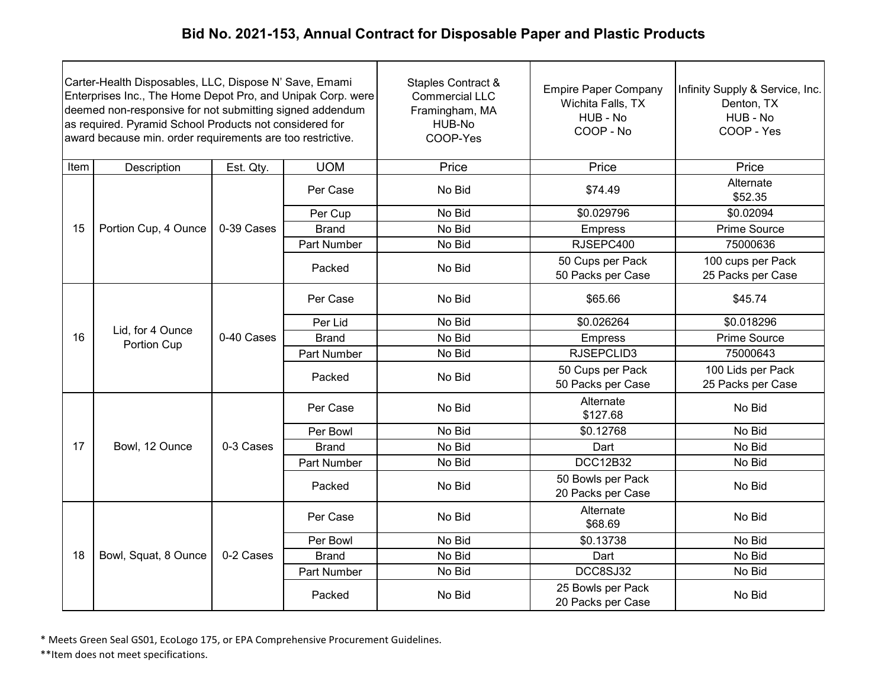| Carter-Health Disposables, LLC, Dispose N' Save, Emami<br>Enterprises Inc., The Home Depot Pro, and Unipak Corp. were<br>deemed non-responsive for not submitting signed addendum<br>as required. Pyramid School Products not considered for<br>award because min. order requirements are too restrictive. |                                 |            |              | Staples Contract &<br><b>Commercial LLC</b><br>Framingham, MA<br>HUB-No<br>COOP-Yes | <b>Empire Paper Company</b><br>Wichita Falls, TX<br>HUB - No<br>COOP - No | Infinity Supply & Service, Inc.<br>Denton, TX<br>HUB - No<br>COOP - Yes |
|------------------------------------------------------------------------------------------------------------------------------------------------------------------------------------------------------------------------------------------------------------------------------------------------------------|---------------------------------|------------|--------------|-------------------------------------------------------------------------------------|---------------------------------------------------------------------------|-------------------------------------------------------------------------|
| Item                                                                                                                                                                                                                                                                                                       | Description                     | Est. Qty.  | <b>UOM</b>   | Price                                                                               | Price                                                                     | Price                                                                   |
|                                                                                                                                                                                                                                                                                                            |                                 |            | Per Case     | No Bid                                                                              | \$74.49                                                                   | Alternate<br>\$52.35                                                    |
|                                                                                                                                                                                                                                                                                                            |                                 |            | Per Cup      | No Bid                                                                              | \$0.029796                                                                | \$0.02094                                                               |
| 15                                                                                                                                                                                                                                                                                                         | Portion Cup, 4 Ounce            | 0-39 Cases | <b>Brand</b> | No Bid                                                                              | <b>Empress</b>                                                            | Prime Source                                                            |
|                                                                                                                                                                                                                                                                                                            |                                 |            | Part Number  | No Bid                                                                              | RJSEPC400                                                                 | 75000636                                                                |
|                                                                                                                                                                                                                                                                                                            |                                 |            | Packed       | No Bid                                                                              | 50 Cups per Pack<br>50 Packs per Case                                     | 100 cups per Pack<br>25 Packs per Case                                  |
|                                                                                                                                                                                                                                                                                                            |                                 | 0-40 Cases | Per Case     | No Bid                                                                              | \$65.66                                                                   | \$45.74                                                                 |
|                                                                                                                                                                                                                                                                                                            | Lid, for 4 Ounce<br>Portion Cup |            | Per Lid      | No Bid                                                                              | \$0.026264                                                                | \$0.018296                                                              |
| 16                                                                                                                                                                                                                                                                                                         |                                 |            | <b>Brand</b> | No Bid                                                                              | <b>Empress</b>                                                            | Prime Source                                                            |
|                                                                                                                                                                                                                                                                                                            |                                 |            | Part Number  | No Bid                                                                              | RJSEPCLID3                                                                | 75000643                                                                |
|                                                                                                                                                                                                                                                                                                            |                                 |            | Packed       | No Bid                                                                              | 50 Cups per Pack<br>50 Packs per Case                                     | 100 Lids per Pack<br>25 Packs per Case                                  |
|                                                                                                                                                                                                                                                                                                            |                                 |            | Per Case     | No Bid                                                                              | Alternate<br>\$127.68                                                     | No Bid                                                                  |
|                                                                                                                                                                                                                                                                                                            |                                 |            | Per Bowl     | No Bid                                                                              | \$0.12768                                                                 | No Bid                                                                  |
| 17                                                                                                                                                                                                                                                                                                         | Bowl, 12 Ounce                  | 0-3 Cases  | <b>Brand</b> | No Bid                                                                              | Dart                                                                      | No Bid                                                                  |
|                                                                                                                                                                                                                                                                                                            |                                 |            | Part Number  | No Bid                                                                              | <b>DCC12B32</b>                                                           | No Bid                                                                  |
|                                                                                                                                                                                                                                                                                                            |                                 |            | Packed       | No Bid                                                                              | 50 Bowls per Pack<br>20 Packs per Case                                    | No Bid                                                                  |
|                                                                                                                                                                                                                                                                                                            |                                 |            | Per Case     | No Bid                                                                              | Alternate<br>\$68.69                                                      | No Bid                                                                  |
|                                                                                                                                                                                                                                                                                                            |                                 |            | Per Bowl     | No Bid                                                                              | \$0.13738                                                                 | No Bid                                                                  |
| 18                                                                                                                                                                                                                                                                                                         | Bowl, Squat, 8 Ounce            | 0-2 Cases  | <b>Brand</b> | No Bid                                                                              | Dart                                                                      | No Bid                                                                  |
|                                                                                                                                                                                                                                                                                                            |                                 |            | Part Number  | No Bid                                                                              | DCC8SJ32                                                                  | No Bid                                                                  |
|                                                                                                                                                                                                                                                                                                            |                                 |            | Packed       | No Bid                                                                              | 25 Bowls per Pack<br>20 Packs per Case                                    | No Bid                                                                  |

\* Meets Green Seal GS01, EcoLogo 175, or EPA Comprehensive Procurement Guidelines.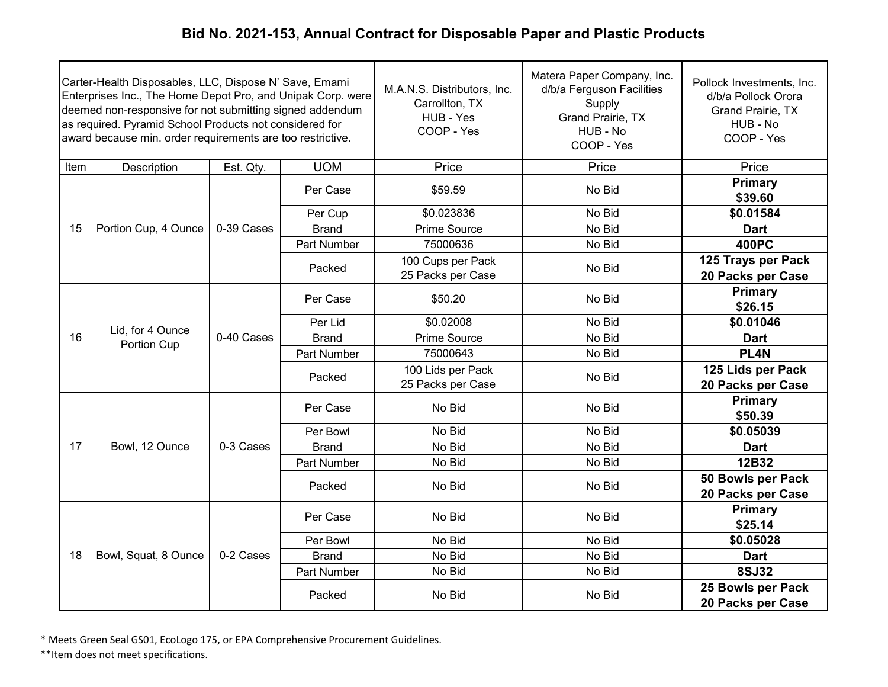|      | Carter-Health Disposables, LLC, Dispose N' Save, Emami<br>Enterprises Inc., The Home Depot Pro, and Unipak Corp. were<br>deemed non-responsive for not submitting signed addendum<br>as required. Pyramid School Products not considered for<br>award because min. order requirements are too restrictive. |            |              | M.A.N.S. Distributors, Inc.<br>Carrollton, TX<br>HUB - Yes<br>COOP - Yes | Matera Paper Company, Inc.<br>d/b/a Ferguson Facilities<br>Supply<br>Grand Prairie, TX<br>HUB - No<br>COOP - Yes | Pollock Investments, Inc.<br>d/b/a Pollock Orora<br>Grand Prairie, TX<br>HUB - No<br>COOP - Yes |
|------|------------------------------------------------------------------------------------------------------------------------------------------------------------------------------------------------------------------------------------------------------------------------------------------------------------|------------|--------------|--------------------------------------------------------------------------|------------------------------------------------------------------------------------------------------------------|-------------------------------------------------------------------------------------------------|
| Item | Description                                                                                                                                                                                                                                                                                                | Est. Qty.  | <b>UOM</b>   | Price                                                                    | Price                                                                                                            | Price                                                                                           |
|      |                                                                                                                                                                                                                                                                                                            |            | Per Case     | \$59.59                                                                  | No Bid                                                                                                           | Primary<br>\$39.60                                                                              |
|      |                                                                                                                                                                                                                                                                                                            |            | Per Cup      | \$0.023836                                                               | No Bid                                                                                                           | \$0.01584                                                                                       |
| 15   | Portion Cup, 4 Ounce                                                                                                                                                                                                                                                                                       | 0-39 Cases | <b>Brand</b> | <b>Prime Source</b>                                                      | No Bid                                                                                                           | <b>Dart</b>                                                                                     |
|      |                                                                                                                                                                                                                                                                                                            |            | Part Number  | 75000636                                                                 | No Bid                                                                                                           | <b>400PC</b>                                                                                    |
|      |                                                                                                                                                                                                                                                                                                            |            | Packed       | 100 Cups per Pack<br>25 Packs per Case                                   | No Bid                                                                                                           | 125 Trays per Pack<br>20 Packs per Case                                                         |
|      | Lid, for 4 Ounce<br>Portion Cup                                                                                                                                                                                                                                                                            |            | Per Case     | \$50.20                                                                  | No Bid                                                                                                           | Primary<br>\$26.15                                                                              |
|      |                                                                                                                                                                                                                                                                                                            | 0-40 Cases | Per Lid      | \$0.02008                                                                | No Bid                                                                                                           | \$0.01046                                                                                       |
| 16   |                                                                                                                                                                                                                                                                                                            |            | <b>Brand</b> | Prime Source                                                             | No Bid                                                                                                           | <b>Dart</b>                                                                                     |
|      |                                                                                                                                                                                                                                                                                                            |            | Part Number  | 75000643                                                                 | No Bid                                                                                                           | PL <sub>4</sub> N                                                                               |
|      |                                                                                                                                                                                                                                                                                                            |            |              | Packed                                                                   | 100 Lids per Pack<br>25 Packs per Case                                                                           | No Bid                                                                                          |
|      |                                                                                                                                                                                                                                                                                                            |            | Per Case     | No Bid                                                                   | No Bid                                                                                                           | Primary<br>\$50.39                                                                              |
|      |                                                                                                                                                                                                                                                                                                            |            | Per Bowl     | No Bid                                                                   | No Bid                                                                                                           | \$0.05039                                                                                       |
| 17   | Bowl, 12 Ounce                                                                                                                                                                                                                                                                                             | 0-3 Cases  | <b>Brand</b> | No Bid                                                                   | No Bid                                                                                                           | <b>Dart</b>                                                                                     |
|      |                                                                                                                                                                                                                                                                                                            |            | Part Number  | No Bid                                                                   | No Bid                                                                                                           | 12B32                                                                                           |
|      |                                                                                                                                                                                                                                                                                                            |            | Packed       | No Bid                                                                   | No Bid                                                                                                           | 50 Bowls per Pack<br>20 Packs per Case                                                          |
|      |                                                                                                                                                                                                                                                                                                            |            | Per Case     | No Bid                                                                   | No Bid                                                                                                           | Primary<br>\$25.14                                                                              |
|      |                                                                                                                                                                                                                                                                                                            |            | Per Bowl     | No Bid                                                                   | No Bid                                                                                                           | \$0.05028                                                                                       |
| 18   | Bowl, Squat, 8 Ounce                                                                                                                                                                                                                                                                                       | 0-2 Cases  | <b>Brand</b> | No Bid                                                                   | No Bid                                                                                                           | <b>Dart</b>                                                                                     |
|      |                                                                                                                                                                                                                                                                                                            |            | Part Number  | No Bid                                                                   | No Bid                                                                                                           | <b>8SJ32</b>                                                                                    |
|      |                                                                                                                                                                                                                                                                                                            |            | Packed       | No Bid                                                                   | No Bid                                                                                                           | 25 Bowls per Pack<br>20 Packs per Case                                                          |

\* Meets Green Seal GS01, EcoLogo 175, or EPA Comprehensive Procurement Guidelines.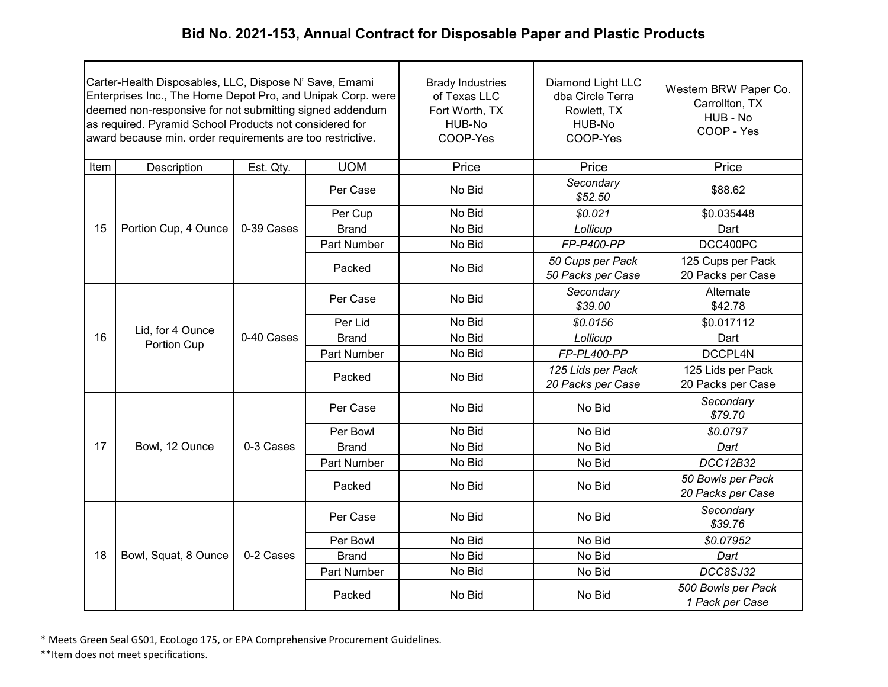| Carter-Health Disposables, LLC, Dispose N' Save, Emami<br>Enterprises Inc., The Home Depot Pro, and Unipak Corp. were<br>deemed non-responsive for not submitting signed addendum<br>as required. Pyramid School Products not considered for<br>award because min. order requirements are too restrictive. |                                 |            | <b>Brady Industries</b><br>of Texas LLC<br>Fort Worth, TX<br>HUB-No<br>COOP-Yes | Diamond Light LLC<br>dba Circle Terra<br>Rowlett, TX<br>HUB-No<br>COOP-Yes | Western BRW Paper Co.<br>Carrollton, TX<br>HUB - No<br>COOP - Yes |                                        |
|------------------------------------------------------------------------------------------------------------------------------------------------------------------------------------------------------------------------------------------------------------------------------------------------------------|---------------------------------|------------|---------------------------------------------------------------------------------|----------------------------------------------------------------------------|-------------------------------------------------------------------|----------------------------------------|
| Item                                                                                                                                                                                                                                                                                                       | Description                     | Est. Qty.  | <b>UOM</b>                                                                      | Price                                                                      | Price                                                             | Price                                  |
|                                                                                                                                                                                                                                                                                                            |                                 |            | Per Case                                                                        | No Bid                                                                     | Secondary<br>\$52.50                                              | \$88.62                                |
|                                                                                                                                                                                                                                                                                                            |                                 |            | Per Cup                                                                         | No Bid                                                                     | \$0.021                                                           | \$0.035448                             |
| 15                                                                                                                                                                                                                                                                                                         | Portion Cup, 4 Ounce            | 0-39 Cases | <b>Brand</b>                                                                    | No Bid                                                                     | Lollicup                                                          | Dart                                   |
|                                                                                                                                                                                                                                                                                                            |                                 |            | Part Number                                                                     | No Bid                                                                     | FP-P400-PP                                                        | DCC400PC                               |
|                                                                                                                                                                                                                                                                                                            |                                 |            | Packed                                                                          | No Bid                                                                     | 50 Cups per Pack<br>50 Packs per Case                             | 125 Cups per Pack<br>20 Packs per Case |
|                                                                                                                                                                                                                                                                                                            | Lid, for 4 Ounce<br>Portion Cup | 0-40 Cases | Per Case                                                                        | No Bid                                                                     | Secondary<br>\$39.00                                              | Alternate<br>\$42.78                   |
|                                                                                                                                                                                                                                                                                                            |                                 |            | Per Lid                                                                         | No Bid                                                                     | \$0.0156                                                          | \$0.017112                             |
| 16                                                                                                                                                                                                                                                                                                         |                                 |            | <b>Brand</b>                                                                    | No Bid                                                                     | Lollicup                                                          | Dart                                   |
|                                                                                                                                                                                                                                                                                                            |                                 |            | Part Number                                                                     | No Bid                                                                     | FP-PL400-PP                                                       | DCCPL4N                                |
|                                                                                                                                                                                                                                                                                                            |                                 |            | Packed                                                                          | No Bid                                                                     | 125 Lids per Pack<br>20 Packs per Case                            | 125 Lids per Pack<br>20 Packs per Case |
|                                                                                                                                                                                                                                                                                                            |                                 |            | Per Case                                                                        | No Bid                                                                     | No Bid                                                            | Secondary<br>\$79.70                   |
|                                                                                                                                                                                                                                                                                                            |                                 |            | Per Bowl                                                                        | No Bid                                                                     | No Bid                                                            | \$0.0797                               |
| 17                                                                                                                                                                                                                                                                                                         | Bowl, 12 Ounce                  | 0-3 Cases  | <b>Brand</b>                                                                    | No Bid                                                                     | No Bid                                                            | Dart                                   |
|                                                                                                                                                                                                                                                                                                            |                                 |            | Part Number                                                                     | No Bid                                                                     | No Bid                                                            | DCC12B32                               |
|                                                                                                                                                                                                                                                                                                            |                                 |            | Packed                                                                          | No Bid                                                                     | No Bid                                                            | 50 Bowls per Pack<br>20 Packs per Case |
|                                                                                                                                                                                                                                                                                                            |                                 |            | Per Case                                                                        | No Bid                                                                     | No Bid                                                            | Secondary<br>\$39.76                   |
|                                                                                                                                                                                                                                                                                                            |                                 |            | Per Bowl                                                                        | No Bid                                                                     | No Bid                                                            | \$0.07952                              |
| 18                                                                                                                                                                                                                                                                                                         | Bowl, Squat, 8 Ounce            | 0-2 Cases  | <b>Brand</b>                                                                    | No Bid                                                                     | No Bid                                                            | Dart                                   |
|                                                                                                                                                                                                                                                                                                            |                                 |            | Part Number                                                                     | No Bid                                                                     | No Bid                                                            | DCC8SJ32                               |
|                                                                                                                                                                                                                                                                                                            |                                 |            | Packed                                                                          | No Bid                                                                     | No Bid                                                            | 500 Bowls per Pack<br>1 Pack per Case  |

\* Meets Green Seal GS01, EcoLogo 175, or EPA Comprehensive Procurement Guidelines.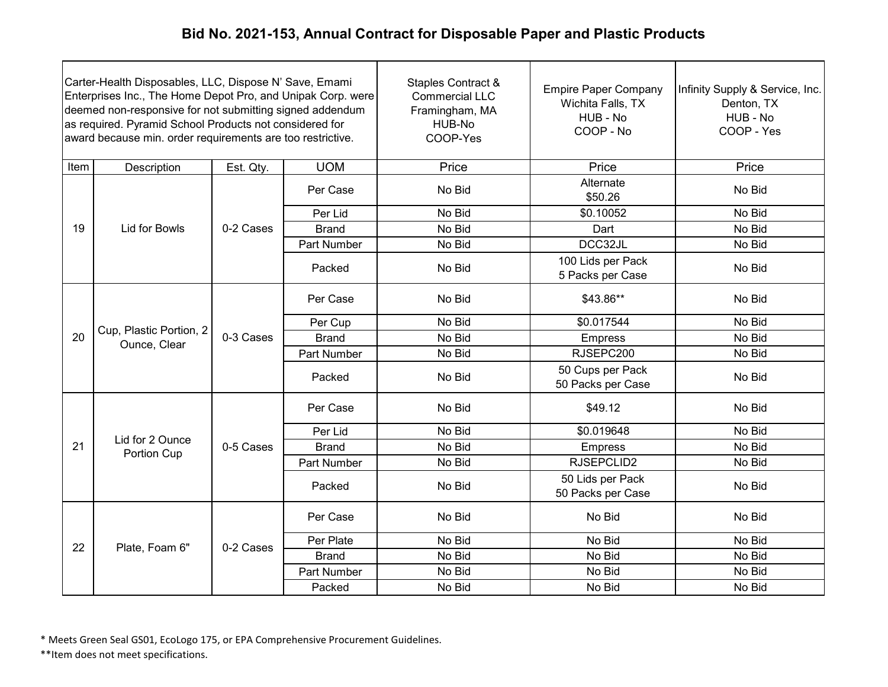| Carter-Health Disposables, LLC, Dispose N' Save, Emami<br>Enterprises Inc., The Home Depot Pro, and Unipak Corp. were<br>deemed non-responsive for not submitting signed addendum<br>as required. Pyramid School Products not considered for<br>award because min. order requirements are too restrictive. |                                         |           |              | <b>Staples Contract &amp;</b><br><b>Commercial LLC</b><br>Framingham, MA<br>HUB-No<br>COOP-Yes | <b>Empire Paper Company</b><br>Wichita Falls, TX<br>HUB - No<br>COOP - No | Infinity Supply & Service, Inc.<br>Denton, TX<br>HUB - No<br>COOP - Yes |        |
|------------------------------------------------------------------------------------------------------------------------------------------------------------------------------------------------------------------------------------------------------------------------------------------------------------|-----------------------------------------|-----------|--------------|------------------------------------------------------------------------------------------------|---------------------------------------------------------------------------|-------------------------------------------------------------------------|--------|
| Item                                                                                                                                                                                                                                                                                                       | Description                             | Est. Qty. | <b>UOM</b>   | Price                                                                                          | Price                                                                     | Price                                                                   |        |
|                                                                                                                                                                                                                                                                                                            |                                         |           | Per Case     | No Bid                                                                                         | Alternate<br>\$50.26                                                      | No Bid                                                                  |        |
|                                                                                                                                                                                                                                                                                                            |                                         |           | Per Lid      | No Bid                                                                                         | \$0.10052                                                                 | No Bid                                                                  |        |
| 19                                                                                                                                                                                                                                                                                                         | Lid for Bowls                           | 0-2 Cases | <b>Brand</b> | No Bid                                                                                         | Dart                                                                      | No Bid                                                                  |        |
|                                                                                                                                                                                                                                                                                                            |                                         |           | Part Number  | No Bid                                                                                         | DCC32JL                                                                   | No Bid                                                                  |        |
|                                                                                                                                                                                                                                                                                                            |                                         |           | Packed       | No Bid                                                                                         | 100 Lids per Pack<br>5 Packs per Case                                     | No Bid                                                                  |        |
|                                                                                                                                                                                                                                                                                                            | Cup, Plastic Portion, 2<br>Ounce, Clear |           |              | Per Case                                                                                       | No Bid                                                                    | \$43.86**                                                               | No Bid |
|                                                                                                                                                                                                                                                                                                            |                                         |           | Per Cup      | No Bid                                                                                         | \$0.017544                                                                | No Bid                                                                  |        |
| 20                                                                                                                                                                                                                                                                                                         |                                         | 0-3 Cases | <b>Brand</b> | No Bid                                                                                         | <b>Empress</b>                                                            | No Bid                                                                  |        |
|                                                                                                                                                                                                                                                                                                            |                                         |           | Part Number  | No Bid                                                                                         | RJSEPC200                                                                 | No Bid                                                                  |        |
|                                                                                                                                                                                                                                                                                                            |                                         |           | Packed       | No Bid                                                                                         | 50 Cups per Pack<br>50 Packs per Case                                     | No Bid                                                                  |        |
|                                                                                                                                                                                                                                                                                                            |                                         |           | Per Case     | No Bid                                                                                         | \$49.12                                                                   | No Bid                                                                  |        |
|                                                                                                                                                                                                                                                                                                            |                                         |           | Per Lid      | No Bid                                                                                         | \$0.019648                                                                | No Bid                                                                  |        |
| 21                                                                                                                                                                                                                                                                                                         | Lid for 2 Ounce<br>Portion Cup          | 0-5 Cases | <b>Brand</b> | No Bid                                                                                         | <b>Empress</b>                                                            | No Bid                                                                  |        |
|                                                                                                                                                                                                                                                                                                            |                                         |           | Part Number  | No Bid                                                                                         | RJSEPCLID2                                                                | No Bid                                                                  |        |
|                                                                                                                                                                                                                                                                                                            |                                         |           | Packed       | No Bid                                                                                         | 50 Lids per Pack<br>50 Packs per Case                                     | No Bid                                                                  |        |
|                                                                                                                                                                                                                                                                                                            |                                         |           | Per Case     | No Bid                                                                                         | No Bid                                                                    | No Bid                                                                  |        |
| 22                                                                                                                                                                                                                                                                                                         |                                         |           | Per Plate    | No Bid                                                                                         | No Bid                                                                    | No Bid                                                                  |        |
|                                                                                                                                                                                                                                                                                                            | Plate, Foam 6"                          | 0-2 Cases | <b>Brand</b> | No Bid                                                                                         | No Bid                                                                    | No Bid                                                                  |        |
|                                                                                                                                                                                                                                                                                                            |                                         |           | Part Number  | No Bid                                                                                         | No Bid                                                                    | No Bid                                                                  |        |
|                                                                                                                                                                                                                                                                                                            |                                         |           | Packed       | No Bid                                                                                         | No Bid                                                                    | No Bid                                                                  |        |

\* Meets Green Seal GS01, EcoLogo 175, or EPA Comprehensive Procurement Guidelines.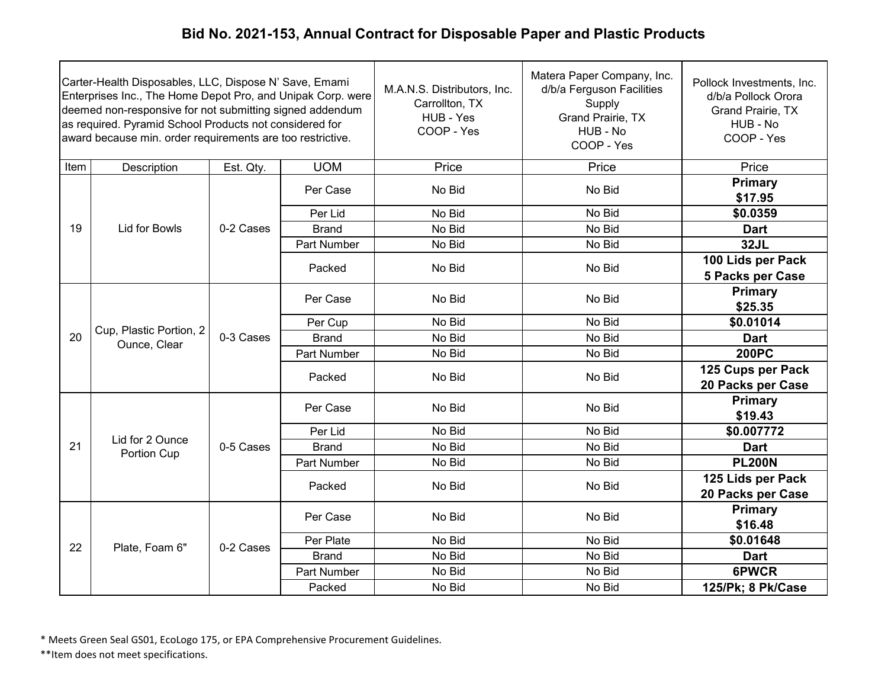| Carter-Health Disposables, LLC, Dispose N' Save, Emami<br>Enterprises Inc., The Home Depot Pro, and Unipak Corp. were<br>deemed non-responsive for not submitting signed addendum<br>as required. Pyramid School Products not considered for<br>award because min. order requirements are too restrictive. |                                         |           |              | M.A.N.S. Distributors, Inc.<br>Carrollton, TX<br>HUB - Yes<br>COOP - Yes | Matera Paper Company, Inc.<br>d/b/a Ferguson Facilities<br>Supply<br>Grand Prairie, TX<br>HUB - No<br>COOP - Yes | Pollock Investments, Inc.<br>d/b/a Pollock Orora<br>Grand Prairie, TX<br>HUB - No<br>COOP - Yes |                                        |
|------------------------------------------------------------------------------------------------------------------------------------------------------------------------------------------------------------------------------------------------------------------------------------------------------------|-----------------------------------------|-----------|--------------|--------------------------------------------------------------------------|------------------------------------------------------------------------------------------------------------------|-------------------------------------------------------------------------------------------------|----------------------------------------|
| Item                                                                                                                                                                                                                                                                                                       | Description                             | Est. Qty. | <b>UOM</b>   | Price                                                                    | Price                                                                                                            | Price                                                                                           |                                        |
|                                                                                                                                                                                                                                                                                                            |                                         |           | Per Case     | No Bid                                                                   | No Bid                                                                                                           | Primary<br>\$17.95                                                                              |                                        |
|                                                                                                                                                                                                                                                                                                            |                                         |           | Per Lid      | No Bid                                                                   | No Bid                                                                                                           | \$0.0359                                                                                        |                                        |
| 19                                                                                                                                                                                                                                                                                                         | <b>Lid for Bowls</b>                    | 0-2 Cases | <b>Brand</b> | No Bid                                                                   | No Bid                                                                                                           | <b>Dart</b>                                                                                     |                                        |
|                                                                                                                                                                                                                                                                                                            |                                         |           | Part Number  | No Bid                                                                   | No Bid                                                                                                           | <b>32JL</b>                                                                                     |                                        |
|                                                                                                                                                                                                                                                                                                            |                                         |           | Packed       | No Bid                                                                   | No Bid                                                                                                           | 100 Lids per Pack<br>5 Packs per Case                                                           |                                        |
|                                                                                                                                                                                                                                                                                                            | Cup, Plastic Portion, 2<br>Ounce, Clear |           | Per Case     | No Bid                                                                   | No Bid                                                                                                           | Primary<br>\$25.35                                                                              |                                        |
|                                                                                                                                                                                                                                                                                                            |                                         |           | Per Cup      | No Bid                                                                   | No Bid                                                                                                           | \$0.01014                                                                                       |                                        |
| 20                                                                                                                                                                                                                                                                                                         |                                         | 0-3 Cases | <b>Brand</b> | No Bid                                                                   | No Bid                                                                                                           | <b>Dart</b>                                                                                     |                                        |
|                                                                                                                                                                                                                                                                                                            |                                         |           |              | Part Number                                                              | No Bid                                                                                                           | No Bid                                                                                          | <b>200PC</b>                           |
|                                                                                                                                                                                                                                                                                                            |                                         |           |              | Packed                                                                   | No Bid                                                                                                           | No Bid                                                                                          | 125 Cups per Pack<br>20 Packs per Case |
|                                                                                                                                                                                                                                                                                                            |                                         |           | Per Case     | No Bid                                                                   | No Bid                                                                                                           | Primary<br>\$19.43                                                                              |                                        |
|                                                                                                                                                                                                                                                                                                            |                                         |           | Per Lid      | No Bid                                                                   | No Bid                                                                                                           | \$0.007772                                                                                      |                                        |
| 21                                                                                                                                                                                                                                                                                                         | Lid for 2 Ounce<br>Portion Cup          | 0-5 Cases | <b>Brand</b> | No Bid                                                                   | No Bid                                                                                                           | <b>Dart</b>                                                                                     |                                        |
|                                                                                                                                                                                                                                                                                                            |                                         |           | Part Number  | No Bid                                                                   | No Bid                                                                                                           | <b>PL200N</b>                                                                                   |                                        |
|                                                                                                                                                                                                                                                                                                            |                                         |           | Packed       | No Bid                                                                   | No Bid                                                                                                           | 125 Lids per Pack<br>20 Packs per Case                                                          |                                        |
|                                                                                                                                                                                                                                                                                                            |                                         |           | Per Case     | No Bid                                                                   | No Bid                                                                                                           | Primary<br>\$16.48                                                                              |                                        |
|                                                                                                                                                                                                                                                                                                            |                                         |           | Per Plate    | No Bid                                                                   | No Bid                                                                                                           | \$0.01648                                                                                       |                                        |
| 22                                                                                                                                                                                                                                                                                                         | Plate, Foam 6"                          | 0-2 Cases | <b>Brand</b> | No Bid                                                                   | No Bid                                                                                                           | <b>Dart</b>                                                                                     |                                        |
|                                                                                                                                                                                                                                                                                                            |                                         |           | Part Number  | No Bid                                                                   | No Bid                                                                                                           | 6PWCR                                                                                           |                                        |
|                                                                                                                                                                                                                                                                                                            |                                         |           | Packed       | No Bid                                                                   | No Bid                                                                                                           | 125/Pk; 8 Pk/Case                                                                               |                                        |

\* Meets Green Seal GS01, EcoLogo 175, or EPA Comprehensive Procurement Guidelines.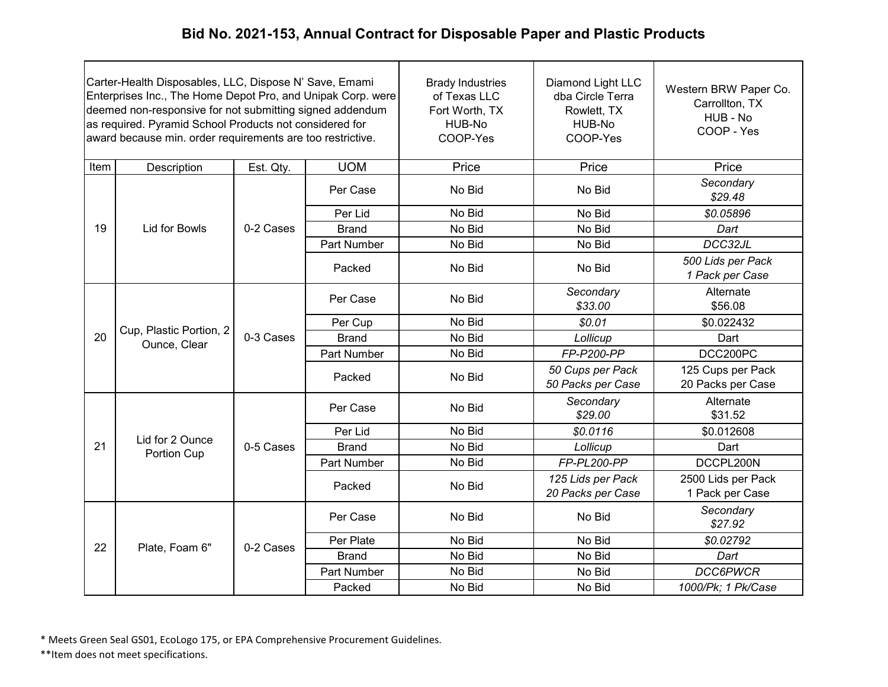| Carter-Health Disposables, LLC, Dispose N' Save, Emami<br>Enterprises Inc., The Home Depot Pro, and Unipak Corp. were<br>deemed non-responsive for not submitting signed addendum<br>as required. Pyramid School Products not considered for<br>award because min. order requirements are too restrictive. |                                         |           | <b>Brady Industries</b><br>of Texas LLC<br>Fort Worth, TX<br>HUB-No<br>COOP-Yes | Diamond Light LLC<br>dba Circle Terra<br>Rowlett, TX<br>HUB-No<br>COOP-Yes | Western BRW Paper Co.<br>Carrollton, TX<br>HUB - No<br>COOP - Yes |                                        |
|------------------------------------------------------------------------------------------------------------------------------------------------------------------------------------------------------------------------------------------------------------------------------------------------------------|-----------------------------------------|-----------|---------------------------------------------------------------------------------|----------------------------------------------------------------------------|-------------------------------------------------------------------|----------------------------------------|
| Item                                                                                                                                                                                                                                                                                                       | Description                             | Est. Qty. | <b>UOM</b>                                                                      | Price                                                                      | Price                                                             | Price                                  |
|                                                                                                                                                                                                                                                                                                            |                                         |           | Per Case                                                                        | No Bid                                                                     | No Bid                                                            | Secondary<br>\$29.48                   |
|                                                                                                                                                                                                                                                                                                            |                                         |           | Per Lid                                                                         | No Bid                                                                     | No Bid                                                            | \$0.05896                              |
| 19                                                                                                                                                                                                                                                                                                         | <b>Lid for Bowls</b>                    | 0-2 Cases | <b>Brand</b>                                                                    | No Bid                                                                     | No Bid                                                            | Dart                                   |
|                                                                                                                                                                                                                                                                                                            |                                         |           | Part Number                                                                     | No Bid                                                                     | No Bid                                                            | DCC32JL                                |
|                                                                                                                                                                                                                                                                                                            |                                         |           | Packed                                                                          | No Bid                                                                     | No Bid                                                            | 500 Lids per Pack<br>1 Pack per Case   |
|                                                                                                                                                                                                                                                                                                            | Cup, Plastic Portion, 2<br>Ounce, Clear | 0-3 Cases | Per Case                                                                        | No Bid                                                                     | Secondary<br>\$33.00                                              | Alternate<br>\$56.08                   |
|                                                                                                                                                                                                                                                                                                            |                                         |           | Per Cup                                                                         | No Bid                                                                     | \$0.01                                                            | \$0.022432                             |
| 20                                                                                                                                                                                                                                                                                                         |                                         |           | <b>Brand</b>                                                                    | No Bid                                                                     | Lollicup                                                          | Dart                                   |
|                                                                                                                                                                                                                                                                                                            |                                         |           | Part Number                                                                     | No Bid                                                                     | FP-P200-PP                                                        | DCC200PC                               |
|                                                                                                                                                                                                                                                                                                            |                                         |           | Packed                                                                          | No Bid                                                                     | 50 Cups per Pack<br>50 Packs per Case                             | 125 Cups per Pack<br>20 Packs per Case |
|                                                                                                                                                                                                                                                                                                            |                                         |           | Per Case                                                                        | No Bid                                                                     | Secondary<br>\$29.00                                              | Alternate<br>\$31.52                   |
|                                                                                                                                                                                                                                                                                                            | Lid for 2 Ounce                         |           | Per Lid                                                                         | No Bid                                                                     | \$0.0116                                                          | \$0.012608                             |
| 21                                                                                                                                                                                                                                                                                                         | Portion Cup                             | 0-5 Cases | <b>Brand</b>                                                                    | No Bid                                                                     | Lollicup                                                          | Dart                                   |
|                                                                                                                                                                                                                                                                                                            |                                         |           | Part Number                                                                     | No Bid                                                                     | FP-PL200-PP                                                       | DCCPL200N                              |
|                                                                                                                                                                                                                                                                                                            |                                         |           | Packed                                                                          | No Bid                                                                     | 125 Lids per Pack<br>20 Packs per Case                            | 2500 Lids per Pack<br>1 Pack per Case  |
|                                                                                                                                                                                                                                                                                                            |                                         |           | Per Case                                                                        | No Bid                                                                     | No Bid                                                            | Secondary<br>\$27.92                   |
| 22                                                                                                                                                                                                                                                                                                         | Plate, Foam 6"                          | 0-2 Cases | Per Plate                                                                       | No Bid                                                                     | No Bid                                                            | \$0.02792                              |
|                                                                                                                                                                                                                                                                                                            |                                         |           | <b>Brand</b>                                                                    | No Bid                                                                     | No Bid                                                            | Dart                                   |
|                                                                                                                                                                                                                                                                                                            |                                         |           | Part Number                                                                     | No Bid                                                                     | No Bid                                                            | <b>DCC6PWCR</b>                        |
|                                                                                                                                                                                                                                                                                                            |                                         |           | Packed                                                                          | No Bid                                                                     | No Bid                                                            | 1000/Pk; 1 Pk/Case                     |

\* Meets Green Seal GS01, EcoLogo 175, or EPA Comprehensive Procurement Guidelines.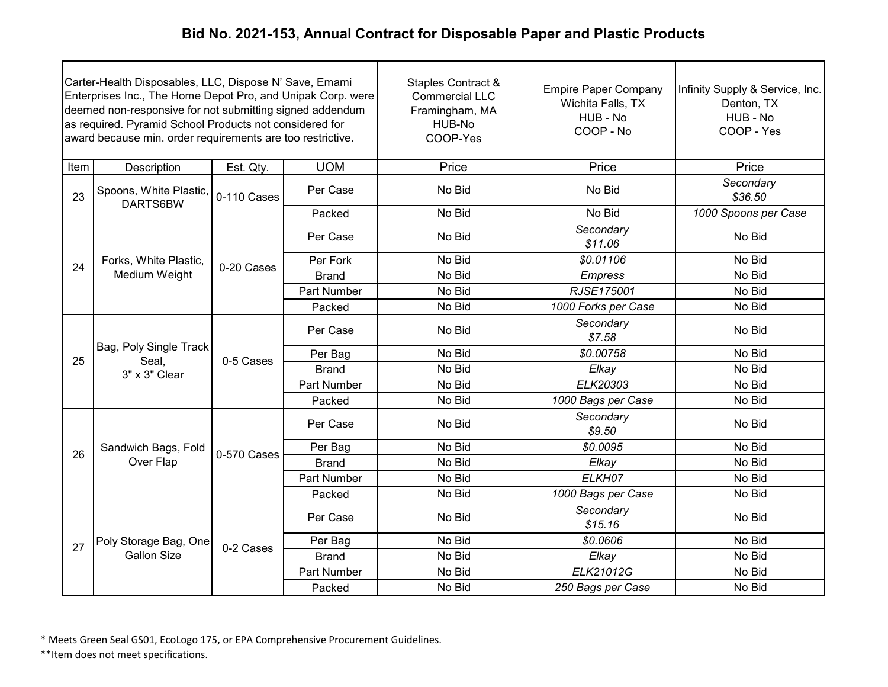| Carter-Health Disposables, LLC, Dispose N' Save, Emami<br>Enterprises Inc., The Home Depot Pro, and Unipak Corp. were<br>deemed non-responsive for not submitting signed addendum<br>as required. Pyramid School Products not considered for<br>award because min. order requirements are too restrictive. |                                                  |             |                    | Staples Contract &<br><b>Commercial LLC</b><br>Framingham, MA<br>HUB-No<br>COOP-Yes | <b>Empire Paper Company</b><br>Wichita Falls, TX<br>HUB - No<br>COOP - No | Infinity Supply & Service, Inc.<br>Denton, TX<br>HUB - No<br>COOP - Yes |
|------------------------------------------------------------------------------------------------------------------------------------------------------------------------------------------------------------------------------------------------------------------------------------------------------------|--------------------------------------------------|-------------|--------------------|-------------------------------------------------------------------------------------|---------------------------------------------------------------------------|-------------------------------------------------------------------------|
| Item                                                                                                                                                                                                                                                                                                       | Description                                      | Est. Qty.   | <b>UOM</b>         | Price                                                                               | Price                                                                     | Price                                                                   |
| 23                                                                                                                                                                                                                                                                                                         | Spoons, White Plastic,<br>DARTS6BW               | 0-110 Cases | Per Case           | No Bid                                                                              | No Bid                                                                    | Secondary<br>\$36.50                                                    |
|                                                                                                                                                                                                                                                                                                            |                                                  |             | Packed             | No Bid                                                                              | No Bid                                                                    | 1000 Spoons per Case                                                    |
|                                                                                                                                                                                                                                                                                                            |                                                  |             | Per Case           | No Bid                                                                              | Secondary<br>\$11.06                                                      | No Bid                                                                  |
| 24                                                                                                                                                                                                                                                                                                         | Forks, White Plastic,                            | 0-20 Cases  | Per Fork           | No Bid                                                                              | \$0.01106                                                                 | No Bid                                                                  |
|                                                                                                                                                                                                                                                                                                            | Medium Weight                                    |             | <b>Brand</b>       | No Bid                                                                              | <b>Empress</b>                                                            | No Bid                                                                  |
|                                                                                                                                                                                                                                                                                                            |                                                  |             | <b>Part Number</b> | No Bid                                                                              | RJSE175001                                                                | No Bid                                                                  |
|                                                                                                                                                                                                                                                                                                            |                                                  |             | Packed             | No Bid                                                                              | 1000 Forks per Case                                                       | No Bid                                                                  |
|                                                                                                                                                                                                                                                                                                            | Bag, Poly Single Track<br>Seal,<br>3" x 3" Clear | 0-5 Cases   | Per Case           | No Bid                                                                              | Secondary<br>\$7.58                                                       | No Bid                                                                  |
| 25                                                                                                                                                                                                                                                                                                         |                                                  |             | Per Bag            | No Bid                                                                              | \$0.00758                                                                 | No Bid                                                                  |
|                                                                                                                                                                                                                                                                                                            |                                                  |             | <b>Brand</b>       | No Bid                                                                              | Elkay                                                                     | No Bid                                                                  |
|                                                                                                                                                                                                                                                                                                            |                                                  |             | <b>Part Number</b> | No Bid                                                                              | ELK20303                                                                  | No Bid                                                                  |
|                                                                                                                                                                                                                                                                                                            |                                                  |             | Packed             | No Bid                                                                              | 1000 Bags per Case                                                        | No Bid                                                                  |
|                                                                                                                                                                                                                                                                                                            |                                                  |             | Per Case           | No Bid                                                                              | Secondary<br>\$9.50                                                       | No Bid                                                                  |
| 26                                                                                                                                                                                                                                                                                                         | Sandwich Bags, Fold                              | 0-570 Cases | Per Bag            | No Bid                                                                              | \$0.0095                                                                  | No Bid                                                                  |
|                                                                                                                                                                                                                                                                                                            | Over Flap                                        |             | <b>Brand</b>       | No Bid                                                                              | Elkay                                                                     | No Bid                                                                  |
|                                                                                                                                                                                                                                                                                                            |                                                  |             | <b>Part Number</b> | No Bid                                                                              | ELKH07                                                                    | No Bid                                                                  |
|                                                                                                                                                                                                                                                                                                            |                                                  |             | Packed             | No Bid                                                                              | 1000 Bags per Case                                                        | No Bid                                                                  |
|                                                                                                                                                                                                                                                                                                            |                                                  |             | Per Case           | No Bid                                                                              | Secondary<br>\$15.16                                                      | No Bid                                                                  |
| 27                                                                                                                                                                                                                                                                                                         | Poly Storage Bag, One                            | 0-2 Cases   | Per Bag            | No Bid                                                                              | \$0.0606                                                                  | No Bid                                                                  |
|                                                                                                                                                                                                                                                                                                            | <b>Gallon Size</b>                               |             | <b>Brand</b>       | No Bid                                                                              | Elkay                                                                     | No Bid                                                                  |
|                                                                                                                                                                                                                                                                                                            |                                                  |             | Part Number        | No Bid                                                                              | ELK21012G                                                                 | No Bid                                                                  |
|                                                                                                                                                                                                                                                                                                            |                                                  |             | Packed             | No Bid                                                                              | 250 Bags per Case                                                         | No Bid                                                                  |

\* Meets Green Seal GS01, EcoLogo 175, or EPA Comprehensive Procurement Guidelines.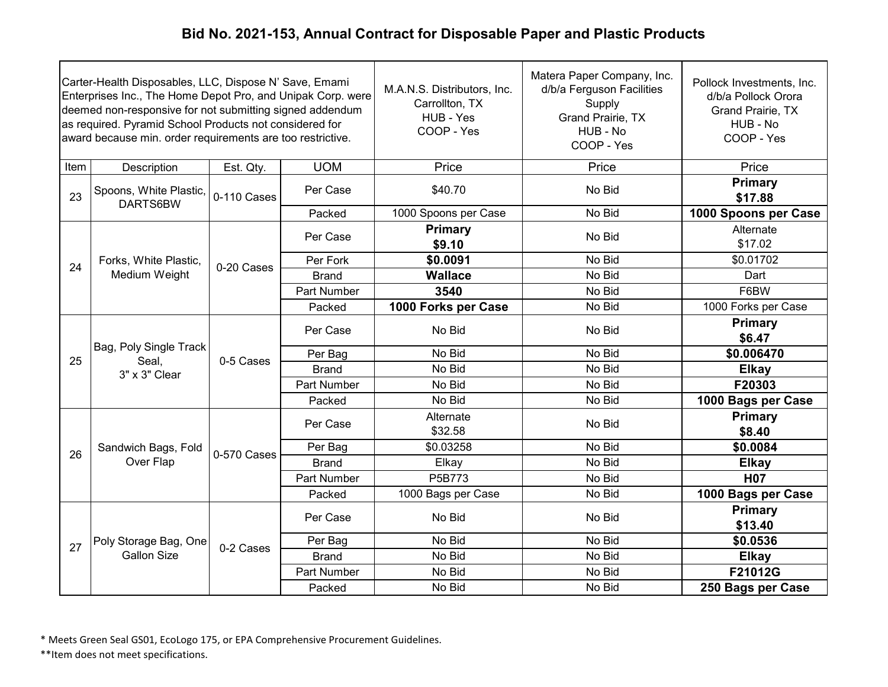| Carter-Health Disposables, LLC, Dispose N' Save, Emami<br>Enterprises Inc., The Home Depot Pro, and Unipak Corp. were<br>deemed non-responsive for not submitting signed addendum<br>as required. Pyramid School Products not considered for<br>award because min. order requirements are too restrictive. |                                                  |             |              | M.A.N.S. Distributors, Inc.<br>Carrollton, TX<br>HUB - Yes<br>COOP - Yes | Matera Paper Company, Inc.<br>d/b/a Ferguson Facilities<br>Supply<br>Grand Prairie, TX<br>HUB - No<br>COOP - Yes | Pollock Investments, Inc.<br>d/b/a Pollock Orora<br><b>Grand Prairie, TX</b><br>HUB - No<br>COOP - Yes |
|------------------------------------------------------------------------------------------------------------------------------------------------------------------------------------------------------------------------------------------------------------------------------------------------------------|--------------------------------------------------|-------------|--------------|--------------------------------------------------------------------------|------------------------------------------------------------------------------------------------------------------|--------------------------------------------------------------------------------------------------------|
| Item                                                                                                                                                                                                                                                                                                       | Description                                      | Est. Qty.   | <b>UOM</b>   | Price                                                                    | Price                                                                                                            | Price                                                                                                  |
| 23                                                                                                                                                                                                                                                                                                         | Spoons, White Plastic,<br>DARTS6BW               | 0-110 Cases | Per Case     | \$40.70                                                                  | No Bid                                                                                                           | Primary<br>\$17.88                                                                                     |
|                                                                                                                                                                                                                                                                                                            |                                                  |             | Packed       | 1000 Spoons per Case                                                     | No Bid                                                                                                           | 1000 Spoons per Case                                                                                   |
|                                                                                                                                                                                                                                                                                                            |                                                  |             | Per Case     | <b>Primary</b><br>\$9.10                                                 | No Bid                                                                                                           | Alternate<br>\$17.02                                                                                   |
| 24                                                                                                                                                                                                                                                                                                         | Forks, White Plastic,                            | 0-20 Cases  | Per Fork     | \$0.0091                                                                 | No Bid                                                                                                           | \$0.01702                                                                                              |
|                                                                                                                                                                                                                                                                                                            | Medium Weight                                    |             | <b>Brand</b> | <b>Wallace</b>                                                           | No Bid                                                                                                           | Dart                                                                                                   |
|                                                                                                                                                                                                                                                                                                            |                                                  |             | Part Number  | 3540                                                                     | No Bid                                                                                                           | F6BW                                                                                                   |
|                                                                                                                                                                                                                                                                                                            |                                                  |             | Packed       | 1000 Forks per Case                                                      | No Bid                                                                                                           | 1000 Forks per Case                                                                                    |
|                                                                                                                                                                                                                                                                                                            | Bag, Poly Single Track<br>Seal,<br>3" x 3" Clear | 0-5 Cases   | Per Case     | No Bid                                                                   | No Bid                                                                                                           | Primary<br>\$6.47                                                                                      |
| 25                                                                                                                                                                                                                                                                                                         |                                                  |             | Per Bag      | No Bid                                                                   | No Bid                                                                                                           | \$0.006470                                                                                             |
|                                                                                                                                                                                                                                                                                                            |                                                  |             | <b>Brand</b> | No Bid                                                                   | No Bid                                                                                                           | <b>Elkay</b>                                                                                           |
|                                                                                                                                                                                                                                                                                                            |                                                  |             | Part Number  | No Bid                                                                   | No Bid                                                                                                           | F20303                                                                                                 |
|                                                                                                                                                                                                                                                                                                            |                                                  |             | Packed       | No Bid                                                                   | No Bid                                                                                                           | 1000 Bags per Case                                                                                     |
|                                                                                                                                                                                                                                                                                                            |                                                  |             | Per Case     | Alternate<br>\$32.58                                                     | No Bid                                                                                                           | <b>Primary</b><br>\$8.40                                                                               |
| 26                                                                                                                                                                                                                                                                                                         | Sandwich Bags, Fold                              | 0-570 Cases | Per Bag      | \$0.03258                                                                | No Bid                                                                                                           | \$0.0084                                                                                               |
|                                                                                                                                                                                                                                                                                                            | Over Flap                                        |             | <b>Brand</b> | Elkay                                                                    | No Bid                                                                                                           | <b>Elkay</b>                                                                                           |
|                                                                                                                                                                                                                                                                                                            |                                                  |             | Part Number  | P5B773                                                                   | No Bid                                                                                                           | <b>H07</b>                                                                                             |
|                                                                                                                                                                                                                                                                                                            |                                                  |             | Packed       | 1000 Bags per Case                                                       | No Bid                                                                                                           | 1000 Bags per Case                                                                                     |
|                                                                                                                                                                                                                                                                                                            |                                                  |             | Per Case     | No Bid                                                                   | No Bid                                                                                                           | Primary<br>\$13.40                                                                                     |
|                                                                                                                                                                                                                                                                                                            | Poly Storage Bag, One                            |             | Per Bag      | No Bid                                                                   | No Bid                                                                                                           | \$0.0536                                                                                               |
| 27                                                                                                                                                                                                                                                                                                         | <b>Gallon Size</b>                               | 0-2 Cases   | <b>Brand</b> | No Bid                                                                   | No Bid                                                                                                           | <b>Elkay</b>                                                                                           |
|                                                                                                                                                                                                                                                                                                            |                                                  |             | Part Number  | No Bid                                                                   | No Bid                                                                                                           | F21012G                                                                                                |
|                                                                                                                                                                                                                                                                                                            |                                                  |             | Packed       | No Bid                                                                   | No Bid                                                                                                           | 250 Bags per Case                                                                                      |

\* Meets Green Seal GS01, EcoLogo 175, or EPA Comprehensive Procurement Guidelines.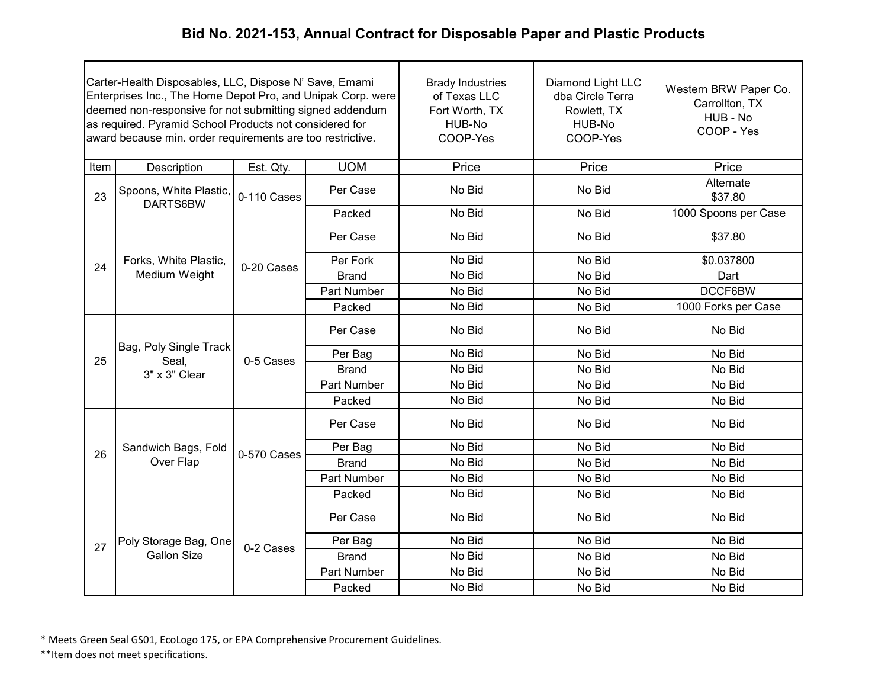| Carter-Health Disposables, LLC, Dispose N' Save, Emami<br>Enterprises Inc., The Home Depot Pro, and Unipak Corp. were<br>deemed non-responsive for not submitting signed addendum<br>as required. Pyramid School Products not considered for<br>award because min. order requirements are too restrictive. |                                                  |             |                    | <b>Brady Industries</b><br>of Texas LLC<br>Fort Worth, TX<br>HUB-No<br>COOP-Yes | Diamond Light LLC<br>dba Circle Terra<br>Rowlett, TX<br>HUB-No<br>COOP-Yes | Western BRW Paper Co.<br>Carrollton, TX<br>HUB - No<br>COOP - Yes |
|------------------------------------------------------------------------------------------------------------------------------------------------------------------------------------------------------------------------------------------------------------------------------------------------------------|--------------------------------------------------|-------------|--------------------|---------------------------------------------------------------------------------|----------------------------------------------------------------------------|-------------------------------------------------------------------|
| Item                                                                                                                                                                                                                                                                                                       | Description                                      | Est. Qty.   | <b>UOM</b>         | Price                                                                           | Price                                                                      | Price                                                             |
| 23                                                                                                                                                                                                                                                                                                         | Spoons, White Plastic,<br>DARTS6BW               | 0-110 Cases | Per Case           | No Bid                                                                          | No Bid                                                                     | Alternate<br>\$37.80                                              |
|                                                                                                                                                                                                                                                                                                            |                                                  |             | Packed             | No Bid                                                                          | No Bid                                                                     | 1000 Spoons per Case                                              |
|                                                                                                                                                                                                                                                                                                            |                                                  |             | Per Case           | No Bid                                                                          | No Bid                                                                     | \$37.80                                                           |
| 24                                                                                                                                                                                                                                                                                                         | Forks, White Plastic,                            |             | Per Fork           | No Bid                                                                          | No Bid                                                                     | \$0.037800                                                        |
|                                                                                                                                                                                                                                                                                                            | Medium Weight                                    | 0-20 Cases  | Brand              | No Bid                                                                          | No Bid                                                                     | Dart                                                              |
|                                                                                                                                                                                                                                                                                                            |                                                  |             | <b>Part Number</b> | No Bid                                                                          | No Bid                                                                     | DCCF6BW                                                           |
|                                                                                                                                                                                                                                                                                                            |                                                  |             | Packed             | No Bid                                                                          | No Bid                                                                     | 1000 Forks per Case                                               |
|                                                                                                                                                                                                                                                                                                            | Bag, Poly Single Track<br>Seal,<br>3" x 3" Clear | 0-5 Cases   | Per Case           | No Bid                                                                          | No Bid                                                                     | No Bid                                                            |
| 25                                                                                                                                                                                                                                                                                                         |                                                  |             | Per Bag            | No Bid                                                                          | No Bid                                                                     | No Bid                                                            |
|                                                                                                                                                                                                                                                                                                            |                                                  |             | <b>Brand</b>       | No Bid                                                                          | No Bid                                                                     | No Bid                                                            |
|                                                                                                                                                                                                                                                                                                            |                                                  |             | <b>Part Number</b> | No Bid                                                                          | No Bid                                                                     | No Bid                                                            |
|                                                                                                                                                                                                                                                                                                            |                                                  |             | Packed             | No Bid                                                                          | No Bid                                                                     | No Bid                                                            |
|                                                                                                                                                                                                                                                                                                            |                                                  |             | Per Case           | No Bid                                                                          | No Bid                                                                     | No Bid                                                            |
| 26                                                                                                                                                                                                                                                                                                         | Sandwich Bags, Fold                              | 0-570 Cases | Per Bag            | No Bid                                                                          | No Bid                                                                     | No Bid                                                            |
|                                                                                                                                                                                                                                                                                                            | Over Flap                                        |             | <b>Brand</b>       | No Bid                                                                          | No Bid                                                                     | No Bid                                                            |
|                                                                                                                                                                                                                                                                                                            |                                                  |             | <b>Part Number</b> | No Bid                                                                          | No Bid                                                                     | No Bid                                                            |
|                                                                                                                                                                                                                                                                                                            |                                                  |             | Packed             | No Bid                                                                          | No Bid                                                                     | No Bid                                                            |
|                                                                                                                                                                                                                                                                                                            |                                                  |             | Per Case           | No Bid                                                                          | No Bid                                                                     | No Bid                                                            |
| 27                                                                                                                                                                                                                                                                                                         | Poly Storage Bag, One                            | 0-2 Cases   | Per Bag            | No Bid                                                                          | No Bid                                                                     | No Bid                                                            |
|                                                                                                                                                                                                                                                                                                            | <b>Gallon Size</b>                               |             | <b>Brand</b>       | No Bid                                                                          | No Bid                                                                     | No Bid                                                            |
|                                                                                                                                                                                                                                                                                                            |                                                  |             | <b>Part Number</b> | No Bid                                                                          | No Bid                                                                     | No Bid                                                            |
|                                                                                                                                                                                                                                                                                                            |                                                  |             | Packed             | No Bid                                                                          | No Bid                                                                     | No Bid                                                            |

\* Meets Green Seal GS01, EcoLogo 175, or EPA Comprehensive Procurement Guidelines.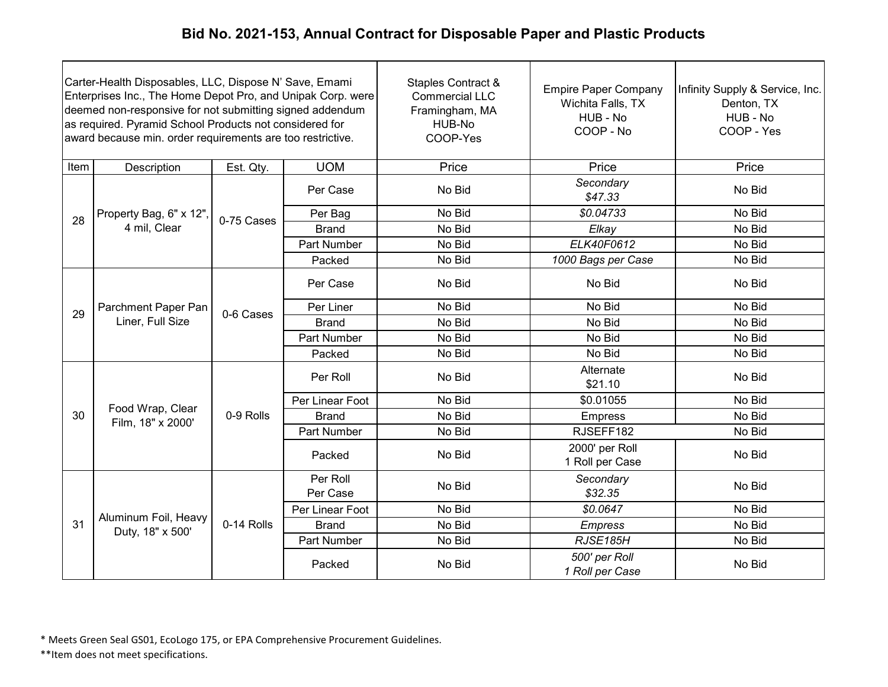| Carter-Health Disposables, LLC, Dispose N' Save, Emami<br>Enterprises Inc., The Home Depot Pro, and Unipak Corp. were<br>deemed non-responsive for not submitting signed addendum<br>as required. Pyramid School Products not considered for<br>award because min. order requirements are too restrictive. |                                          |            |                      | <b>Staples Contract &amp;</b><br><b>Commercial LLC</b><br>Framingham, MA<br>HUB-No<br>COOP-Yes | <b>Empire Paper Company</b><br>Wichita Falls, TX<br>HUB - No<br>COOP - No | Infinity Supply & Service, Inc.<br>Denton, TX<br>HUB - No<br>COOP - Yes |
|------------------------------------------------------------------------------------------------------------------------------------------------------------------------------------------------------------------------------------------------------------------------------------------------------------|------------------------------------------|------------|----------------------|------------------------------------------------------------------------------------------------|---------------------------------------------------------------------------|-------------------------------------------------------------------------|
| Item                                                                                                                                                                                                                                                                                                       | Description                              | Est. Qty.  | <b>UOM</b>           | Price                                                                                          | Price                                                                     | Price                                                                   |
|                                                                                                                                                                                                                                                                                                            |                                          |            | Per Case             | No Bid                                                                                         | Secondary<br>\$47.33                                                      | No Bid                                                                  |
| 28                                                                                                                                                                                                                                                                                                         | Property Bag, 6" x 12",                  |            | Per Bag              | No Bid                                                                                         | \$0.04733                                                                 | No Bid                                                                  |
|                                                                                                                                                                                                                                                                                                            | 4 mil, Clear                             | 0-75 Cases | <b>Brand</b>         | No Bid                                                                                         | Elkay                                                                     | No Bid                                                                  |
|                                                                                                                                                                                                                                                                                                            |                                          |            | Part Number          | No Bid                                                                                         | ELK40F0612                                                                | No Bid                                                                  |
|                                                                                                                                                                                                                                                                                                            |                                          |            | Packed               | No Bid                                                                                         | 1000 Bags per Case                                                        | No Bid                                                                  |
|                                                                                                                                                                                                                                                                                                            | Parchment Paper Pan<br>Liner, Full Size  | 0-6 Cases  | Per Case             | No Bid                                                                                         | No Bid                                                                    | No Bid                                                                  |
|                                                                                                                                                                                                                                                                                                            |                                          |            | Per Liner            | No Bid                                                                                         | No Bid                                                                    | No Bid                                                                  |
| 29                                                                                                                                                                                                                                                                                                         |                                          |            | <b>Brand</b>         | No Bid                                                                                         | No Bid                                                                    | No Bid                                                                  |
|                                                                                                                                                                                                                                                                                                            |                                          |            | Part Number          | No Bid                                                                                         | No Bid                                                                    | No Bid                                                                  |
|                                                                                                                                                                                                                                                                                                            |                                          |            | Packed               | No Bid                                                                                         | No Bid                                                                    | No Bid                                                                  |
|                                                                                                                                                                                                                                                                                                            |                                          |            | Per Roll             | No Bid                                                                                         | Alternate<br>\$21.10                                                      | No Bid                                                                  |
|                                                                                                                                                                                                                                                                                                            |                                          |            | Per Linear Foot      | No Bid                                                                                         | \$0.01055                                                                 | No Bid                                                                  |
| 30                                                                                                                                                                                                                                                                                                         | Food Wrap, Clear<br>Film, 18" x 2000'    | 0-9 Rolls  | <b>Brand</b>         | No Bid                                                                                         | <b>Empress</b>                                                            | No Bid                                                                  |
|                                                                                                                                                                                                                                                                                                            |                                          |            | Part Number          | No Bid                                                                                         | RJSEFF182                                                                 | No Bid                                                                  |
|                                                                                                                                                                                                                                                                                                            |                                          |            | Packed               | No Bid                                                                                         | 2000' per Roll<br>1 Roll per Case                                         | No Bid                                                                  |
|                                                                                                                                                                                                                                                                                                            |                                          |            | Per Roll<br>Per Case | No Bid                                                                                         | Secondary<br>\$32.35                                                      | No Bid                                                                  |
|                                                                                                                                                                                                                                                                                                            |                                          |            | Per Linear Foot      | No Bid                                                                                         | \$0.0647                                                                  | No Bid                                                                  |
| 31                                                                                                                                                                                                                                                                                                         | Aluminum Foil, Heavy<br>Duty, 18" x 500' | 0-14 Rolls | <b>Brand</b>         | No Bid                                                                                         | <b>Empress</b>                                                            | No Bid                                                                  |
|                                                                                                                                                                                                                                                                                                            |                                          |            | Part Number          | No Bid                                                                                         | RJSE185H                                                                  | No Bid                                                                  |
|                                                                                                                                                                                                                                                                                                            |                                          |            | Packed               | No Bid                                                                                         | 500' per Roll<br>1 Roll per Case                                          | No Bid                                                                  |

\* Meets Green Seal GS01, EcoLogo 175, or EPA Comprehensive Procurement Guidelines.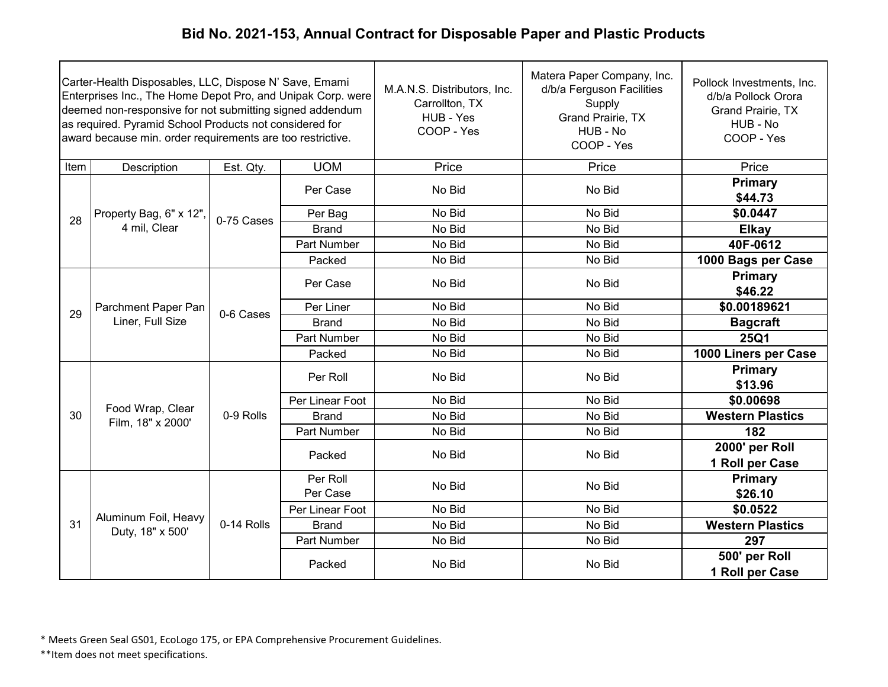| Carter-Health Disposables, LLC, Dispose N' Save, Emami<br>Enterprises Inc., The Home Depot Pro, and Unipak Corp. were<br>deemed non-responsive for not submitting signed addendum<br>as required. Pyramid School Products not considered for<br>award because min. order requirements are too restrictive. |                                          |            |                      | M.A.N.S. Distributors, Inc.<br>Carrollton, TX<br>HUB - Yes<br>COOP - Yes | Matera Paper Company, Inc.<br>d/b/a Ferguson Facilities<br>Supply<br>Grand Prairie, TX<br>HUB - No<br>COOP - Yes | Pollock Investments, Inc.<br>d/b/a Pollock Orora<br>Grand Prairie, TX<br>HUB - No<br>COOP - Yes |  |  |  |  |  |  |  |  |  |  |  |  |  |  |  |        |        |        |                                   |
|------------------------------------------------------------------------------------------------------------------------------------------------------------------------------------------------------------------------------------------------------------------------------------------------------------|------------------------------------------|------------|----------------------|--------------------------------------------------------------------------|------------------------------------------------------------------------------------------------------------------|-------------------------------------------------------------------------------------------------|--|--|--|--|--|--|--|--|--|--|--|--|--|--|--|--------|--------|--------|-----------------------------------|
| Item                                                                                                                                                                                                                                                                                                       | Description                              | Est. Qty.  | <b>UOM</b>           | Price                                                                    | Price                                                                                                            | Price                                                                                           |  |  |  |  |  |  |  |  |  |  |  |  |  |  |  |        |        |        |                                   |
|                                                                                                                                                                                                                                                                                                            |                                          |            | Per Case             | No Bid                                                                   | No Bid                                                                                                           | <b>Primary</b><br>\$44.73                                                                       |  |  |  |  |  |  |  |  |  |  |  |  |  |  |  |        |        |        |                                   |
| 28                                                                                                                                                                                                                                                                                                         | Property Bag, 6" x 12",                  | 0-75 Cases | Per Bag              | No Bid                                                                   | No Bid                                                                                                           | \$0.0447                                                                                        |  |  |  |  |  |  |  |  |  |  |  |  |  |  |  |        |        |        |                                   |
|                                                                                                                                                                                                                                                                                                            | 4 mil, Clear                             |            | <b>Brand</b>         | No Bid                                                                   | No Bid                                                                                                           | <b>Elkay</b>                                                                                    |  |  |  |  |  |  |  |  |  |  |  |  |  |  |  |        |        |        |                                   |
|                                                                                                                                                                                                                                                                                                            |                                          |            | Part Number          | No Bid                                                                   | No Bid                                                                                                           | 40F-0612                                                                                        |  |  |  |  |  |  |  |  |  |  |  |  |  |  |  |        |        |        |                                   |
|                                                                                                                                                                                                                                                                                                            |                                          |            | Packed               | No Bid                                                                   | No Bid                                                                                                           | 1000 Bags per Case                                                                              |  |  |  |  |  |  |  |  |  |  |  |  |  |  |  |        |        |        |                                   |
|                                                                                                                                                                                                                                                                                                            | Parchment Paper Pan<br>Liner, Full Size  |            | Per Case             | No Bid                                                                   | No Bid                                                                                                           | Primary<br>\$46.22                                                                              |  |  |  |  |  |  |  |  |  |  |  |  |  |  |  |        |        |        |                                   |
|                                                                                                                                                                                                                                                                                                            |                                          |            | Per Liner            | No Bid                                                                   | No Bid                                                                                                           | \$0.00189621                                                                                    |  |  |  |  |  |  |  |  |  |  |  |  |  |  |  |        |        |        |                                   |
| 29                                                                                                                                                                                                                                                                                                         |                                          | 0-6 Cases  | <b>Brand</b>         | No Bid                                                                   | No Bid                                                                                                           | <b>Bagcraft</b>                                                                                 |  |  |  |  |  |  |  |  |  |  |  |  |  |  |  |        |        |        |                                   |
|                                                                                                                                                                                                                                                                                                            |                                          |            | Part Number          | No Bid                                                                   | No Bid                                                                                                           | <b>25Q1</b>                                                                                     |  |  |  |  |  |  |  |  |  |  |  |  |  |  |  |        |        |        |                                   |
|                                                                                                                                                                                                                                                                                                            |                                          |            | Packed               | No Bid                                                                   | No Bid                                                                                                           | 1000 Liners per Case                                                                            |  |  |  |  |  |  |  |  |  |  |  |  |  |  |  |        |        |        |                                   |
|                                                                                                                                                                                                                                                                                                            |                                          | 0-9 Rolls  | Per Roll             | No Bid                                                                   | No Bid                                                                                                           | Primary<br>\$13.96                                                                              |  |  |  |  |  |  |  |  |  |  |  |  |  |  |  |        |        |        |                                   |
|                                                                                                                                                                                                                                                                                                            |                                          |            | Per Linear Foot      | No Bid                                                                   | No Bid                                                                                                           | \$0.00698                                                                                       |  |  |  |  |  |  |  |  |  |  |  |  |  |  |  |        |        |        |                                   |
| 30                                                                                                                                                                                                                                                                                                         | Food Wrap, Clear<br>Film, 18" x 2000'    |            | <b>Brand</b>         | No Bid                                                                   | No Bid                                                                                                           | <b>Western Plastics</b>                                                                         |  |  |  |  |  |  |  |  |  |  |  |  |  |  |  |        |        |        |                                   |
|                                                                                                                                                                                                                                                                                                            |                                          |            | Part Number          | No Bid                                                                   | No Bid                                                                                                           | 182                                                                                             |  |  |  |  |  |  |  |  |  |  |  |  |  |  |  |        |        |        |                                   |
|                                                                                                                                                                                                                                                                                                            |                                          |            |                      |                                                                          |                                                                                                                  |                                                                                                 |  |  |  |  |  |  |  |  |  |  |  |  |  |  |  | Packed | No Bid | No Bid | 2000' per Roll<br>1 Roll per Case |
|                                                                                                                                                                                                                                                                                                            |                                          |            | Per Roll<br>Per Case | No Bid                                                                   | No Bid                                                                                                           | <b>Primary</b><br>\$26.10                                                                       |  |  |  |  |  |  |  |  |  |  |  |  |  |  |  |        |        |        |                                   |
|                                                                                                                                                                                                                                                                                                            |                                          |            | Per Linear Foot      | No Bid                                                                   | No Bid                                                                                                           | \$0.0522                                                                                        |  |  |  |  |  |  |  |  |  |  |  |  |  |  |  |        |        |        |                                   |
| 31                                                                                                                                                                                                                                                                                                         | Aluminum Foil, Heavy<br>Duty, 18" x 500' | 0-14 Rolls | <b>Brand</b>         | No Bid                                                                   | No Bid                                                                                                           | <b>Western Plastics</b>                                                                         |  |  |  |  |  |  |  |  |  |  |  |  |  |  |  |        |        |        |                                   |
|                                                                                                                                                                                                                                                                                                            |                                          |            | Part Number          | No Bid                                                                   | No Bid                                                                                                           | 297                                                                                             |  |  |  |  |  |  |  |  |  |  |  |  |  |  |  |        |        |        |                                   |
|                                                                                                                                                                                                                                                                                                            |                                          |            | Packed               | No Bid                                                                   | No Bid                                                                                                           | 500' per Roll<br>1 Roll per Case                                                                |  |  |  |  |  |  |  |  |  |  |  |  |  |  |  |        |        |        |                                   |

\* Meets Green Seal GS01, EcoLogo 175, or EPA Comprehensive Procurement Guidelines.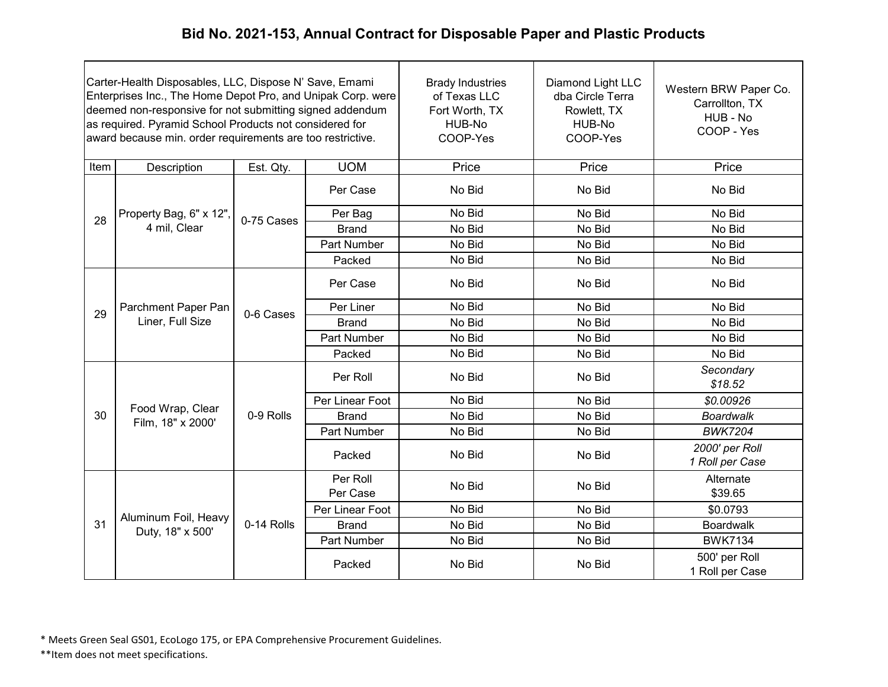| Carter-Health Disposables, LLC, Dispose N' Save, Emami<br>Enterprises Inc., The Home Depot Pro, and Unipak Corp. were<br>deemed non-responsive for not submitting signed addendum<br>as required. Pyramid School Products not considered for<br>award because min. order requirements are too restrictive. |                                          |            | <b>Brady Industries</b><br>of Texas LLC<br>Fort Worth, TX<br>HUB-No<br>COOP-Yes | Diamond Light LLC<br>dba Circle Terra<br>Rowlett, TX<br>HUB-No<br>COOP-Yes | Western BRW Paper Co.<br>Carrollton, TX<br>HUB - No<br>COOP - Yes |                                   |
|------------------------------------------------------------------------------------------------------------------------------------------------------------------------------------------------------------------------------------------------------------------------------------------------------------|------------------------------------------|------------|---------------------------------------------------------------------------------|----------------------------------------------------------------------------|-------------------------------------------------------------------|-----------------------------------|
| Item                                                                                                                                                                                                                                                                                                       | Description                              | Est. Qty.  | <b>UOM</b>                                                                      | Price                                                                      | Price                                                             | Price                             |
|                                                                                                                                                                                                                                                                                                            |                                          |            | Per Case                                                                        | No Bid                                                                     | No Bid                                                            | No Bid                            |
| 28                                                                                                                                                                                                                                                                                                         | Property Bag, 6" x 12",                  | 0-75 Cases | Per Bag                                                                         | No Bid                                                                     | No Bid                                                            | No Bid                            |
|                                                                                                                                                                                                                                                                                                            | 4 mil, Clear                             |            | <b>Brand</b>                                                                    | No Bid                                                                     | No Bid                                                            | No Bid                            |
|                                                                                                                                                                                                                                                                                                            |                                          |            | Part Number                                                                     | No Bid                                                                     | No Bid                                                            | No Bid                            |
|                                                                                                                                                                                                                                                                                                            |                                          |            | Packed                                                                          | No Bid                                                                     | No Bid                                                            | No Bid                            |
|                                                                                                                                                                                                                                                                                                            | Parchment Paper Pan<br>Liner, Full Size  | 0-6 Cases  | Per Case                                                                        | No Bid                                                                     | No Bid                                                            | No Bid                            |
| 29                                                                                                                                                                                                                                                                                                         |                                          |            | Per Liner                                                                       | No Bid                                                                     | No Bid                                                            | No Bid                            |
|                                                                                                                                                                                                                                                                                                            |                                          |            | <b>Brand</b>                                                                    | No Bid                                                                     | No Bid                                                            | No Bid                            |
|                                                                                                                                                                                                                                                                                                            |                                          |            | Part Number                                                                     | No Bid                                                                     | No Bid                                                            | No Bid                            |
|                                                                                                                                                                                                                                                                                                            |                                          |            | Packed                                                                          | No Bid                                                                     | No Bid                                                            | No Bid                            |
|                                                                                                                                                                                                                                                                                                            |                                          |            | Per Roll                                                                        | No Bid                                                                     | No Bid                                                            | Secondary<br>\$18.52              |
|                                                                                                                                                                                                                                                                                                            | Food Wrap, Clear                         |            | Per Linear Foot                                                                 | No Bid                                                                     | No Bid                                                            | \$0.00926                         |
| 30                                                                                                                                                                                                                                                                                                         | Film, 18" x 2000'                        | 0-9 Rolls  | <b>Brand</b>                                                                    | No Bid                                                                     | No Bid                                                            | <b>Boardwalk</b>                  |
|                                                                                                                                                                                                                                                                                                            |                                          |            | Part Number                                                                     | No Bid                                                                     | No Bid                                                            | <b>BWK7204</b>                    |
|                                                                                                                                                                                                                                                                                                            |                                          |            | Packed                                                                          | No Bid                                                                     | No Bid                                                            | 2000' per Roll<br>1 Roll per Case |
|                                                                                                                                                                                                                                                                                                            |                                          |            | Per Roll<br>Per Case                                                            | No Bid                                                                     | No Bid                                                            | Alternate<br>\$39.65              |
|                                                                                                                                                                                                                                                                                                            |                                          |            | Per Linear Foot                                                                 | No Bid                                                                     | No Bid                                                            | \$0.0793                          |
| 31                                                                                                                                                                                                                                                                                                         | Aluminum Foil, Heavy<br>Duty, 18" x 500' | 0-14 Rolls | <b>Brand</b>                                                                    | No Bid                                                                     | No Bid                                                            | <b>Boardwalk</b>                  |
|                                                                                                                                                                                                                                                                                                            |                                          |            | Part Number                                                                     | No Bid                                                                     | No Bid                                                            | <b>BWK7134</b>                    |
|                                                                                                                                                                                                                                                                                                            |                                          |            | Packed                                                                          | No Bid                                                                     | No Bid                                                            | 500' per Roll<br>1 Roll per Case  |

\* Meets Green Seal GS01, EcoLogo 175, or EPA Comprehensive Procurement Guidelines.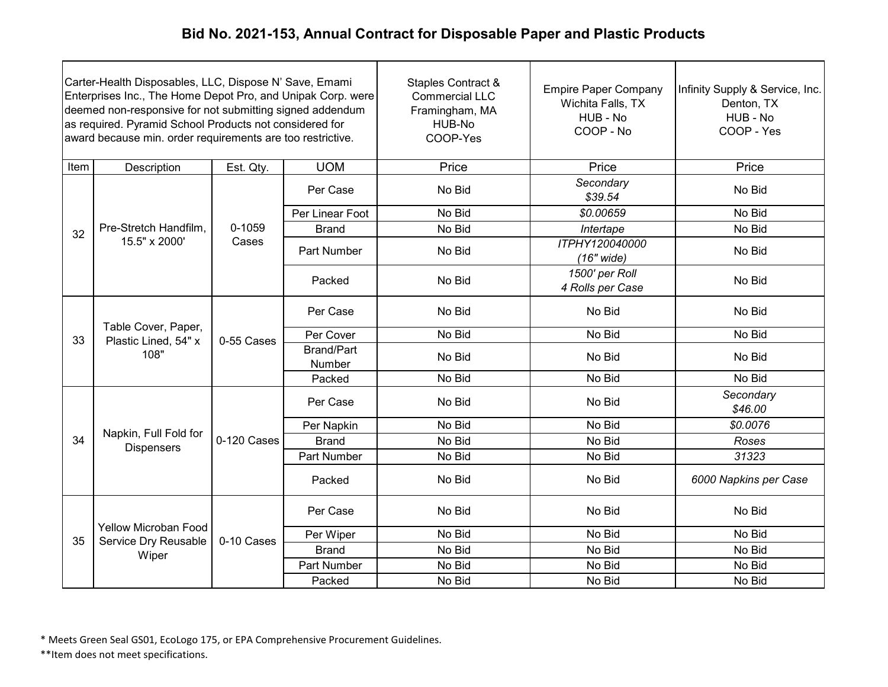| Carter-Health Disposables, LLC, Dispose N' Save, Emami<br>Enterprises Inc., The Home Depot Pro, and Unipak Corp. were<br>deemed non-responsive for not submitting signed addendum<br>as required. Pyramid School Products not considered for<br>award because min. order requirements are too restrictive. |                                                     |             |                             | <b>Staples Contract &amp;</b><br><b>Commercial LLC</b><br>Framingham, MA<br>HUB-No<br>COOP-Yes | <b>Empire Paper Company</b><br>Wichita Falls, TX<br>HUB - No<br>COOP - No | Infinity Supply & Service, Inc.<br>Denton, TX<br>HUB - No<br>COOP - Yes |
|------------------------------------------------------------------------------------------------------------------------------------------------------------------------------------------------------------------------------------------------------------------------------------------------------------|-----------------------------------------------------|-------------|-----------------------------|------------------------------------------------------------------------------------------------|---------------------------------------------------------------------------|-------------------------------------------------------------------------|
| Item                                                                                                                                                                                                                                                                                                       | Description                                         | Est. Qty.   | <b>UOM</b>                  | Price                                                                                          | Price                                                                     | Price                                                                   |
|                                                                                                                                                                                                                                                                                                            |                                                     |             | Per Case                    | No Bid                                                                                         | Secondary<br>\$39.54                                                      | No Bid                                                                  |
|                                                                                                                                                                                                                                                                                                            |                                                     |             | Per Linear Foot             | No Bid                                                                                         | \$0.00659                                                                 | No Bid                                                                  |
| 32                                                                                                                                                                                                                                                                                                         | Pre-Stretch Handfilm,                               | $0 - 1059$  | <b>Brand</b>                | No Bid                                                                                         | Intertape                                                                 | No Bid                                                                  |
|                                                                                                                                                                                                                                                                                                            | 15.5" x 2000'                                       | Cases       | <b>Part Number</b>          | No Bid                                                                                         | ITPHY120040000<br>$(16"$ wide)                                            | No Bid                                                                  |
|                                                                                                                                                                                                                                                                                                            |                                                     |             | Packed                      | No Bid                                                                                         | 1500' per Roll<br>4 Rolls per Case                                        | No Bid                                                                  |
|                                                                                                                                                                                                                                                                                                            | Table Cover, Paper,<br>Plastic Lined, 54" x<br>108" |             | Per Case                    | No Bid                                                                                         | No Bid                                                                    | No Bid                                                                  |
| 33                                                                                                                                                                                                                                                                                                         |                                                     | 0-55 Cases  | Per Cover                   | No Bid                                                                                         | No Bid                                                                    | No Bid                                                                  |
|                                                                                                                                                                                                                                                                                                            |                                                     |             | <b>Brand/Part</b><br>Number | No Bid                                                                                         | No Bid                                                                    | No Bid                                                                  |
|                                                                                                                                                                                                                                                                                                            |                                                     |             | Packed                      | No Bid                                                                                         | No Bid                                                                    | No Bid                                                                  |
|                                                                                                                                                                                                                                                                                                            |                                                     |             | Per Case                    | No Bid                                                                                         | No Bid                                                                    | Secondary<br>\$46.00                                                    |
|                                                                                                                                                                                                                                                                                                            | Napkin, Full Fold for                               |             | Per Napkin                  | No Bid                                                                                         | No Bid                                                                    | \$0.0076                                                                |
| 34                                                                                                                                                                                                                                                                                                         | <b>Dispensers</b>                                   | 0-120 Cases | <b>Brand</b>                | No Bid                                                                                         | No Bid                                                                    | Roses                                                                   |
|                                                                                                                                                                                                                                                                                                            |                                                     |             | Part Number                 | No Bid                                                                                         | No Bid                                                                    | 31323                                                                   |
|                                                                                                                                                                                                                                                                                                            |                                                     |             | Packed                      | No Bid                                                                                         | No Bid                                                                    | 6000 Napkins per Case                                                   |
|                                                                                                                                                                                                                                                                                                            |                                                     |             | Per Case                    | No Bid                                                                                         | No Bid                                                                    | No Bid                                                                  |
| 35                                                                                                                                                                                                                                                                                                         | <b>Yellow Microban Food</b><br>Service Dry Reusable | 0-10 Cases  | Per Wiper                   | No Bid                                                                                         | No Bid                                                                    | No Bid                                                                  |
|                                                                                                                                                                                                                                                                                                            | Wiper                                               |             | <b>Brand</b>                | No Bid                                                                                         | No Bid                                                                    | No Bid                                                                  |
|                                                                                                                                                                                                                                                                                                            |                                                     |             | <b>Part Number</b>          | No Bid                                                                                         | No Bid                                                                    | No Bid                                                                  |
|                                                                                                                                                                                                                                                                                                            |                                                     |             | Packed                      | No Bid                                                                                         | No Bid                                                                    | No Bid                                                                  |

\* Meets Green Seal GS01, EcoLogo 175, or EPA Comprehensive Procurement Guidelines.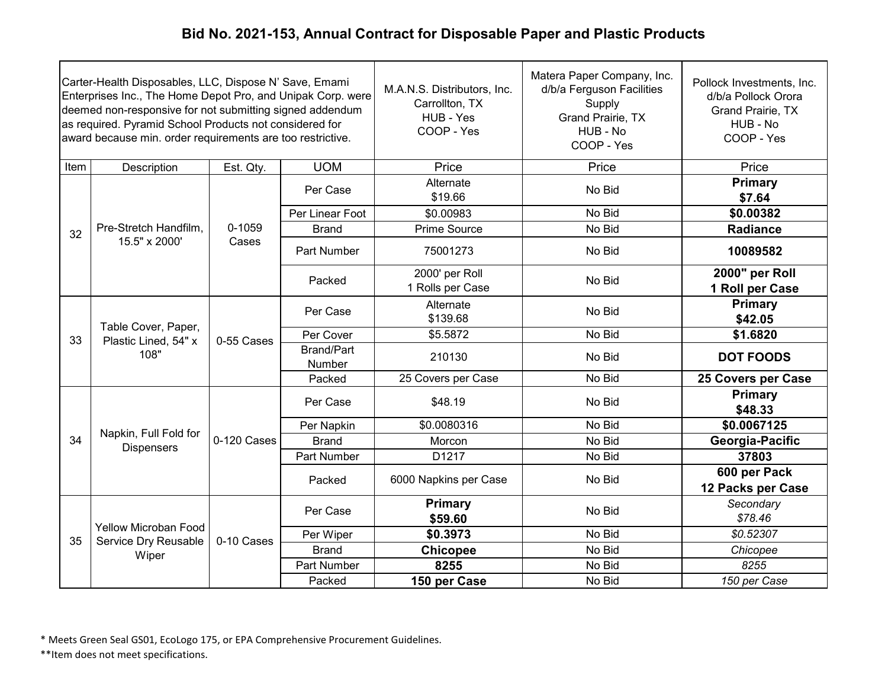|      | Carter-Health Disposables, LLC, Dispose N' Save, Emami<br>Enterprises Inc., The Home Depot Pro, and Unipak Corp. were<br>deemed non-responsive for not submitting signed addendum<br>as required. Pyramid School Products not considered for<br>award because min. order requirements are too restrictive. |             |                 | M.A.N.S. Distributors, Inc.<br>Carrollton, TX<br>HUB - Yes<br>COOP - Yes | Matera Paper Company, Inc.<br>d/b/a Ferguson Facilities<br>Supply<br>Grand Prairie, TX<br>HUB - No<br>COOP - Yes | Pollock Investments, Inc.<br>d/b/a Pollock Orora<br>Grand Prairie, TX<br>HUB - No<br>COOP - Yes |                           |  |  |  |  |                             |        |        |
|------|------------------------------------------------------------------------------------------------------------------------------------------------------------------------------------------------------------------------------------------------------------------------------------------------------------|-------------|-----------------|--------------------------------------------------------------------------|------------------------------------------------------------------------------------------------------------------|-------------------------------------------------------------------------------------------------|---------------------------|--|--|--|--|-----------------------------|--------|--------|
| Item | Description                                                                                                                                                                                                                                                                                                | Est. Qty.   | <b>UOM</b>      | Price                                                                    | Price                                                                                                            | Price                                                                                           |                           |  |  |  |  |                             |        |        |
|      |                                                                                                                                                                                                                                                                                                            |             | Per Case        | Alternate<br>\$19.66                                                     | No Bid                                                                                                           | <b>Primary</b><br>\$7.64                                                                        |                           |  |  |  |  |                             |        |        |
|      |                                                                                                                                                                                                                                                                                                            |             | Per Linear Foot | \$0.00983                                                                | No Bid                                                                                                           | \$0.00382                                                                                       |                           |  |  |  |  |                             |        |        |
| 32   | Pre-Stretch Handfilm,                                                                                                                                                                                                                                                                                      | 0-1059      | <b>Brand</b>    | Prime Source                                                             | No Bid                                                                                                           | <b>Radiance</b>                                                                                 |                           |  |  |  |  |                             |        |        |
|      | 15.5" x 2000'                                                                                                                                                                                                                                                                                              | Cases       | Part Number     | 75001273                                                                 | No Bid                                                                                                           | 10089582                                                                                        |                           |  |  |  |  |                             |        |        |
|      |                                                                                                                                                                                                                                                                                                            |             | Packed          | 2000' per Roll<br>1 Rolls per Case                                       | No Bid                                                                                                           | 2000" per Roll<br>1 Roll per Case                                                               |                           |  |  |  |  |                             |        |        |
|      | Table Cover, Paper,<br>Plastic Lined, 54" x<br>108"                                                                                                                                                                                                                                                        |             |                 | Per Case                                                                 | Alternate<br>\$139.68                                                                                            | No Bid                                                                                          | <b>Primary</b><br>\$42.05 |  |  |  |  |                             |        |        |
| 33   |                                                                                                                                                                                                                                                                                                            | 0-55 Cases  | Per Cover       | \$5.5872                                                                 | No Bid                                                                                                           | \$1.6820                                                                                        |                           |  |  |  |  |                             |        |        |
|      |                                                                                                                                                                                                                                                                                                            |             |                 |                                                                          |                                                                                                                  |                                                                                                 |                           |  |  |  |  | <b>Brand/Part</b><br>Number | 210130 | No Bid |
|      |                                                                                                                                                                                                                                                                                                            |             | Packed          | 25 Covers per Case                                                       | No Bid                                                                                                           | 25 Covers per Case                                                                              |                           |  |  |  |  |                             |        |        |
|      |                                                                                                                                                                                                                                                                                                            |             | Per Case        | \$48.19                                                                  | No Bid                                                                                                           | Primary<br>\$48.33                                                                              |                           |  |  |  |  |                             |        |        |
|      | Napkin, Full Fold for                                                                                                                                                                                                                                                                                      |             | Per Napkin      | \$0.0080316                                                              | No Bid                                                                                                           | \$0.0067125                                                                                     |                           |  |  |  |  |                             |        |        |
| 34   | <b>Dispensers</b>                                                                                                                                                                                                                                                                                          | 0-120 Cases | <b>Brand</b>    | Morcon                                                                   | No Bid                                                                                                           | Georgia-Pacific                                                                                 |                           |  |  |  |  |                             |        |        |
|      |                                                                                                                                                                                                                                                                                                            |             | Part Number     | D1217                                                                    | No Bid                                                                                                           | 37803                                                                                           |                           |  |  |  |  |                             |        |        |
|      |                                                                                                                                                                                                                                                                                                            |             | Packed          | 6000 Napkins per Case                                                    | No Bid                                                                                                           | 600 per Pack<br>12 Packs per Case                                                               |                           |  |  |  |  |                             |        |        |
|      |                                                                                                                                                                                                                                                                                                            |             | Per Case        | <b>Primary</b><br>\$59.60                                                | No Bid                                                                                                           | Secondary<br>\$78.46                                                                            |                           |  |  |  |  |                             |        |        |
| 35   | Yellow Microban Food<br>Service Dry Reusable                                                                                                                                                                                                                                                               | 0-10 Cases  | Per Wiper       | \$0.3973                                                                 | No Bid                                                                                                           | \$0.52307                                                                                       |                           |  |  |  |  |                             |        |        |
|      | Wiper                                                                                                                                                                                                                                                                                                      |             | <b>Brand</b>    | <b>Chicopee</b>                                                          | No Bid                                                                                                           | Chicopee                                                                                        |                           |  |  |  |  |                             |        |        |
|      |                                                                                                                                                                                                                                                                                                            |             | Part Number     | 8255                                                                     | No Bid                                                                                                           | 8255                                                                                            |                           |  |  |  |  |                             |        |        |
|      |                                                                                                                                                                                                                                                                                                            |             | Packed          | 150 per Case                                                             | No Bid                                                                                                           | 150 per Case                                                                                    |                           |  |  |  |  |                             |        |        |

\* Meets Green Seal GS01, EcoLogo 175, or EPA Comprehensive Procurement Guidelines.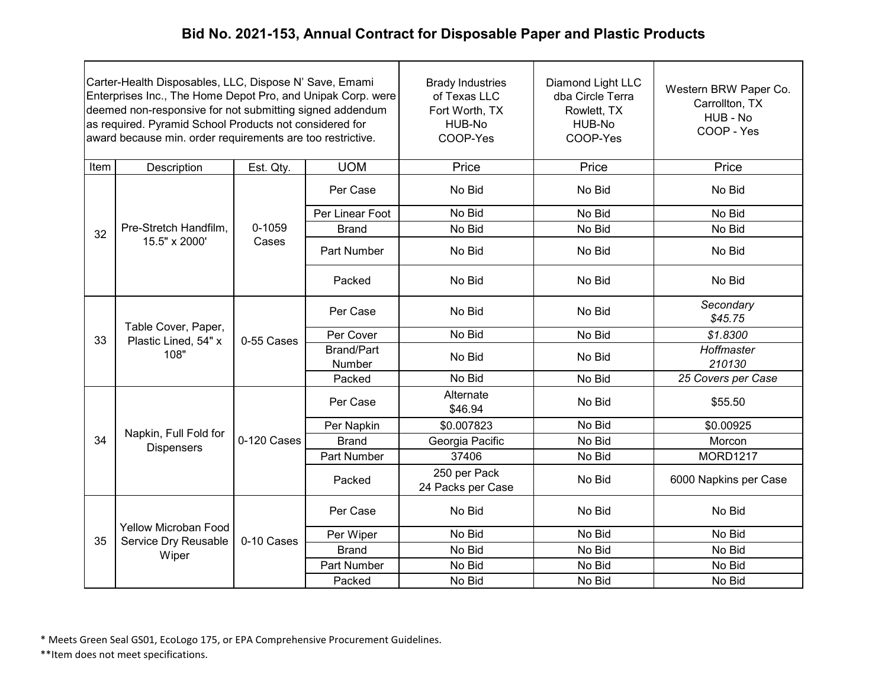| Carter-Health Disposables, LLC, Dispose N' Save, Emami<br>Enterprises Inc., The Home Depot Pro, and Unipak Corp. were<br>deemed non-responsive for not submitting signed addendum<br>as required. Pyramid School Products not considered for<br>award because min. order requirements are too restrictive. |                                                     |             | <b>Brady Industries</b><br>of Texas LLC<br>Fort Worth, TX<br>HUB-No<br>COOP-Yes | Diamond Light LLC<br>dba Circle Terra<br>Rowlett, TX<br>HUB-No<br>COOP-Yes | Western BRW Paper Co.<br>Carrollton, TX<br>HUB - No<br>COOP - Yes |                       |
|------------------------------------------------------------------------------------------------------------------------------------------------------------------------------------------------------------------------------------------------------------------------------------------------------------|-----------------------------------------------------|-------------|---------------------------------------------------------------------------------|----------------------------------------------------------------------------|-------------------------------------------------------------------|-----------------------|
| Item                                                                                                                                                                                                                                                                                                       | Description                                         | Est. Qty.   | <b>UOM</b>                                                                      | Price                                                                      | Price                                                             | Price                 |
|                                                                                                                                                                                                                                                                                                            |                                                     |             | Per Case                                                                        | No Bid                                                                     | No Bid                                                            | No Bid                |
|                                                                                                                                                                                                                                                                                                            |                                                     |             | Per Linear Foot                                                                 | No Bid                                                                     | No Bid                                                            | No Bid                |
| 32                                                                                                                                                                                                                                                                                                         | Pre-Stretch Handfilm,                               | 0-1059      | <b>Brand</b>                                                                    | No Bid                                                                     | No Bid                                                            | No Bid                |
|                                                                                                                                                                                                                                                                                                            | 15.5" x 2000'                                       | Cases       | Part Number                                                                     | No Bid                                                                     | No Bid                                                            | No Bid                |
|                                                                                                                                                                                                                                                                                                            |                                                     |             | Packed                                                                          | No Bid                                                                     | No Bid                                                            | No Bid                |
|                                                                                                                                                                                                                                                                                                            | Table Cover, Paper,<br>Plastic Lined, 54" x<br>108" | 0-55 Cases  | Per Case                                                                        | No Bid                                                                     | No Bid                                                            | Secondary<br>\$45.75  |
| 33                                                                                                                                                                                                                                                                                                         |                                                     |             | Per Cover                                                                       | No Bid                                                                     | No Bid                                                            | \$1.8300              |
|                                                                                                                                                                                                                                                                                                            |                                                     |             | <b>Brand/Part</b><br>Number                                                     | No Bid                                                                     | No Bid                                                            | Hoffmaster<br>210130  |
|                                                                                                                                                                                                                                                                                                            |                                                     |             | Packed                                                                          | No Bid                                                                     | No Bid                                                            | 25 Covers per Case    |
|                                                                                                                                                                                                                                                                                                            |                                                     |             | Per Case                                                                        | Alternate<br>\$46.94                                                       | No Bid                                                            | \$55.50               |
|                                                                                                                                                                                                                                                                                                            | Napkin, Full Fold for                               |             | Per Napkin                                                                      | \$0.007823                                                                 | No Bid                                                            | \$0.00925             |
| 34                                                                                                                                                                                                                                                                                                         | <b>Dispensers</b>                                   | 0-120 Cases | <b>Brand</b>                                                                    | Georgia Pacific                                                            | No Bid                                                            | Morcon                |
|                                                                                                                                                                                                                                                                                                            |                                                     |             | Part Number                                                                     | 37406                                                                      | No Bid                                                            | <b>MORD1217</b>       |
|                                                                                                                                                                                                                                                                                                            |                                                     |             | Packed                                                                          | 250 per Pack<br>24 Packs per Case                                          | No Bid                                                            | 6000 Napkins per Case |
|                                                                                                                                                                                                                                                                                                            |                                                     |             | Per Case                                                                        | No Bid                                                                     | No Bid                                                            | No Bid                |
| 35                                                                                                                                                                                                                                                                                                         | Yellow Microban Food<br>Service Dry Reusable        | 0-10 Cases  | Per Wiper                                                                       | No Bid                                                                     | No Bid                                                            | No Bid                |
|                                                                                                                                                                                                                                                                                                            | Wiper                                               |             | <b>Brand</b>                                                                    | No Bid                                                                     | No Bid                                                            | No Bid                |
|                                                                                                                                                                                                                                                                                                            |                                                     |             | <b>Part Number</b>                                                              | No Bid                                                                     | No Bid                                                            | No Bid                |
|                                                                                                                                                                                                                                                                                                            |                                                     |             | Packed                                                                          | No Bid                                                                     | No Bid                                                            | No Bid                |

\* Meets Green Seal GS01, EcoLogo 175, or EPA Comprehensive Procurement Guidelines.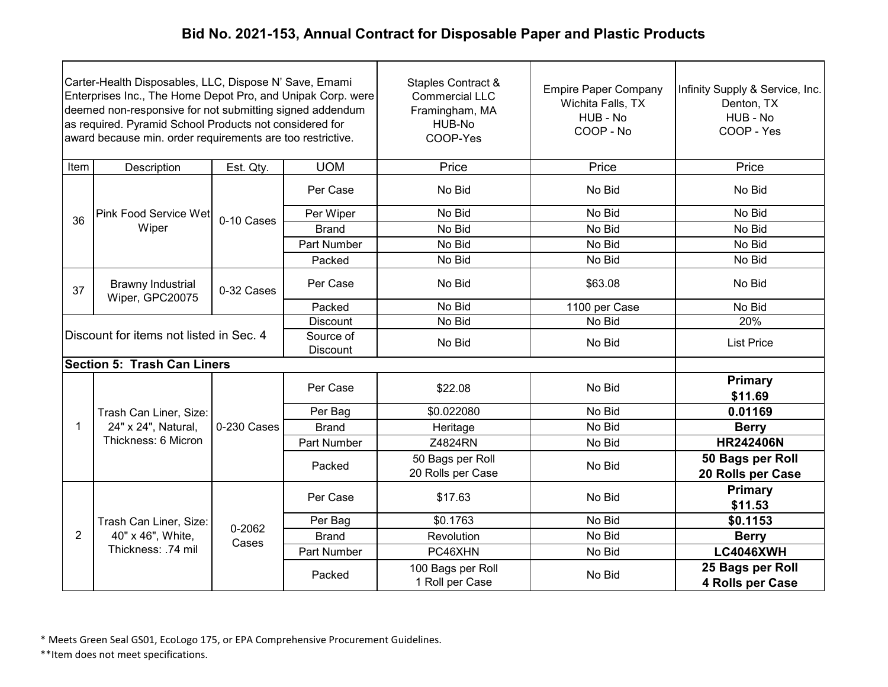| Carter-Health Disposables, LLC, Dispose N' Save, Emami<br>Enterprises Inc., The Home Depot Pro, and Unipak Corp. were<br>deemed non-responsive for not submitting signed addendum<br>as required. Pyramid School Products not considered for<br>award because min. order requirements are too restrictive. |                                             |                 |                       | Staples Contract &<br><b>Commercial LLC</b><br>Framingham, MA<br>HUB-No<br>COOP-Yes | <b>Empire Paper Company</b><br>Wichita Falls, TX<br>HUB - No<br>COOP - No | Infinity Supply & Service, Inc.<br>Denton, TX<br>HUB - No<br>COOP - Yes |
|------------------------------------------------------------------------------------------------------------------------------------------------------------------------------------------------------------------------------------------------------------------------------------------------------------|---------------------------------------------|-----------------|-----------------------|-------------------------------------------------------------------------------------|---------------------------------------------------------------------------|-------------------------------------------------------------------------|
| Item                                                                                                                                                                                                                                                                                                       | Description                                 | Est. Qty.       | <b>UOM</b>            | Price                                                                               | Price                                                                     | Price                                                                   |
|                                                                                                                                                                                                                                                                                                            |                                             |                 | Per Case              | No Bid                                                                              | No Bid                                                                    | No Bid                                                                  |
| 36                                                                                                                                                                                                                                                                                                         | <b>Pink Food Service Wet</b>                | 0-10 Cases      | Per Wiper             | No Bid                                                                              | No Bid                                                                    | No Bid                                                                  |
|                                                                                                                                                                                                                                                                                                            | Wiper                                       |                 | <b>Brand</b>          | No Bid                                                                              | No Bid                                                                    | No Bid                                                                  |
|                                                                                                                                                                                                                                                                                                            |                                             |                 | Part Number           | No Bid                                                                              | No Bid                                                                    | No Bid                                                                  |
|                                                                                                                                                                                                                                                                                                            |                                             |                 | Packed                | No Bid                                                                              | No Bid                                                                    | No Bid                                                                  |
| 37                                                                                                                                                                                                                                                                                                         | <b>Brawny Industrial</b><br>Wiper, GPC20075 | 0-32 Cases      | Per Case              | No Bid                                                                              | \$63.08                                                                   | No Bid                                                                  |
|                                                                                                                                                                                                                                                                                                            |                                             |                 | Packed                | No Bid                                                                              | 1100 per Case                                                             | No Bid                                                                  |
|                                                                                                                                                                                                                                                                                                            |                                             |                 | <b>Discount</b>       | No Bid                                                                              | No Bid                                                                    | 20%                                                                     |
|                                                                                                                                                                                                                                                                                                            | Discount for items not listed in Sec. 4     |                 | Source of<br>Discount | No Bid                                                                              | No Bid                                                                    | <b>List Price</b>                                                       |
|                                                                                                                                                                                                                                                                                                            | <b>Section 5: Trash Can Liners</b>          |                 |                       |                                                                                     |                                                                           |                                                                         |
|                                                                                                                                                                                                                                                                                                            |                                             |                 | Per Case              | \$22.08                                                                             | No Bid                                                                    | Primary<br>\$11.69                                                      |
|                                                                                                                                                                                                                                                                                                            | Trash Can Liner, Size:                      |                 | Per Bag               | \$0.022080                                                                          | No Bid                                                                    | 0.01169                                                                 |
| $\mathbf{1}$                                                                                                                                                                                                                                                                                               | 24" x 24", Natural,                         | 0-230 Cases     | <b>Brand</b>          | Heritage                                                                            | No Bid                                                                    | <b>Berry</b>                                                            |
|                                                                                                                                                                                                                                                                                                            | Thickness: 6 Micron                         |                 | Part Number           | Z4824RN                                                                             | No Bid                                                                    | <b>HR242406N</b>                                                        |
|                                                                                                                                                                                                                                                                                                            |                                             |                 | Packed                | 50 Bags per Roll<br>20 Rolls per Case                                               | No Bid                                                                    | 50 Bags per Roll<br>20 Rolls per Case                                   |
|                                                                                                                                                                                                                                                                                                            |                                             |                 | Per Case              | \$17.63                                                                             | No Bid                                                                    | <b>Primary</b><br>\$11.53                                               |
|                                                                                                                                                                                                                                                                                                            | Trash Can Liner, Size:                      |                 | Per Bag               | \$0.1763                                                                            | No Bid                                                                    | \$0.1153                                                                |
| $\overline{2}$                                                                                                                                                                                                                                                                                             | 40" x 46", White,                           | 0-2062<br>Cases | <b>Brand</b>          | Revolution                                                                          | No Bid                                                                    | <b>Berry</b>                                                            |
|                                                                                                                                                                                                                                                                                                            | Thickness: .74 mil                          |                 | Part Number           | PC46XHN                                                                             | No Bid                                                                    | <b>LC4046XWH</b>                                                        |
|                                                                                                                                                                                                                                                                                                            |                                             |                 | Packed                | 100 Bags per Roll<br>1 Roll per Case                                                | No Bid                                                                    | 25 Bags per Roll<br>4 Rolls per Case                                    |

\* Meets Green Seal GS01, EcoLogo 175, or EPA Comprehensive Procurement Guidelines.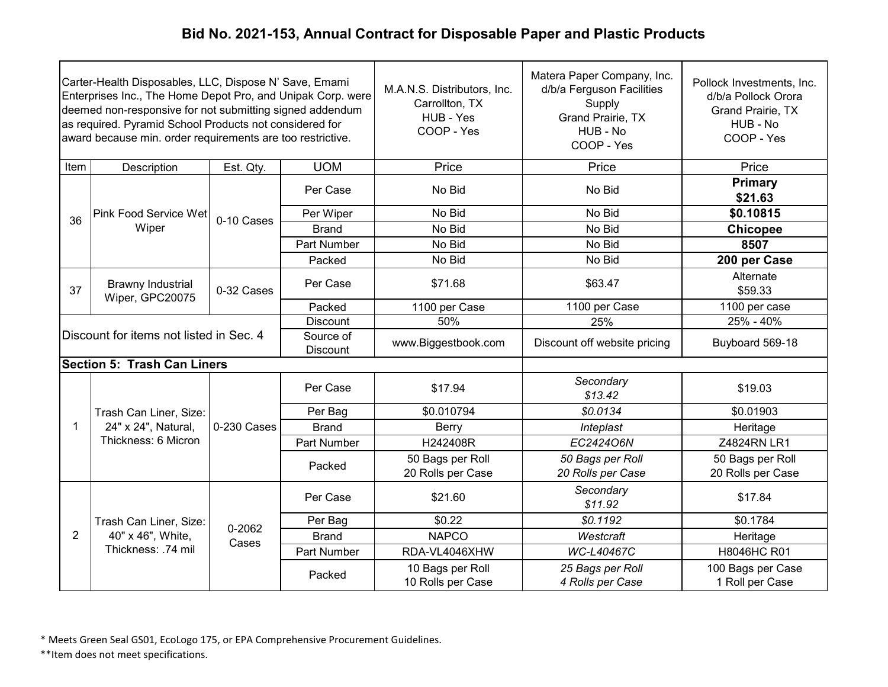| Carter-Health Disposables, LLC, Dispose N' Save, Emami<br>Enterprises Inc., The Home Depot Pro, and Unipak Corp. were<br>deemed non-responsive for not submitting signed addendum<br>as required. Pyramid School Products not considered for<br>award because min. order requirements are too restrictive. |                                             |                 |                              | M.A.N.S. Distributors, Inc.<br>Carrollton, TX<br>HUB - Yes<br>COOP - Yes | Matera Paper Company, Inc.<br>d/b/a Ferguson Facilities<br>Supply<br>Grand Prairie, TX<br>HUB - No<br>COOP - Yes | Pollock Investments, Inc.<br>d/b/a Pollock Orora<br>Grand Prairie, TX<br>HUB - No<br>COOP - Yes |
|------------------------------------------------------------------------------------------------------------------------------------------------------------------------------------------------------------------------------------------------------------------------------------------------------------|---------------------------------------------|-----------------|------------------------------|--------------------------------------------------------------------------|------------------------------------------------------------------------------------------------------------------|-------------------------------------------------------------------------------------------------|
| Item                                                                                                                                                                                                                                                                                                       | Description                                 | Est. Qty.       | <b>UOM</b>                   | Price                                                                    | Price                                                                                                            | Price                                                                                           |
|                                                                                                                                                                                                                                                                                                            |                                             |                 | Per Case                     | No Bid                                                                   | No Bid                                                                                                           | <b>Primary</b><br>\$21.63                                                                       |
| 36                                                                                                                                                                                                                                                                                                         | <b>Pink Food Service Wet</b>                | 0-10 Cases      | Per Wiper                    | No Bid                                                                   | No Bid                                                                                                           | \$0.10815                                                                                       |
|                                                                                                                                                                                                                                                                                                            | Wiper                                       |                 | <b>Brand</b>                 | No Bid                                                                   | No Bid                                                                                                           | <b>Chicopee</b>                                                                                 |
|                                                                                                                                                                                                                                                                                                            |                                             |                 | <b>Part Number</b>           | No Bid                                                                   | No Bid                                                                                                           | 8507                                                                                            |
|                                                                                                                                                                                                                                                                                                            |                                             |                 | Packed                       | No Bid                                                                   | No Bid                                                                                                           | 200 per Case                                                                                    |
| 37                                                                                                                                                                                                                                                                                                         | <b>Brawny Industrial</b><br>Wiper, GPC20075 | 0-32 Cases      | Per Case                     | \$71.68                                                                  | \$63.47                                                                                                          | Alternate<br>\$59.33                                                                            |
|                                                                                                                                                                                                                                                                                                            |                                             |                 | Packed                       | 1100 per Case                                                            | 1100 per Case                                                                                                    | 1100 per case                                                                                   |
|                                                                                                                                                                                                                                                                                                            |                                             |                 | <b>Discount</b>              | 50%                                                                      | 25%                                                                                                              | 25% - 40%                                                                                       |
|                                                                                                                                                                                                                                                                                                            | Discount for items not listed in Sec. 4     |                 | Source of<br><b>Discount</b> | www.Biggestbook.com                                                      | Discount off website pricing                                                                                     | Buyboard 569-18                                                                                 |
|                                                                                                                                                                                                                                                                                                            | <b>Section 5: Trash Can Liners</b>          |                 |                              |                                                                          |                                                                                                                  |                                                                                                 |
|                                                                                                                                                                                                                                                                                                            |                                             |                 | Per Case                     | \$17.94                                                                  | Secondary<br>\$13.42                                                                                             | \$19.03                                                                                         |
|                                                                                                                                                                                                                                                                                                            | Trash Can Liner, Size:                      |                 | Per Bag                      | \$0.010794                                                               | \$0.0134                                                                                                         | \$0.01903                                                                                       |
| 1                                                                                                                                                                                                                                                                                                          | 24" x 24", Natural,                         | 0-230 Cases     | <b>Brand</b>                 | Berry                                                                    | Inteplast                                                                                                        | Heritage                                                                                        |
|                                                                                                                                                                                                                                                                                                            | Thickness: 6 Micron                         |                 | Part Number                  | H242408R                                                                 | EC2424O6N                                                                                                        | Z4824RN LR1                                                                                     |
|                                                                                                                                                                                                                                                                                                            |                                             |                 | Packed                       | 50 Bags per Roll<br>20 Rolls per Case                                    | 50 Bags per Roll<br>20 Rolls per Case                                                                            | 50 Bags per Roll<br>20 Rolls per Case                                                           |
|                                                                                                                                                                                                                                                                                                            |                                             |                 | Per Case                     | \$21.60                                                                  | Secondary<br>\$11.92                                                                                             | \$17.84                                                                                         |
|                                                                                                                                                                                                                                                                                                            | Trash Can Liner, Size:                      |                 | Per Bag                      | \$0.22                                                                   | \$0.1192                                                                                                         | \$0.1784                                                                                        |
| 2                                                                                                                                                                                                                                                                                                          | 40" x 46", White,                           | 0-2062<br>Cases | <b>Brand</b>                 | <b>NAPCO</b>                                                             | Westcraft                                                                                                        | Heritage                                                                                        |
|                                                                                                                                                                                                                                                                                                            | Thickness: .74 mil                          |                 | Part Number                  | RDA-VL4046XHW                                                            | WC-L40467C                                                                                                       | H8046HC R01                                                                                     |
|                                                                                                                                                                                                                                                                                                            |                                             |                 | Packed                       | 10 Bags per Roll<br>10 Rolls per Case                                    | 25 Bags per Roll<br>4 Rolls per Case                                                                             | 100 Bags per Case<br>1 Roll per Case                                                            |

\* Meets Green Seal GS01, EcoLogo 175, or EPA Comprehensive Procurement Guidelines.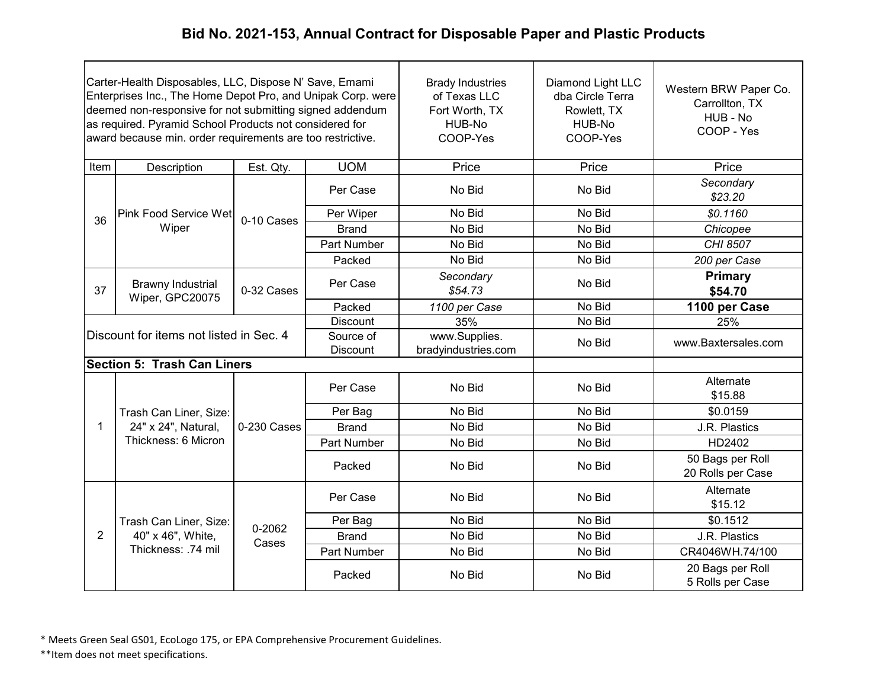| Carter-Health Disposables, LLC, Dispose N' Save, Emami<br>Enterprises Inc., The Home Depot Pro, and Unipak Corp. were<br>deemed non-responsive for not submitting signed addendum<br>as required. Pyramid School Products not considered for<br>award because min. order requirements are too restrictive. |                                             |             |                              | <b>Brady Industries</b><br>of Texas LLC<br>Fort Worth, TX<br>HUB-No<br>COOP-Yes | Diamond Light LLC<br>dba Circle Terra<br>Rowlett, TX<br>HUB-No<br>COOP-Yes | Western BRW Paper Co.<br>Carrollton, TX<br>HUB - No<br>COOP - Yes |
|------------------------------------------------------------------------------------------------------------------------------------------------------------------------------------------------------------------------------------------------------------------------------------------------------------|---------------------------------------------|-------------|------------------------------|---------------------------------------------------------------------------------|----------------------------------------------------------------------------|-------------------------------------------------------------------|
| Item                                                                                                                                                                                                                                                                                                       | Description                                 | Est. Qty.   | <b>UOM</b>                   | Price                                                                           | Price                                                                      | Price                                                             |
|                                                                                                                                                                                                                                                                                                            |                                             |             | Per Case                     | No Bid                                                                          | No Bid                                                                     | Secondary<br>\$23.20                                              |
| 36                                                                                                                                                                                                                                                                                                         | Pink Food Service Wet                       | 0-10 Cases  | Per Wiper                    | No Bid                                                                          | No Bid                                                                     | \$0.1160                                                          |
|                                                                                                                                                                                                                                                                                                            | Wiper                                       |             | <b>Brand</b>                 | No Bid                                                                          | No Bid                                                                     | Chicopee                                                          |
|                                                                                                                                                                                                                                                                                                            |                                             |             | <b>Part Number</b>           | No Bid                                                                          | No Bid                                                                     | CHI 8507                                                          |
|                                                                                                                                                                                                                                                                                                            |                                             |             | Packed                       | No Bid                                                                          | No Bid                                                                     | 200 per Case                                                      |
| 37                                                                                                                                                                                                                                                                                                         | <b>Brawny Industrial</b><br>Wiper, GPC20075 | 0-32 Cases  | Per Case                     | Secondary<br>\$54.73                                                            | No Bid                                                                     | <b>Primary</b><br>\$54.70                                         |
|                                                                                                                                                                                                                                                                                                            |                                             |             | Packed                       | 1100 per Case                                                                   | No Bid                                                                     | 1100 per Case                                                     |
| <b>Discount</b>                                                                                                                                                                                                                                                                                            |                                             |             |                              | 35%                                                                             | No Bid                                                                     | 25%                                                               |
|                                                                                                                                                                                                                                                                                                            | Discount for items not listed in Sec. 4     |             | Source of<br><b>Discount</b> | www.Supplies.<br>bradyindustries.com                                            | No Bid                                                                     | www.Baxtersales.com                                               |
|                                                                                                                                                                                                                                                                                                            | <b>Section 5: Trash Can Liners</b>          |             |                              |                                                                                 |                                                                            |                                                                   |
|                                                                                                                                                                                                                                                                                                            |                                             |             | Per Case                     | No Bid                                                                          | No Bid                                                                     | Alternate<br>\$15.88                                              |
|                                                                                                                                                                                                                                                                                                            | Trash Can Liner, Size:                      |             | Per Bag                      | No Bid                                                                          | No Bid                                                                     | \$0.0159                                                          |
| $\mathbf{1}$                                                                                                                                                                                                                                                                                               | 24" x 24", Natural,                         | 0-230 Cases | <b>Brand</b>                 | No Bid                                                                          | No Bid                                                                     | J.R. Plastics                                                     |
|                                                                                                                                                                                                                                                                                                            | Thickness: 6 Micron                         |             | Part Number                  | No Bid                                                                          | No Bid                                                                     | HD2402                                                            |
|                                                                                                                                                                                                                                                                                                            |                                             |             | Packed                       | No Bid                                                                          | No Bid                                                                     | 50 Bags per Roll<br>20 Rolls per Case                             |
|                                                                                                                                                                                                                                                                                                            |                                             |             | Per Case                     | No Bid                                                                          | No Bid                                                                     | Alternate<br>\$15.12                                              |
|                                                                                                                                                                                                                                                                                                            | Trash Can Liner, Size:                      | 0-2062      | Per Bag                      | No Bid                                                                          | No Bid                                                                     | \$0.1512                                                          |
| $\overline{2}$                                                                                                                                                                                                                                                                                             | 40" x 46", White,                           | Cases       | <b>Brand</b>                 | No Bid                                                                          | No Bid                                                                     | J.R. Plastics                                                     |
|                                                                                                                                                                                                                                                                                                            | Thickness: .74 mil                          |             | <b>Part Number</b>           | No Bid                                                                          | No Bid                                                                     | CR4046WH.74/100                                                   |
|                                                                                                                                                                                                                                                                                                            |                                             |             | Packed                       | No Bid                                                                          | No Bid                                                                     | 20 Bags per Roll<br>5 Rolls per Case                              |

\* Meets Green Seal GS01, EcoLogo 175, or EPA Comprehensive Procurement Guidelines.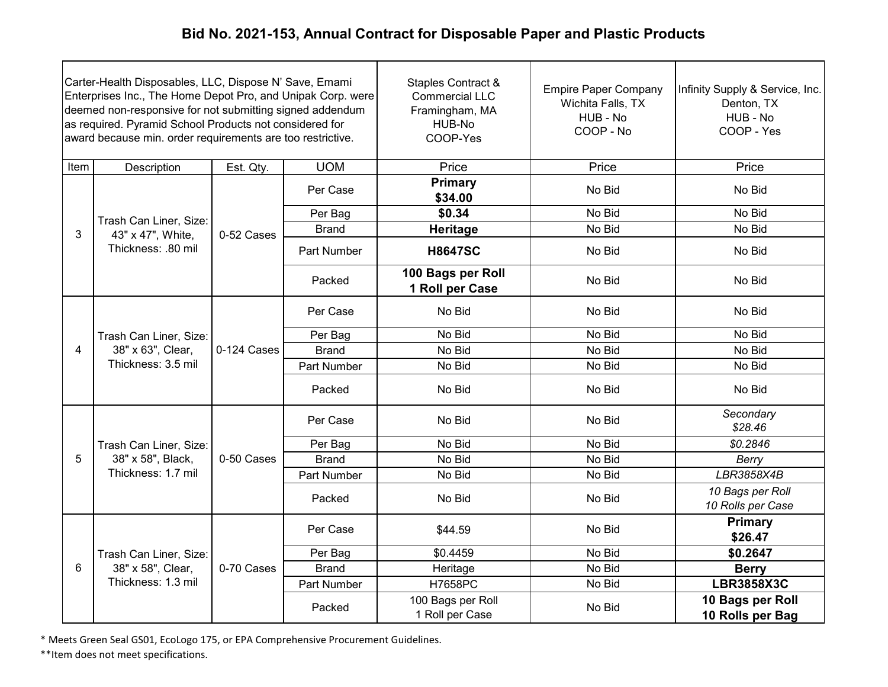| Carter-Health Disposables, LLC, Dispose N' Save, Emami<br>Enterprises Inc., The Home Depot Pro, and Unipak Corp. were<br>deemed non-responsive for not submitting signed addendum<br>as required. Pyramid School Products not considered for<br>award because min. order requirements are too restrictive. |                                                                   |             |              | <b>Staples Contract &amp;</b><br><b>Commercial LLC</b><br>Framingham, MA<br>HUB-No<br>COOP-Yes | <b>Empire Paper Company</b><br>Wichita Falls, TX<br>HUB - No<br>COOP - No | Infinity Supply & Service, Inc.<br>Denton, TX<br>HUB - No<br>COOP - Yes |
|------------------------------------------------------------------------------------------------------------------------------------------------------------------------------------------------------------------------------------------------------------------------------------------------------------|-------------------------------------------------------------------|-------------|--------------|------------------------------------------------------------------------------------------------|---------------------------------------------------------------------------|-------------------------------------------------------------------------|
| Item                                                                                                                                                                                                                                                                                                       | Description                                                       | Est. Qty.   | <b>UOM</b>   | Price                                                                                          | Price                                                                     | Price                                                                   |
|                                                                                                                                                                                                                                                                                                            |                                                                   |             | Per Case     | <b>Primary</b><br>\$34.00                                                                      | No Bid                                                                    | No Bid                                                                  |
|                                                                                                                                                                                                                                                                                                            | Trash Can Liner, Size:                                            |             | Per Bag      | \$0.34                                                                                         | No Bid                                                                    | No Bid                                                                  |
| 3                                                                                                                                                                                                                                                                                                          | 43" x 47", White,                                                 | 0-52 Cases  | <b>Brand</b> | Heritage                                                                                       | No Bid                                                                    | No Bid                                                                  |
|                                                                                                                                                                                                                                                                                                            | Thickness: .80 mil                                                |             | Part Number  | <b>H8647SC</b>                                                                                 | No Bid                                                                    | No Bid                                                                  |
|                                                                                                                                                                                                                                                                                                            |                                                                   |             | Packed       | 100 Bags per Roll<br>1 Roll per Case                                                           | No Bid                                                                    | No Bid                                                                  |
|                                                                                                                                                                                                                                                                                                            | Trash Can Liner, Size:<br>38" x 63", Clear,<br>Thickness: 3.5 mil |             | Per Case     | No Bid                                                                                         | No Bid                                                                    | No Bid                                                                  |
|                                                                                                                                                                                                                                                                                                            |                                                                   |             | Per Bag      | No Bid                                                                                         | No Bid                                                                    | No Bid                                                                  |
| $\overline{4}$                                                                                                                                                                                                                                                                                             |                                                                   | 0-124 Cases | <b>Brand</b> | No Bid                                                                                         | No Bid                                                                    | No Bid                                                                  |
|                                                                                                                                                                                                                                                                                                            |                                                                   |             | Part Number  | No Bid                                                                                         | No Bid                                                                    | No Bid                                                                  |
|                                                                                                                                                                                                                                                                                                            |                                                                   |             | Packed       | No Bid                                                                                         | No Bid                                                                    | No Bid                                                                  |
|                                                                                                                                                                                                                                                                                                            |                                                                   |             | Per Case     | No Bid                                                                                         | No Bid                                                                    | Secondary<br>\$28.46                                                    |
|                                                                                                                                                                                                                                                                                                            | Trash Can Liner, Size:                                            |             | Per Bag      | No Bid                                                                                         | No Bid                                                                    | \$0.2846                                                                |
| 5                                                                                                                                                                                                                                                                                                          | 38" x 58", Black,                                                 | 0-50 Cases  | <b>Brand</b> | No Bid                                                                                         | No Bid                                                                    | Berry                                                                   |
|                                                                                                                                                                                                                                                                                                            | Thickness: 1.7 mil                                                |             | Part Number  | No Bid                                                                                         | No Bid                                                                    | LBR3858X4B                                                              |
|                                                                                                                                                                                                                                                                                                            |                                                                   |             | Packed       | No Bid                                                                                         | No Bid                                                                    | 10 Bags per Roll<br>10 Rolls per Case                                   |
|                                                                                                                                                                                                                                                                                                            |                                                                   |             | Per Case     | \$44.59                                                                                        | No Bid                                                                    | Primary<br>\$26.47                                                      |
|                                                                                                                                                                                                                                                                                                            | Trash Can Liner, Size:                                            |             | Per Bag      | \$0.4459                                                                                       | No Bid                                                                    | \$0.2647                                                                |
| 6                                                                                                                                                                                                                                                                                                          | 38" x 58", Clear,                                                 | 0-70 Cases  | <b>Brand</b> | Heritage                                                                                       | No Bid                                                                    | <b>Berry</b>                                                            |
|                                                                                                                                                                                                                                                                                                            | Thickness: 1.3 mil                                                |             | Part Number  | H7658PC                                                                                        | No Bid                                                                    | <b>LBR3858X3C</b>                                                       |
|                                                                                                                                                                                                                                                                                                            |                                                                   |             | Packed       | 100 Bags per Roll<br>1 Roll per Case                                                           | No Bid                                                                    | 10 Bags per Roll<br>10 Rolls per Bag                                    |

\* Meets Green Seal GS01, EcoLogo 175, or EPA Comprehensive Procurement Guidelines.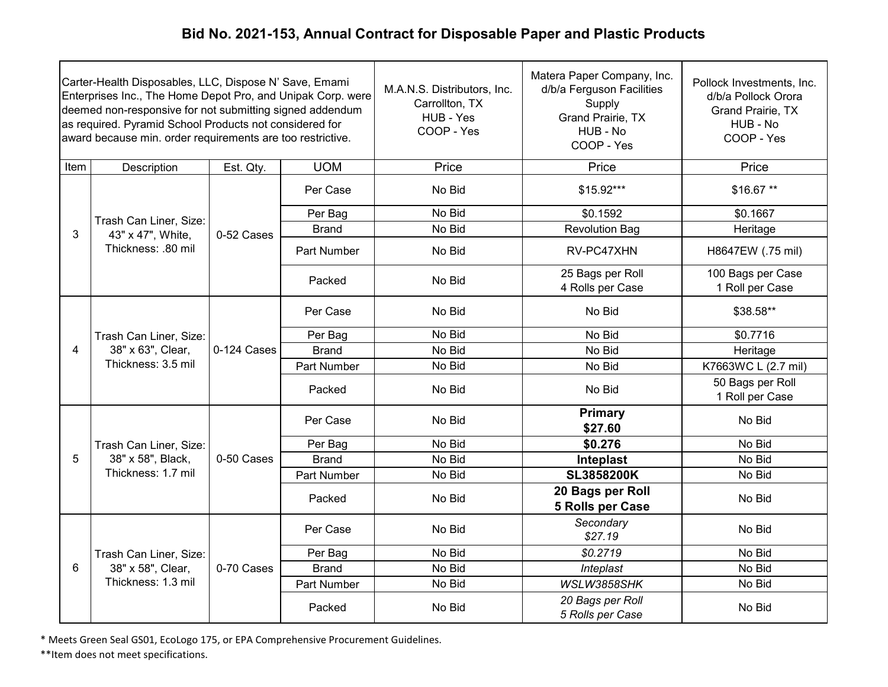| Carter-Health Disposables, LLC, Dispose N' Save, Emami<br>Enterprises Inc., The Home Depot Pro, and Unipak Corp. were<br>deemed non-responsive for not submitting signed addendum<br>as required. Pyramid School Products not considered for<br>award because min. order requirements are too restrictive. |                                                                   |             |              | M.A.N.S. Distributors, Inc.<br>Carrollton, TX<br>HUB - Yes<br>COOP - Yes | Matera Paper Company, Inc.<br>d/b/a Ferguson Facilities<br>Supply<br>Grand Prairie, TX<br>HUB - No<br>COOP - Yes | Pollock Investments, Inc.<br>d/b/a Pollock Orora<br><b>Grand Prairie, TX</b><br>HUB - No<br>COOP - Yes |
|------------------------------------------------------------------------------------------------------------------------------------------------------------------------------------------------------------------------------------------------------------------------------------------------------------|-------------------------------------------------------------------|-------------|--------------|--------------------------------------------------------------------------|------------------------------------------------------------------------------------------------------------------|--------------------------------------------------------------------------------------------------------|
| Item                                                                                                                                                                                                                                                                                                       | Description                                                       | Est. Qty.   | <b>UOM</b>   | Price                                                                    | Price                                                                                                            | Price                                                                                                  |
|                                                                                                                                                                                                                                                                                                            |                                                                   |             | Per Case     | No Bid                                                                   | $$15.92***$                                                                                                      | \$16.67**                                                                                              |
|                                                                                                                                                                                                                                                                                                            | Trash Can Liner, Size:                                            |             | Per Bag      | No Bid                                                                   | \$0.1592                                                                                                         | \$0.1667                                                                                               |
| 3                                                                                                                                                                                                                                                                                                          | 43" x 47", White,                                                 | 0-52 Cases  | <b>Brand</b> | No Bid                                                                   | <b>Revolution Bag</b>                                                                                            | Heritage                                                                                               |
|                                                                                                                                                                                                                                                                                                            | Thickness: .80 mil                                                |             | Part Number  | No Bid                                                                   | RV-PC47XHN                                                                                                       | H8647EW (.75 mil)                                                                                      |
|                                                                                                                                                                                                                                                                                                            |                                                                   |             | Packed       | No Bid                                                                   | 25 Bags per Roll<br>4 Rolls per Case                                                                             | 100 Bags per Case<br>1 Roll per Case                                                                   |
|                                                                                                                                                                                                                                                                                                            | Trash Can Liner, Size:<br>38" x 63", Clear,<br>Thickness: 3.5 mil |             | Per Case     | No Bid                                                                   | No Bid                                                                                                           | \$38.58**                                                                                              |
|                                                                                                                                                                                                                                                                                                            |                                                                   |             | Per Bag      | No Bid                                                                   | No Bid                                                                                                           | \$0.7716                                                                                               |
| $\overline{4}$                                                                                                                                                                                                                                                                                             |                                                                   | 0-124 Cases | <b>Brand</b> | No Bid                                                                   | No Bid                                                                                                           | Heritage                                                                                               |
|                                                                                                                                                                                                                                                                                                            |                                                                   |             | Part Number  | No Bid                                                                   | No Bid                                                                                                           | K7663WC L (2.7 mil)                                                                                    |
|                                                                                                                                                                                                                                                                                                            |                                                                   |             | Packed       | No Bid                                                                   | No Bid                                                                                                           | 50 Bags per Roll<br>1 Roll per Case                                                                    |
|                                                                                                                                                                                                                                                                                                            |                                                                   |             | Per Case     | No Bid                                                                   | <b>Primary</b><br>\$27.60                                                                                        | No Bid                                                                                                 |
|                                                                                                                                                                                                                                                                                                            | Trash Can Liner, Size:                                            |             | Per Bag      | No Bid                                                                   | \$0.276                                                                                                          | No Bid                                                                                                 |
| 5                                                                                                                                                                                                                                                                                                          | 38" x 58", Black,                                                 | 0-50 Cases  | <b>Brand</b> | No Bid                                                                   | Inteplast                                                                                                        | No Bid                                                                                                 |
|                                                                                                                                                                                                                                                                                                            | Thickness: 1.7 mil                                                |             | Part Number  | No Bid                                                                   | <b>SL3858200K</b>                                                                                                | No Bid                                                                                                 |
|                                                                                                                                                                                                                                                                                                            |                                                                   |             | Packed       | No Bid                                                                   | 20 Bags per Roll<br>5 Rolls per Case                                                                             | No Bid                                                                                                 |
|                                                                                                                                                                                                                                                                                                            |                                                                   |             | Per Case     | No Bid                                                                   | Secondary<br>\$27.19                                                                                             | No Bid                                                                                                 |
|                                                                                                                                                                                                                                                                                                            | Trash Can Liner, Size:                                            |             | Per Bag      | No Bid                                                                   | \$0.2719                                                                                                         | No Bid                                                                                                 |
| 6                                                                                                                                                                                                                                                                                                          | 38" x 58", Clear,                                                 | 0-70 Cases  | <b>Brand</b> | No Bid                                                                   | Inteplast                                                                                                        | No Bid                                                                                                 |
|                                                                                                                                                                                                                                                                                                            | Thickness: 1.3 mil                                                |             | Part Number  | No Bid                                                                   | WSLW3858SHK                                                                                                      | No Bid                                                                                                 |
|                                                                                                                                                                                                                                                                                                            |                                                                   |             | Packed       | No Bid                                                                   | 20 Bags per Roll<br>5 Rolls per Case                                                                             | No Bid                                                                                                 |

\* Meets Green Seal GS01, EcoLogo 175, or EPA Comprehensive Procurement Guidelines.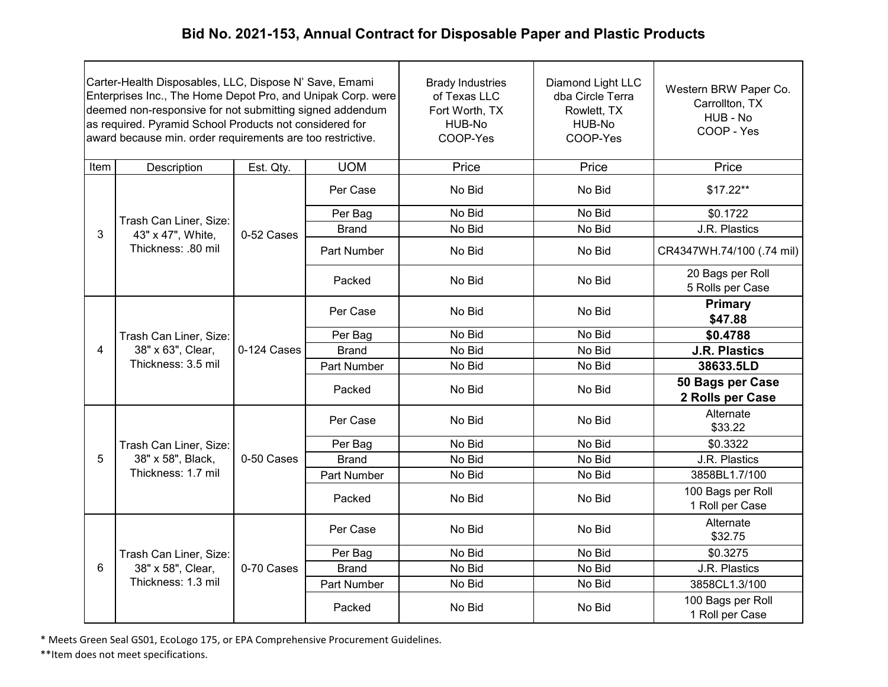| Carter-Health Disposables, LLC, Dispose N' Save, Emami<br>Enterprises Inc., The Home Depot Pro, and Unipak Corp. were<br>deemed non-responsive for not submitting signed addendum<br>as required. Pyramid School Products not considered for<br>award because min. order requirements are too restrictive. |                                                                   |             |                    | <b>Brady Industries</b><br>of Texas LLC<br>Fort Worth, TX<br>HUB-No<br>COOP-Yes | Diamond Light LLC<br>dba Circle Terra<br>Rowlett, TX<br>HUB-No<br>COOP-Yes | Western BRW Paper Co.<br>Carrollton, TX<br>HUB - No<br>COOP - Yes |
|------------------------------------------------------------------------------------------------------------------------------------------------------------------------------------------------------------------------------------------------------------------------------------------------------------|-------------------------------------------------------------------|-------------|--------------------|---------------------------------------------------------------------------------|----------------------------------------------------------------------------|-------------------------------------------------------------------|
| Item                                                                                                                                                                                                                                                                                                       | Description                                                       | Est. Qty.   | <b>UOM</b>         | Price                                                                           | Price                                                                      | Price                                                             |
|                                                                                                                                                                                                                                                                                                            |                                                                   |             | Per Case           | No Bid                                                                          | No Bid                                                                     | $$17.22**$                                                        |
|                                                                                                                                                                                                                                                                                                            | Trash Can Liner, Size:                                            |             | Per Bag            | No Bid                                                                          | No Bid                                                                     | \$0.1722                                                          |
| 3                                                                                                                                                                                                                                                                                                          | 43" x 47", White,                                                 | 0-52 Cases  | <b>Brand</b>       | No Bid                                                                          | No Bid                                                                     | J.R. Plastics                                                     |
|                                                                                                                                                                                                                                                                                                            | Thickness: .80 mil                                                |             | Part Number        | No Bid                                                                          | No Bid                                                                     | CR4347WH.74/100 (.74 mil)                                         |
|                                                                                                                                                                                                                                                                                                            |                                                                   |             | Packed             | No Bid                                                                          | No Bid                                                                     | 20 Bags per Roll<br>5 Rolls per Case                              |
|                                                                                                                                                                                                                                                                                                            | Trash Can Liner, Size:<br>38" x 63", Clear,<br>Thickness: 3.5 mil | 0-124 Cases | Per Case           | No Bid                                                                          | No Bid                                                                     | Primary<br>\$47.88                                                |
|                                                                                                                                                                                                                                                                                                            |                                                                   |             | Per Bag            | No Bid                                                                          | No Bid                                                                     | \$0.4788                                                          |
| $\overline{4}$                                                                                                                                                                                                                                                                                             |                                                                   |             | <b>Brand</b>       | No Bid                                                                          | No Bid                                                                     | <b>J.R. Plastics</b>                                              |
|                                                                                                                                                                                                                                                                                                            |                                                                   |             | Part Number        | No Bid                                                                          | No Bid                                                                     | 38633.5LD                                                         |
|                                                                                                                                                                                                                                                                                                            |                                                                   |             | Packed             | No Bid                                                                          | No Bid                                                                     | 50 Bags per Case<br>2 Rolls per Case                              |
|                                                                                                                                                                                                                                                                                                            |                                                                   |             | Per Case           | No Bid                                                                          | No Bid                                                                     | Alternate<br>\$33.22                                              |
|                                                                                                                                                                                                                                                                                                            | Trash Can Liner, Size:                                            |             | Per Bag            | No Bid                                                                          | No Bid                                                                     | \$0.3322                                                          |
| 5                                                                                                                                                                                                                                                                                                          | 38" x 58", Black,                                                 | 0-50 Cases  | <b>Brand</b>       | No Bid                                                                          | No Bid                                                                     | J.R. Plastics                                                     |
|                                                                                                                                                                                                                                                                                                            | Thickness: 1.7 mil                                                |             | <b>Part Number</b> | No Bid                                                                          | No Bid                                                                     | 3858BL1.7/100                                                     |
|                                                                                                                                                                                                                                                                                                            |                                                                   |             | Packed             | No Bid                                                                          | No Bid                                                                     | 100 Bags per Roll<br>1 Roll per Case                              |
|                                                                                                                                                                                                                                                                                                            |                                                                   |             | Per Case           | No Bid                                                                          | No Bid                                                                     | Alternate<br>\$32.75                                              |
|                                                                                                                                                                                                                                                                                                            | Trash Can Liner, Size:                                            |             | Per Bag            | No Bid                                                                          | No Bid                                                                     | \$0.3275                                                          |
| 6                                                                                                                                                                                                                                                                                                          | 38" x 58", Clear,                                                 | 0-70 Cases  | <b>Brand</b>       | No Bid                                                                          | No Bid                                                                     | J.R. Plastics                                                     |
|                                                                                                                                                                                                                                                                                                            | Thickness: 1.3 mil                                                |             | Part Number        | No Bid                                                                          | No Bid                                                                     | 3858CL1.3/100                                                     |
|                                                                                                                                                                                                                                                                                                            |                                                                   |             | Packed             | No Bid                                                                          | No Bid                                                                     | 100 Bags per Roll<br>1 Roll per Case                              |

\* Meets Green Seal GS01, EcoLogo 175, or EPA Comprehensive Procurement Guidelines.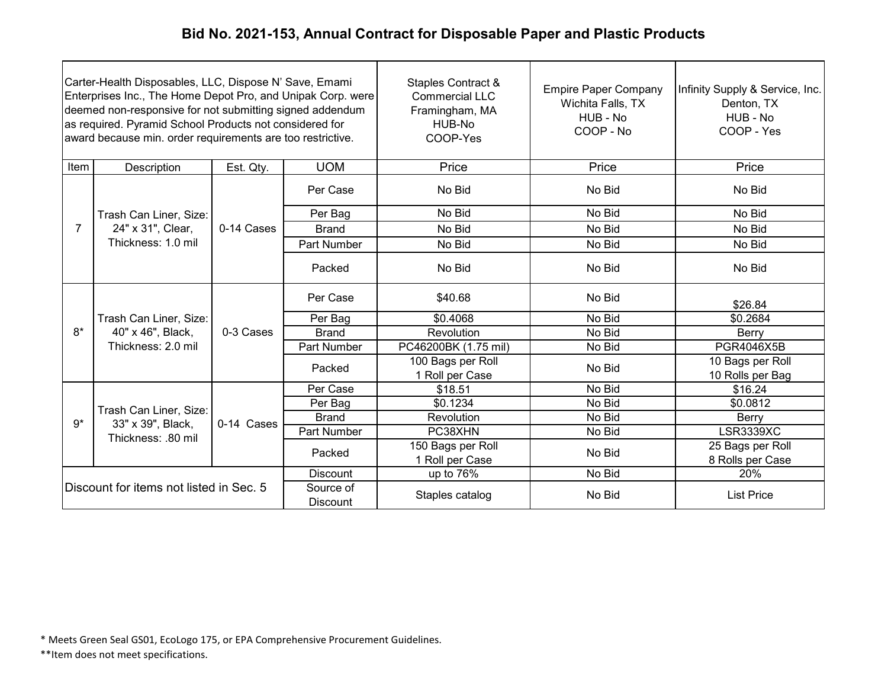| Carter-Health Disposables, LLC, Dispose N' Save, Emami<br>Enterprises Inc., The Home Depot Pro, and Unipak Corp. were<br>deemed non-responsive for not submitting signed addendum<br>as required. Pyramid School Products not considered for<br>award because min. order requirements are too restrictive. |                                         |            |                              | Staples Contract &<br><b>Commercial LLC</b><br>Framingham, MA<br>HUB-No<br>COOP-Yes | <b>Empire Paper Company</b><br>Wichita Falls, TX<br>HUB - No<br>COOP - No | Infinity Supply & Service, Inc.<br>Denton, TX<br>HUB - No<br>COOP - Yes |
|------------------------------------------------------------------------------------------------------------------------------------------------------------------------------------------------------------------------------------------------------------------------------------------------------------|-----------------------------------------|------------|------------------------------|-------------------------------------------------------------------------------------|---------------------------------------------------------------------------|-------------------------------------------------------------------------|
| Item                                                                                                                                                                                                                                                                                                       | Description                             | Est. Qty.  | <b>UOM</b>                   | Price                                                                               | Price                                                                     | Price                                                                   |
|                                                                                                                                                                                                                                                                                                            |                                         |            | Per Case                     | No Bid                                                                              | No Bid                                                                    | No Bid                                                                  |
|                                                                                                                                                                                                                                                                                                            | Trash Can Liner, Size:                  |            | Per Bag                      | No Bid                                                                              | No Bid                                                                    | No Bid                                                                  |
| $\overline{7}$                                                                                                                                                                                                                                                                                             | 24" x 31", Clear,                       | 0-14 Cases | <b>Brand</b>                 | No Bid                                                                              | No Bid                                                                    | No Bid                                                                  |
|                                                                                                                                                                                                                                                                                                            | Thickness: 1.0 mil                      |            | Part Number                  | No Bid                                                                              | No Bid                                                                    | No Bid                                                                  |
|                                                                                                                                                                                                                                                                                                            |                                         |            | Packed                       | No Bid                                                                              | No Bid                                                                    | No Bid                                                                  |
|                                                                                                                                                                                                                                                                                                            |                                         | 0-3 Cases  | Per Case                     | \$40.68                                                                             | No Bid                                                                    | \$26.84                                                                 |
|                                                                                                                                                                                                                                                                                                            | Trash Can Liner, Size:                  |            | Per Bag                      | \$0.4068                                                                            | No Bid                                                                    | \$0.2684                                                                |
| $8*$                                                                                                                                                                                                                                                                                                       | 40" x 46", Black,                       |            | <b>Brand</b>                 | Revolution                                                                          | No Bid                                                                    | Berry                                                                   |
|                                                                                                                                                                                                                                                                                                            | Thickness: 2.0 mil                      |            | Part Number                  | PC46200BK (1.75 mil)                                                                | No Bid                                                                    | PGR4046X5B                                                              |
|                                                                                                                                                                                                                                                                                                            |                                         |            | Packed                       | 100 Bags per Roll<br>1 Roll per Case                                                | No Bid                                                                    | 10 Bags per Roll<br>10 Rolls per Bag                                    |
|                                                                                                                                                                                                                                                                                                            |                                         |            | Per Case                     | \$18.51                                                                             | No Bid                                                                    | \$16.24                                                                 |
|                                                                                                                                                                                                                                                                                                            | Trash Can Liner, Size:                  |            | Per Bag                      | \$0.1234                                                                            | No Bid                                                                    | \$0.0812                                                                |
| $9*$                                                                                                                                                                                                                                                                                                       | 33" x 39", Black,                       | 0-14 Cases | <b>Brand</b>                 | Revolution                                                                          | No Bid                                                                    | Berry                                                                   |
|                                                                                                                                                                                                                                                                                                            | Thickness: .80 mil                      |            | Part Number                  | PC38XHN                                                                             | No Bid                                                                    | <b>LSR3339XC</b>                                                        |
|                                                                                                                                                                                                                                                                                                            |                                         |            | Packed                       | 150 Bags per Roll<br>1 Roll per Case                                                | No Bid                                                                    | 25 Bags per Roll<br>8 Rolls per Case                                    |
|                                                                                                                                                                                                                                                                                                            |                                         |            | <b>Discount</b>              | up to 76%                                                                           | No Bid                                                                    | 20%                                                                     |
|                                                                                                                                                                                                                                                                                                            | Discount for items not listed in Sec. 5 |            | Source of<br><b>Discount</b> | Staples catalog                                                                     | No Bid                                                                    | <b>List Price</b>                                                       |

\* Meets Green Seal GS01, EcoLogo 175, or EPA Comprehensive Procurement Guidelines.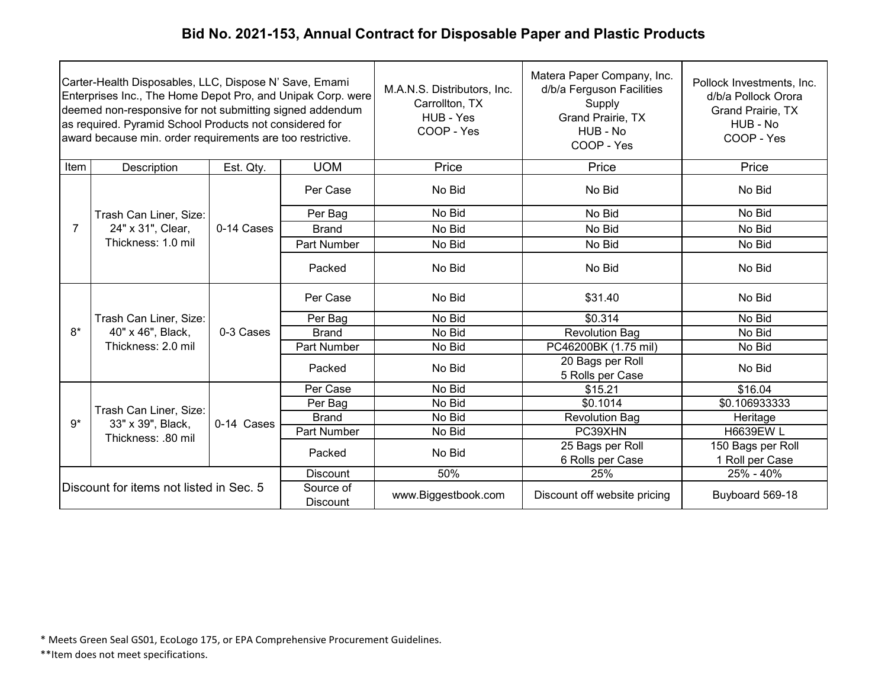| Carter-Health Disposables, LLC, Dispose N' Save, Emami<br>Enterprises Inc., The Home Depot Pro, and Unipak Corp. were<br>deemed non-responsive for not submitting signed addendum<br>as required. Pyramid School Products not considered for<br>award because min. order requirements are too restrictive. |                        |                              |                     | M.A.N.S. Distributors, Inc.<br>Carrollton, TX<br>HUB - Yes<br>COOP - Yes | Matera Paper Company, Inc.<br>d/b/a Ferguson Facilities<br>Supply<br>Grand Prairie, TX<br>HUB - No<br>COOP - Yes | Pollock Investments, Inc.<br>d/b/a Pollock Orora<br>Grand Prairie, TX<br>HUB - No<br>COOP - Yes |
|------------------------------------------------------------------------------------------------------------------------------------------------------------------------------------------------------------------------------------------------------------------------------------------------------------|------------------------|------------------------------|---------------------|--------------------------------------------------------------------------|------------------------------------------------------------------------------------------------------------------|-------------------------------------------------------------------------------------------------|
| Item                                                                                                                                                                                                                                                                                                       | Description            | Est. Qty.                    | <b>UOM</b>          | Price                                                                    | Price                                                                                                            | Price                                                                                           |
|                                                                                                                                                                                                                                                                                                            |                        |                              | Per Case            | No Bid                                                                   | No Bid                                                                                                           | No Bid                                                                                          |
|                                                                                                                                                                                                                                                                                                            | Trash Can Liner, Size: |                              | Per Bag             | No Bid                                                                   | No Bid                                                                                                           | No Bid                                                                                          |
| $\overline{7}$                                                                                                                                                                                                                                                                                             | 24" x 31", Clear,      | 0-14 Cases                   | <b>Brand</b>        | No Bid                                                                   | No Bid                                                                                                           | No Bid                                                                                          |
|                                                                                                                                                                                                                                                                                                            | Thickness: 1.0 mil     |                              | Part Number         | No Bid                                                                   | No Bid                                                                                                           | No Bid                                                                                          |
|                                                                                                                                                                                                                                                                                                            |                        |                              | Packed              | No Bid                                                                   | No Bid                                                                                                           | No Bid                                                                                          |
|                                                                                                                                                                                                                                                                                                            | Trash Can Liner, Size: | 0-3 Cases                    | Per Case            | No Bid                                                                   | \$31.40                                                                                                          | No Bid                                                                                          |
|                                                                                                                                                                                                                                                                                                            |                        |                              | Per Bag             | No Bid                                                                   | \$0.314                                                                                                          | No Bid                                                                                          |
| $8*$                                                                                                                                                                                                                                                                                                       | 40" x 46", Black,      |                              | <b>Brand</b>        | No Bid                                                                   | <b>Revolution Bag</b>                                                                                            | No Bid                                                                                          |
|                                                                                                                                                                                                                                                                                                            | Thickness: 2.0 mil     |                              | Part Number         | No Bid                                                                   | PC46200BK (1.75 mil)                                                                                             | No Bid                                                                                          |
|                                                                                                                                                                                                                                                                                                            |                        |                              | Packed              | No Bid                                                                   | 20 Bags per Roll<br>5 Rolls per Case                                                                             | No Bid                                                                                          |
|                                                                                                                                                                                                                                                                                                            |                        |                              | Per Case            | No Bid                                                                   | \$15.21                                                                                                          | \$16.04                                                                                         |
|                                                                                                                                                                                                                                                                                                            | Trash Can Liner, Size: |                              | Per Bag             | No Bid                                                                   | \$0.1014                                                                                                         | \$0.106933333                                                                                   |
| $9*$                                                                                                                                                                                                                                                                                                       | 33" x 39", Black,      | 0-14 Cases                   | <b>Brand</b>        | No Bid                                                                   | <b>Revolution Bag</b>                                                                                            | Heritage                                                                                        |
|                                                                                                                                                                                                                                                                                                            | Thickness: .80 mil     |                              | Part Number         | No Bid                                                                   | PC39XHN                                                                                                          | <b>H6639EW L</b>                                                                                |
|                                                                                                                                                                                                                                                                                                            |                        |                              | Packed              | No Bid                                                                   | 25 Bags per Roll<br>6 Rolls per Case                                                                             | 150 Bags per Roll<br>1 Roll per Case                                                            |
|                                                                                                                                                                                                                                                                                                            |                        |                              | <b>Discount</b>     | 50%                                                                      | 25%                                                                                                              | 25% - 40%                                                                                       |
| Discount for items not listed in Sec. 5                                                                                                                                                                                                                                                                    |                        | Source of<br><b>Discount</b> | www.Biggestbook.com | Discount off website pricing                                             | Buyboard 569-18                                                                                                  |                                                                                                 |

\* Meets Green Seal GS01, EcoLogo 175, or EPA Comprehensive Procurement Guidelines.